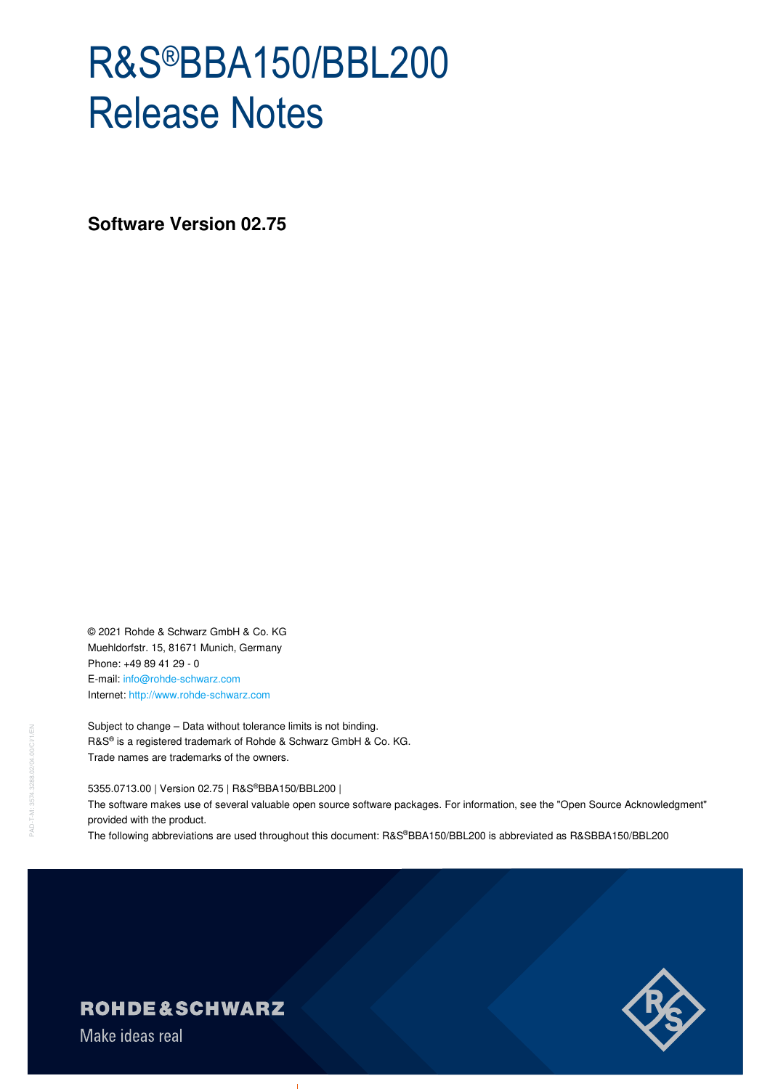# R&S®BBA150/BBL200 Release Notes

**Software Version 02.75** 

© 2021 Rohde & Schwarz GmbH & Co. KG Muehldorfstr. 15, 81671 Munich, Germany Phone: +49 89 41 29 - 0 E-mail: info@rohde-schwarz.com Internet: http://www.rohde-schwarz.com

Subject to change – Data without tolerance limits is not binding. R&S® is a registered trademark of Rohde & Schwarz GmbH & Co. KG. Trade names are trademarks of the owners.

#### 5355.0713.00 | Version 02.75 | R&S®BBA150/BBL200 |

The software makes use of several valuable open source software packages. For information, see the "Open Source Acknowledgment" provided with the product.

The following abbreviations are used throughout this document: R&S®BBA150/BBL200 is abbreviated as R&SBBA150/BBL200



## **ROHDE&SCHWARZ**

Make ideas real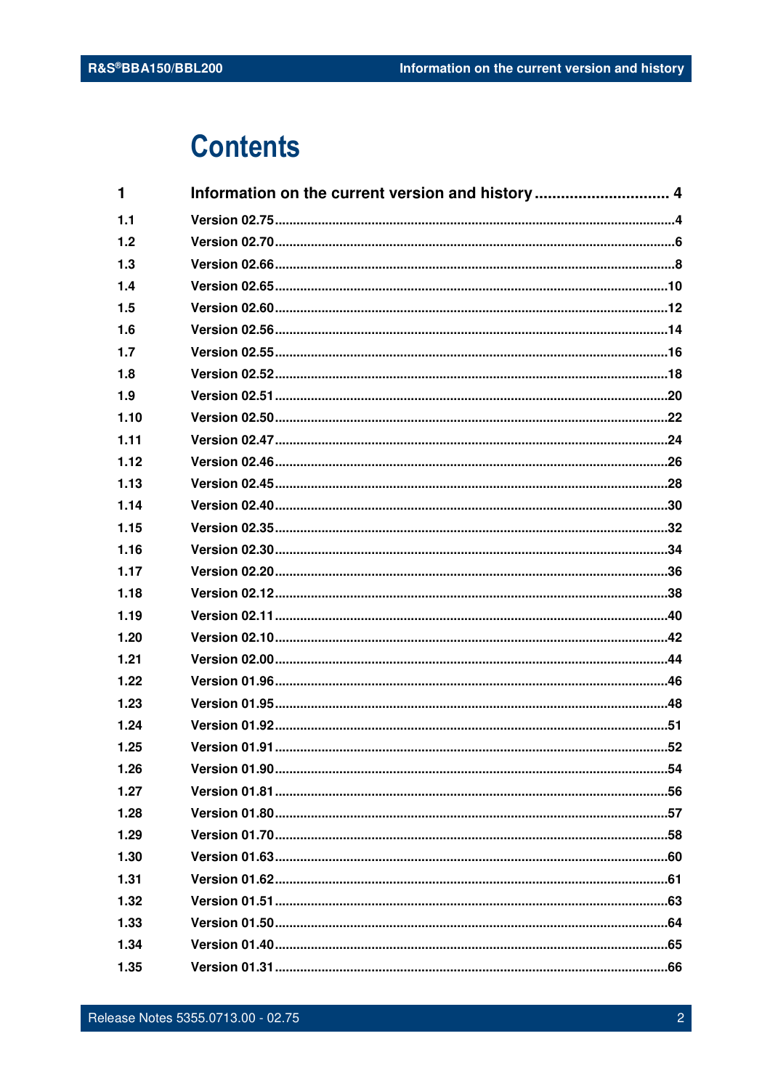## **Contents**

| $\mathbf{1}$ |  |
|--------------|--|
| 1.1          |  |
| 1.2          |  |
| 1.3          |  |
| 1.4          |  |
| 1.5          |  |
| 1.6          |  |
| 1.7          |  |
| 1.8          |  |
| 1.9          |  |
| 1.10         |  |
| 1.11         |  |
| 1.12         |  |
| 1.13         |  |
| 1.14         |  |
| 1.15         |  |
| 1.16         |  |
| 1.17         |  |
| 1.18         |  |
| 1.19         |  |
| 1.20         |  |
| 1.21         |  |
| 1.22         |  |
| 1.23         |  |
| 1.24         |  |
| 1.25         |  |
| 1.26         |  |
| 1.27         |  |
| 1.28         |  |
| 1.29         |  |
| 1.30         |  |
| 1.31         |  |
| 1.32         |  |
| 1.33         |  |
| 1.34         |  |
| 1.35         |  |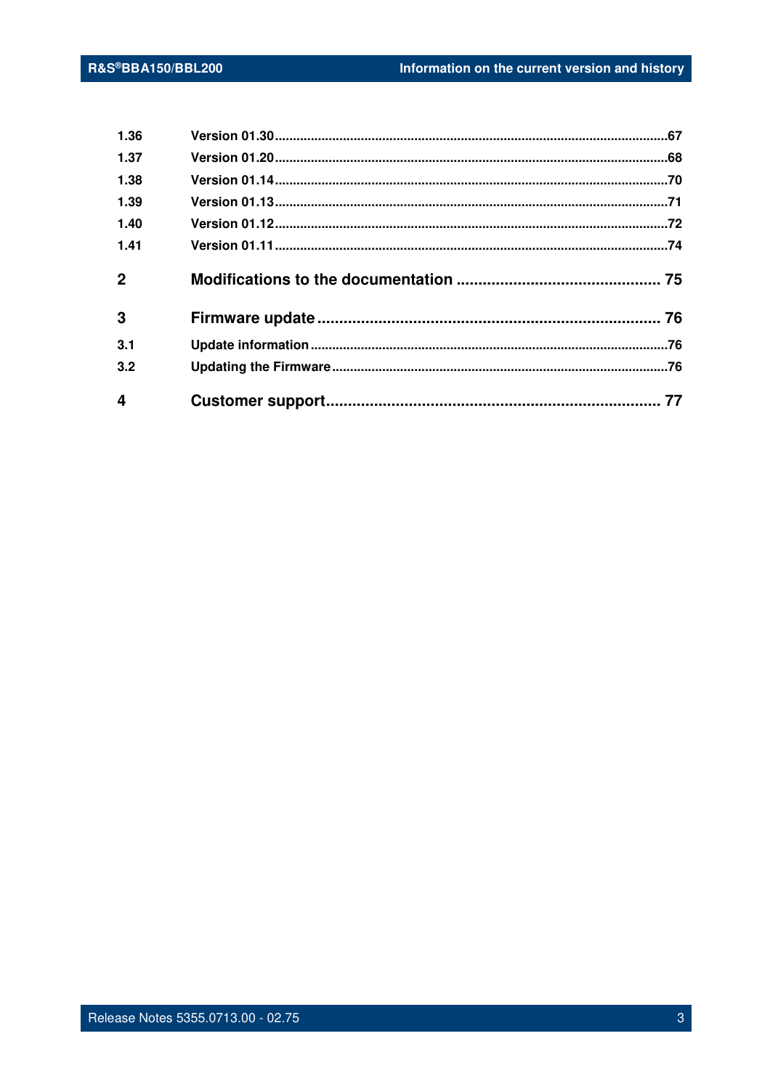| 1.36                    |  |
|-------------------------|--|
| 1.37                    |  |
| 1.38                    |  |
| 1.39                    |  |
| 1.40                    |  |
| 1.41                    |  |
| $\mathbf 2$             |  |
| 3                       |  |
| 3.1                     |  |
| 3.2                     |  |
| $\overline{\mathbf{4}}$ |  |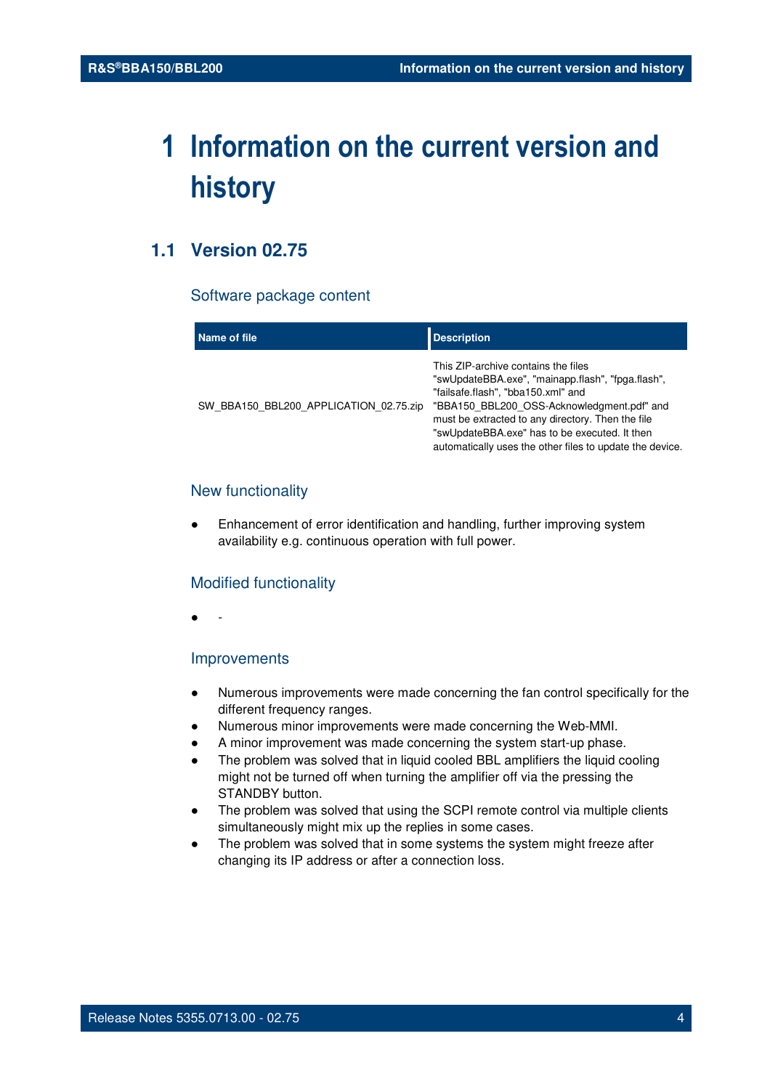## **1 Information on the current version and history**

## **1.1 Version 02.75**

#### Software package content

| Name of file                           | <b>Description</b>                                                                                                                                                                                                                                                                                                                             |
|----------------------------------------|------------------------------------------------------------------------------------------------------------------------------------------------------------------------------------------------------------------------------------------------------------------------------------------------------------------------------------------------|
| SW BBA150 BBL200 APPLICATION 02.75.zip | This ZIP-archive contains the files<br>"swUpdateBBA.exe", "mainapp.flash", "fpga.flash",<br>"failsafe.flash", "bba150.xml" and<br>"BBA150 BBL200 OSS-Acknowledgment.pdf" and<br>must be extracted to any directory. Then the file<br>"swUpdateBBA.exe" has to be executed. It then<br>automatically uses the other files to update the device. |

#### New functionality

Enhancement of error identification and handling, further improving system availability e.g. continuous operation with full power.

#### Modified functionality

● -

#### Improvements

- Numerous improvements were made concerning the fan control specifically for the different frequency ranges.
- Numerous minor improvements were made concerning the Web-MMI.
- A minor improvement was made concerning the system start-up phase.
- The problem was solved that in liquid cooled BBL amplifiers the liquid cooling might not be turned off when turning the amplifier off via the pressing the STANDBY button.
- The problem was solved that using the SCPI remote control via multiple clients simultaneously might mix up the replies in some cases.
- The problem was solved that in some systems the system might freeze after changing its IP address or after a connection loss.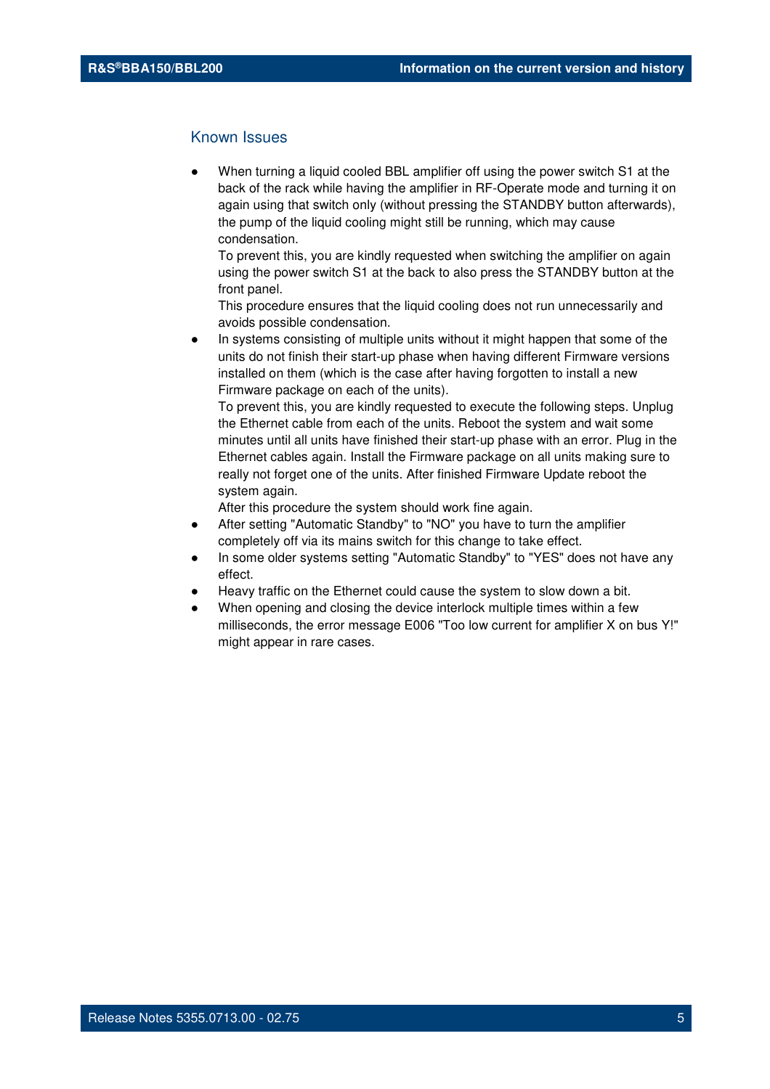#### Known Issues

When turning a liquid cooled BBL amplifier off using the power switch S1 at the back of the rack while having the amplifier in RF-Operate mode and turning it on again using that switch only (without pressing the STANDBY button afterwards), the pump of the liquid cooling might still be running, which may cause condensation.

To prevent this, you are kindly requested when switching the amplifier on again using the power switch S1 at the back to also press the STANDBY button at the front panel.

This procedure ensures that the liquid cooling does not run unnecessarily and avoids possible condensation.

In systems consisting of multiple units without it might happen that some of the units do not finish their start-up phase when having different Firmware versions installed on them (which is the case after having forgotten to install a new Firmware package on each of the units).

To prevent this, you are kindly requested to execute the following steps. Unplug the Ethernet cable from each of the units. Reboot the system and wait some minutes until all units have finished their start-up phase with an error. Plug in the Ethernet cables again. Install the Firmware package on all units making sure to really not forget one of the units. After finished Firmware Update reboot the system again.

- After setting "Automatic Standby" to "NO" you have to turn the amplifier completely off via its mains switch for this change to take effect.
- In some older systems setting "Automatic Standby" to "YES" does not have any effect.
- Heavy traffic on the Ethernet could cause the system to slow down a bit.
- When opening and closing the device interlock multiple times within a few milliseconds, the error message E006 "Too low current for amplifier X on bus Y!" might appear in rare cases.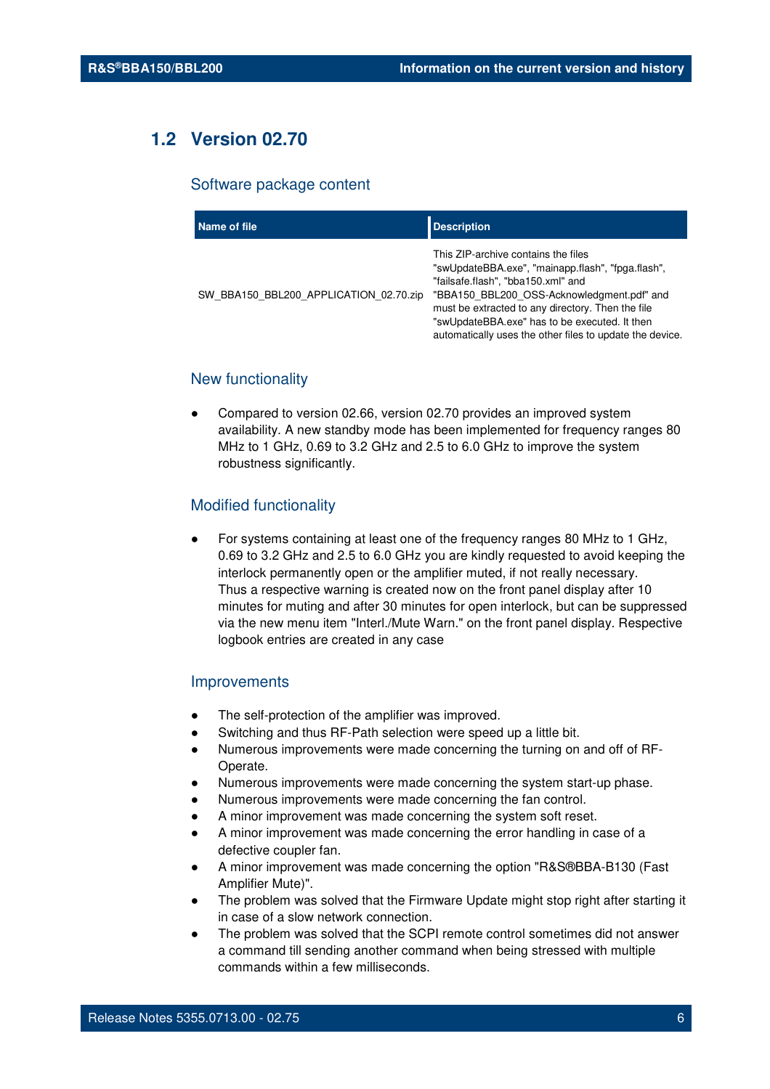## **1.2 Version 02.70**

#### Software package content

| Name of file                           | <b>Description</b>                                                                                                                                                                                                                                                                                                                             |
|----------------------------------------|------------------------------------------------------------------------------------------------------------------------------------------------------------------------------------------------------------------------------------------------------------------------------------------------------------------------------------------------|
| SW BBA150 BBL200 APPLICATION 02.70.zip | This ZIP-archive contains the files<br>"swUpdateBBA.exe", "mainapp.flash", "fpga.flash",<br>"failsafe.flash", "bba150.xml" and<br>"BBA150 BBL200 OSS-Acknowledgment.pdf" and<br>must be extracted to any directory. Then the file<br>"swUpdateBBA.exe" has to be executed. It then<br>automatically uses the other files to update the device. |

#### New functionality

Compared to version 02.66, version 02.70 provides an improved system availability. A new standby mode has been implemented for frequency ranges 80 MHz to 1 GHz, 0.69 to 3.2 GHz and 2.5 to 6.0 GHz to improve the system robustness significantly.

#### Modified functionality

For systems containing at least one of the frequency ranges 80 MHz to 1 GHz, 0.69 to 3.2 GHz and 2.5 to 6.0 GHz you are kindly requested to avoid keeping the interlock permanently open or the amplifier muted, if not really necessary. Thus a respective warning is created now on the front panel display after 10 minutes for muting and after 30 minutes for open interlock, but can be suppressed via the new menu item "Interl./Mute Warn." on the front panel display. Respective logbook entries are created in any case

#### **Improvements**

- The self-protection of the amplifier was improved.
- Switching and thus RF-Path selection were speed up a little bit.
- Numerous improvements were made concerning the turning on and off of RF-Operate.
- Numerous improvements were made concerning the system start-up phase.
- Numerous improvements were made concerning the fan control.
- A minor improvement was made concerning the system soft reset.
- A minor improvement was made concerning the error handling in case of a defective coupler fan.
- A minor improvement was made concerning the option "R&S®BBA-B130 (Fast Amplifier Mute)".
- The problem was solved that the Firmware Update might stop right after starting it in case of a slow network connection.
- The problem was solved that the SCPI remote control sometimes did not answer a command till sending another command when being stressed with multiple commands within a few milliseconds.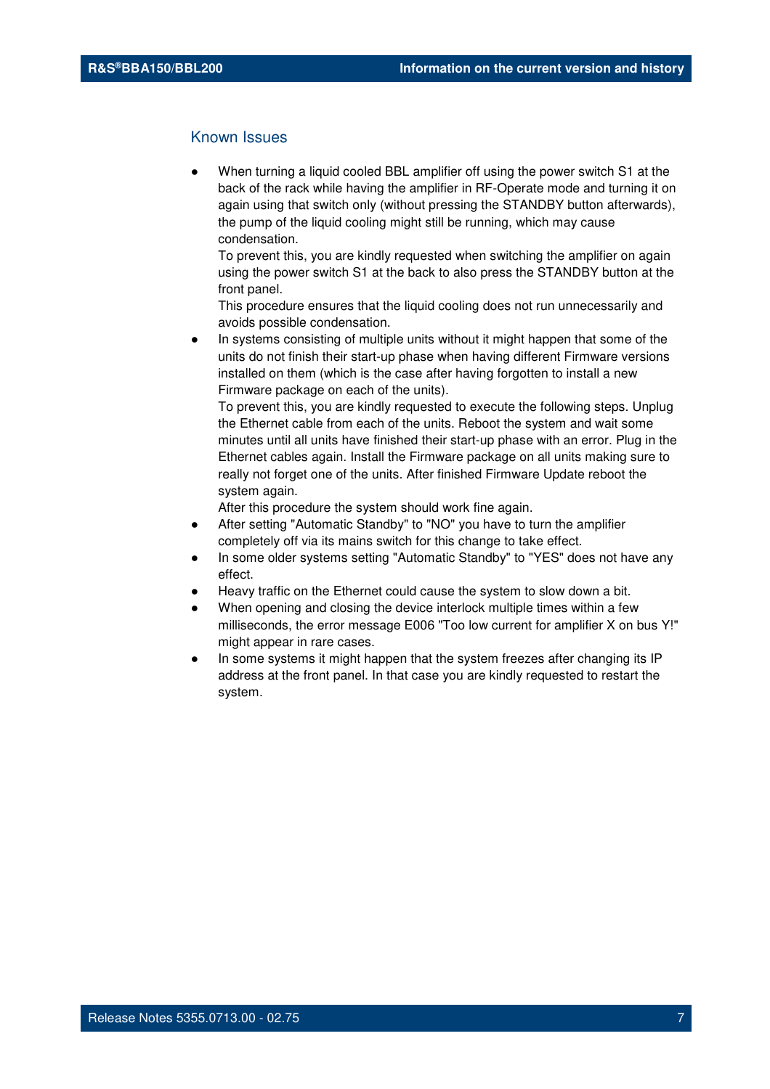#### Known Issues

When turning a liquid cooled BBL amplifier off using the power switch S1 at the back of the rack while having the amplifier in RF-Operate mode and turning it on again using that switch only (without pressing the STANDBY button afterwards), the pump of the liquid cooling might still be running, which may cause condensation.

To prevent this, you are kindly requested when switching the amplifier on again using the power switch S1 at the back to also press the STANDBY button at the front panel.

This procedure ensures that the liquid cooling does not run unnecessarily and avoids possible condensation.

In systems consisting of multiple units without it might happen that some of the units do not finish their start-up phase when having different Firmware versions installed on them (which is the case after having forgotten to install a new Firmware package on each of the units).

To prevent this, you are kindly requested to execute the following steps. Unplug the Ethernet cable from each of the units. Reboot the system and wait some minutes until all units have finished their start-up phase with an error. Plug in the Ethernet cables again. Install the Firmware package on all units making sure to really not forget one of the units. After finished Firmware Update reboot the system again.

- After setting "Automatic Standby" to "NO" you have to turn the amplifier completely off via its mains switch for this change to take effect.
- In some older systems setting "Automatic Standby" to "YES" does not have any effect.
- Heavy traffic on the Ethernet could cause the system to slow down a bit.
- When opening and closing the device interlock multiple times within a few milliseconds, the error message E006 "Too low current for amplifier X on bus Y!" might appear in rare cases.
- In some systems it might happen that the system freezes after changing its IP address at the front panel. In that case you are kindly requested to restart the system.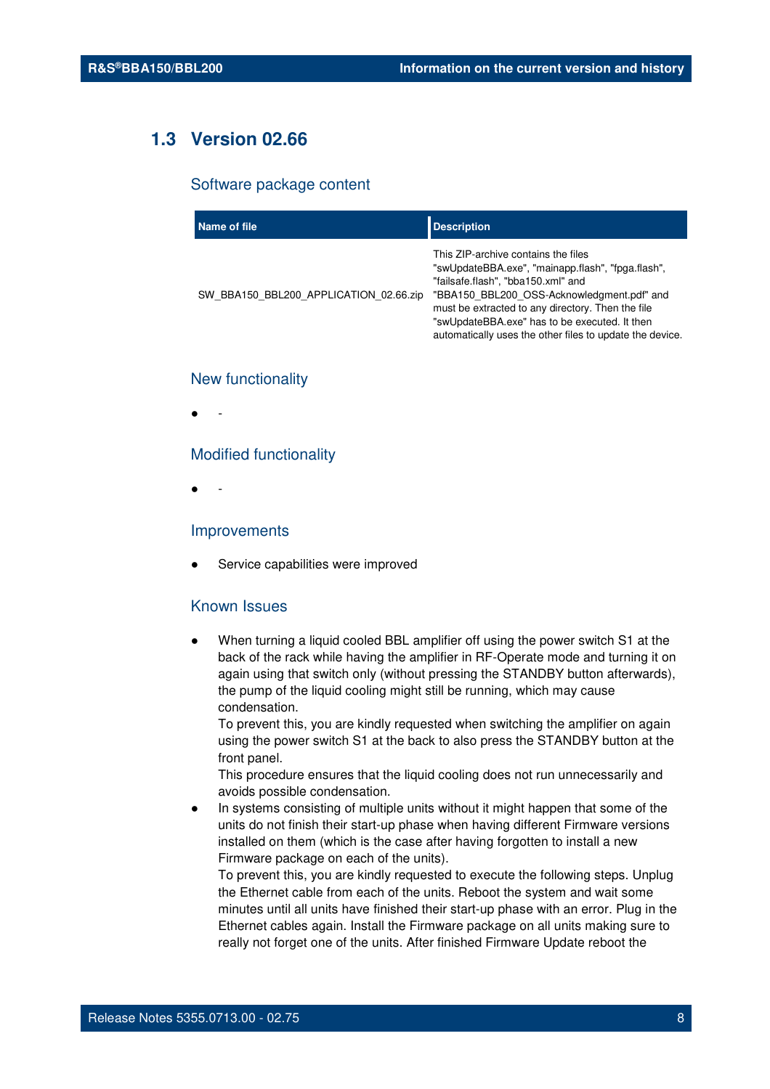## **1.3 Version 02.66**

#### Software package content

| Name of file                           | <b>Description</b>                                                                                                                                                                                                                                                                                                                             |
|----------------------------------------|------------------------------------------------------------------------------------------------------------------------------------------------------------------------------------------------------------------------------------------------------------------------------------------------------------------------------------------------|
| SW BBA150 BBL200 APPLICATION 02.66.zip | This ZIP-archive contains the files<br>"swUpdateBBA.exe", "mainapp.flash", "fpga.flash",<br>"failsafe.flash", "bba150.xml" and<br>"BBA150 BBL200 OSS-Acknowledgment.pdf" and<br>must be extracted to any directory. Then the file<br>"swUpdateBBA.exe" has to be executed. It then<br>automatically uses the other files to update the device. |

#### New functionality

● -

#### Modified functionality

● -

#### Improvements

Service capabilities were improved

#### Known Issues

When turning a liquid cooled BBL amplifier off using the power switch S1 at the back of the rack while having the amplifier in RF-Operate mode and turning it on again using that switch only (without pressing the STANDBY button afterwards), the pump of the liquid cooling might still be running, which may cause condensation.

To prevent this, you are kindly requested when switching the amplifier on again using the power switch S1 at the back to also press the STANDBY button at the front panel.

This procedure ensures that the liquid cooling does not run unnecessarily and avoids possible condensation.

In systems consisting of multiple units without it might happen that some of the units do not finish their start-up phase when having different Firmware versions installed on them (which is the case after having forgotten to install a new Firmware package on each of the units).

To prevent this, you are kindly requested to execute the following steps. Unplug the Ethernet cable from each of the units. Reboot the system and wait some minutes until all units have finished their start-up phase with an error. Plug in the Ethernet cables again. Install the Firmware package on all units making sure to really not forget one of the units. After finished Firmware Update reboot the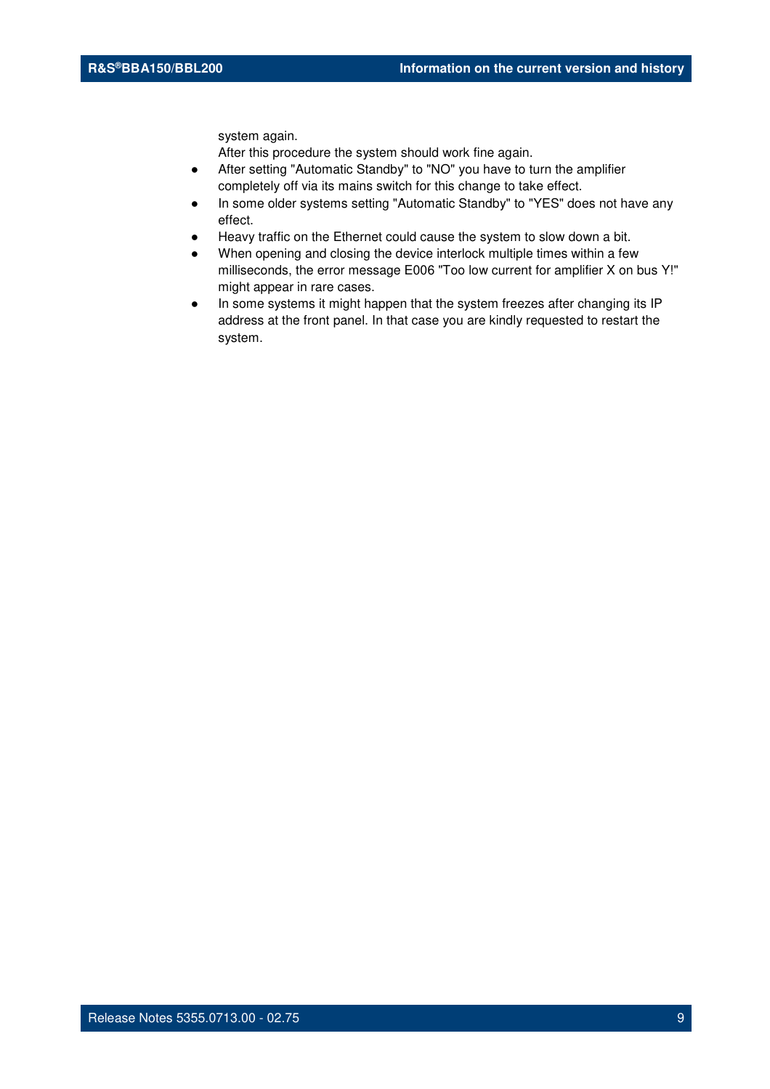system again.

- After setting "Automatic Standby" to "NO" you have to turn the amplifier completely off via its mains switch for this change to take effect.
- In some older systems setting "Automatic Standby" to "YES" does not have any effect.
- Heavy traffic on the Ethernet could cause the system to slow down a bit.
- When opening and closing the device interlock multiple times within a few milliseconds, the error message E006 "Too low current for amplifier X on bus Y!" might appear in rare cases.
- In some systems it might happen that the system freezes after changing its IP address at the front panel. In that case you are kindly requested to restart the system.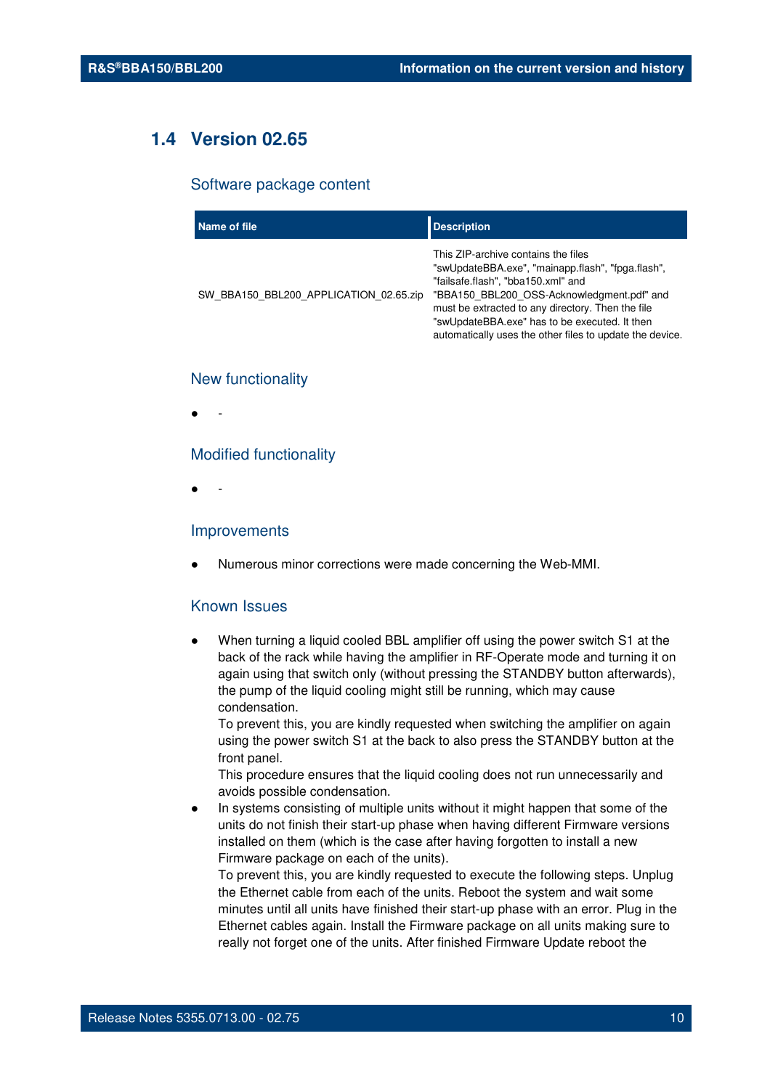## **1.4 Version 02.65**

#### Software package content

| Name of file                           | <b>Description</b>                                                                                                                                                                                                                                                                                                                             |
|----------------------------------------|------------------------------------------------------------------------------------------------------------------------------------------------------------------------------------------------------------------------------------------------------------------------------------------------------------------------------------------------|
| SW BBA150 BBL200 APPLICATION 02.65.zip | This ZIP-archive contains the files<br>"swUpdateBBA.exe", "mainapp.flash", "fpga.flash",<br>"failsafe.flash", "bba150.xml" and<br>"BBA150 BBL200 OSS-Acknowledgment.pdf" and<br>must be extracted to any directory. Then the file<br>"swUpdateBBA.exe" has to be executed. It then<br>automatically uses the other files to update the device. |

#### New functionality

● -

#### Modified functionality

● -

#### Improvements

Numerous minor corrections were made concerning the Web-MMI.

#### Known Issues

When turning a liquid cooled BBL amplifier off using the power switch S1 at the back of the rack while having the amplifier in RF-Operate mode and turning it on again using that switch only (without pressing the STANDBY button afterwards), the pump of the liquid cooling might still be running, which may cause condensation.

To prevent this, you are kindly requested when switching the amplifier on again using the power switch S1 at the back to also press the STANDBY button at the front panel.

This procedure ensures that the liquid cooling does not run unnecessarily and avoids possible condensation.

In systems consisting of multiple units without it might happen that some of the units do not finish their start-up phase when having different Firmware versions installed on them (which is the case after having forgotten to install a new Firmware package on each of the units).

To prevent this, you are kindly requested to execute the following steps. Unplug the Ethernet cable from each of the units. Reboot the system and wait some minutes until all units have finished their start-up phase with an error. Plug in the Ethernet cables again. Install the Firmware package on all units making sure to really not forget one of the units. After finished Firmware Update reboot the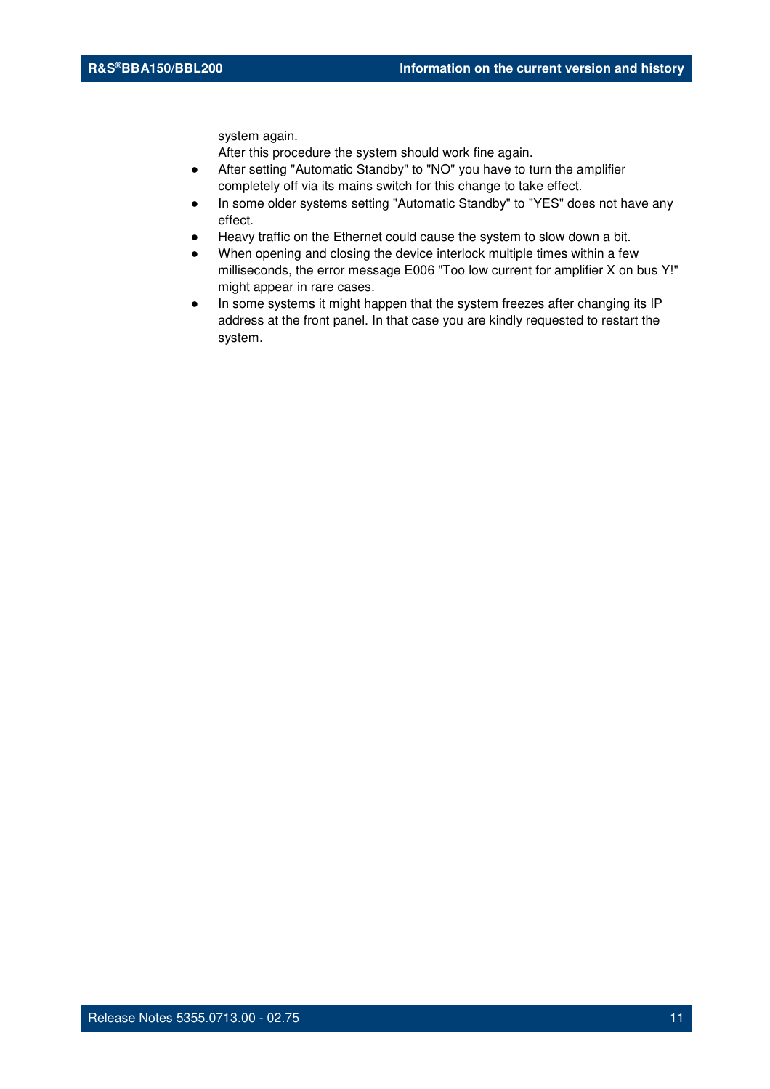system again.

- After setting "Automatic Standby" to "NO" you have to turn the amplifier completely off via its mains switch for this change to take effect.
- In some older systems setting "Automatic Standby" to "YES" does not have any effect.
- Heavy traffic on the Ethernet could cause the system to slow down a bit.
- When opening and closing the device interlock multiple times within a few milliseconds, the error message E006 "Too low current for amplifier X on bus Y!" might appear in rare cases.
- In some systems it might happen that the system freezes after changing its IP address at the front panel. In that case you are kindly requested to restart the system.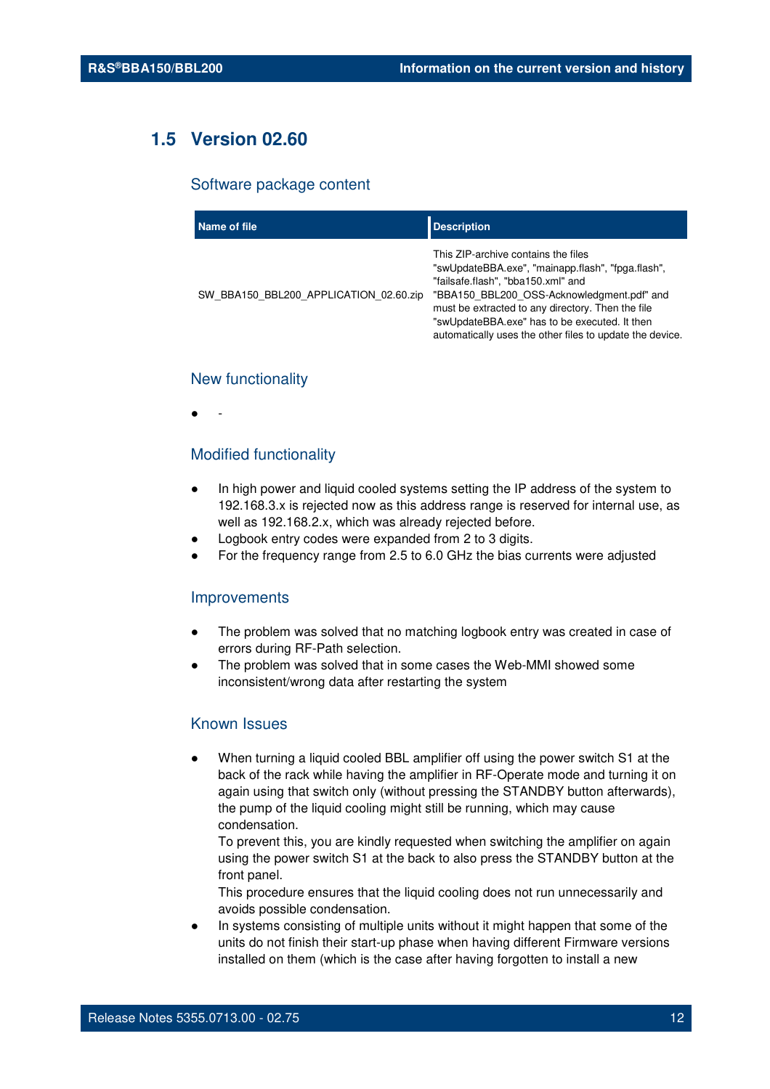## **1.5 Version 02.60**

#### Software package content

| Name of file                           | <b>Description</b>                                                                                                                                                                                                                                                                                                                             |
|----------------------------------------|------------------------------------------------------------------------------------------------------------------------------------------------------------------------------------------------------------------------------------------------------------------------------------------------------------------------------------------------|
| SW BBA150 BBL200 APPLICATION 02.60.zip | This ZIP-archive contains the files<br>"swUpdateBBA.exe", "mainapp.flash", "fpga.flash",<br>"failsafe.flash", "bba150.xml" and<br>"BBA150 BBL200 OSS-Acknowledgment.pdf" and<br>must be extracted to any directory. Then the file<br>"swUpdateBBA.exe" has to be executed. It then<br>automatically uses the other files to update the device. |

#### New functionality

● -

#### Modified functionality

- In high power and liquid cooled systems setting the IP address of the system to 192.168.3.x is rejected now as this address range is reserved for internal use, as well as 192.168.2.x, which was already rejected before.
- Logbook entry codes were expanded from 2 to 3 digits.
- For the frequency range from 2.5 to 6.0 GHz the bias currents were adjusted

#### Improvements

- The problem was solved that no matching logbook entry was created in case of errors during RF-Path selection.
- The problem was solved that in some cases the Web-MMI showed some inconsistent/wrong data after restarting the system

#### Known Issues

When turning a liquid cooled BBL amplifier off using the power switch S1 at the back of the rack while having the amplifier in RF-Operate mode and turning it on again using that switch only (without pressing the STANDBY button afterwards), the pump of the liquid cooling might still be running, which may cause condensation.

To prevent this, you are kindly requested when switching the amplifier on again using the power switch S1 at the back to also press the STANDBY button at the front panel.

This procedure ensures that the liquid cooling does not run unnecessarily and avoids possible condensation.

In systems consisting of multiple units without it might happen that some of the units do not finish their start-up phase when having different Firmware versions installed on them (which is the case after having forgotten to install a new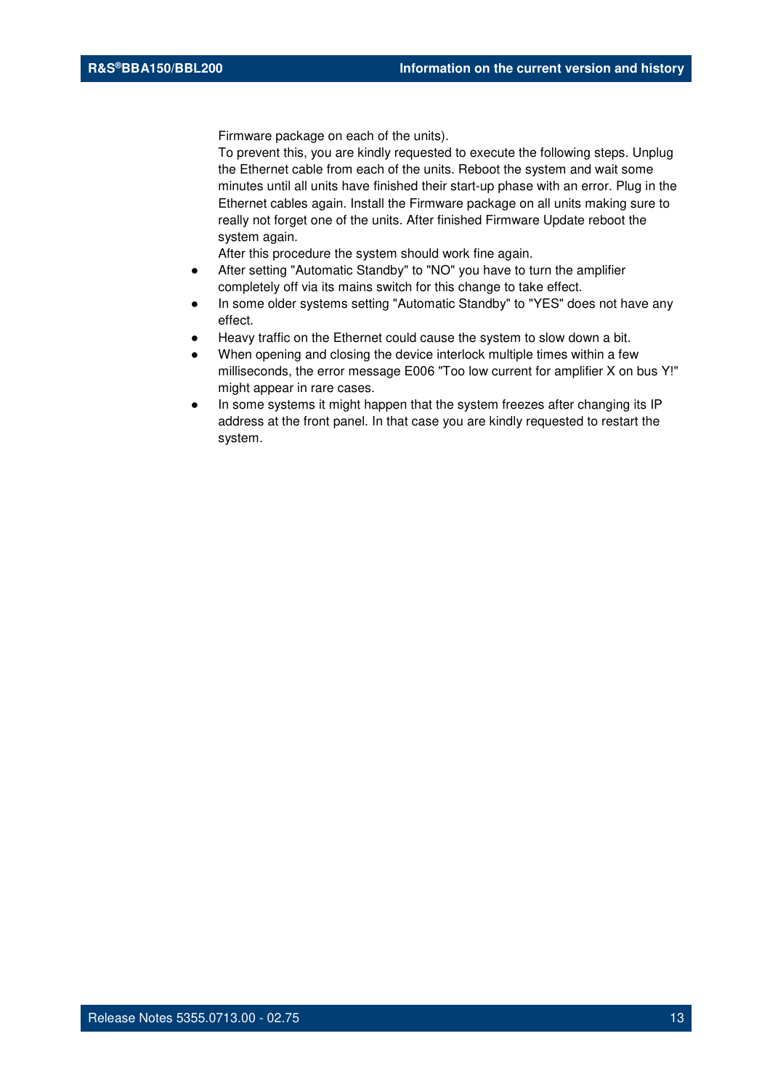Firmware package on each of the units).

To prevent this, you are kindly requested to execute the following steps. Unplug the Ethernet cable from each of the units. Reboot the system and wait some minutes until all units have finished their start-up phase with an error. Plug in the Ethernet cables again. Install the Firmware package on all units making sure to really not forget one of the units. After finished Firmware Update reboot the system again.

- After setting "Automatic Standby" to "NO" you have to turn the amplifier completely off via its mains switch for this change to take effect.
- In some older systems setting "Automatic Standby" to "YES" does not have any effect.
- Heavy traffic on the Ethernet could cause the system to slow down a bit.
- When opening and closing the device interlock multiple times within a few milliseconds, the error message E006 "Too low current for amplifier X on bus Y!" might appear in rare cases.
- In some systems it might happen that the system freezes after changing its IP address at the front panel. In that case you are kindly requested to restart the system.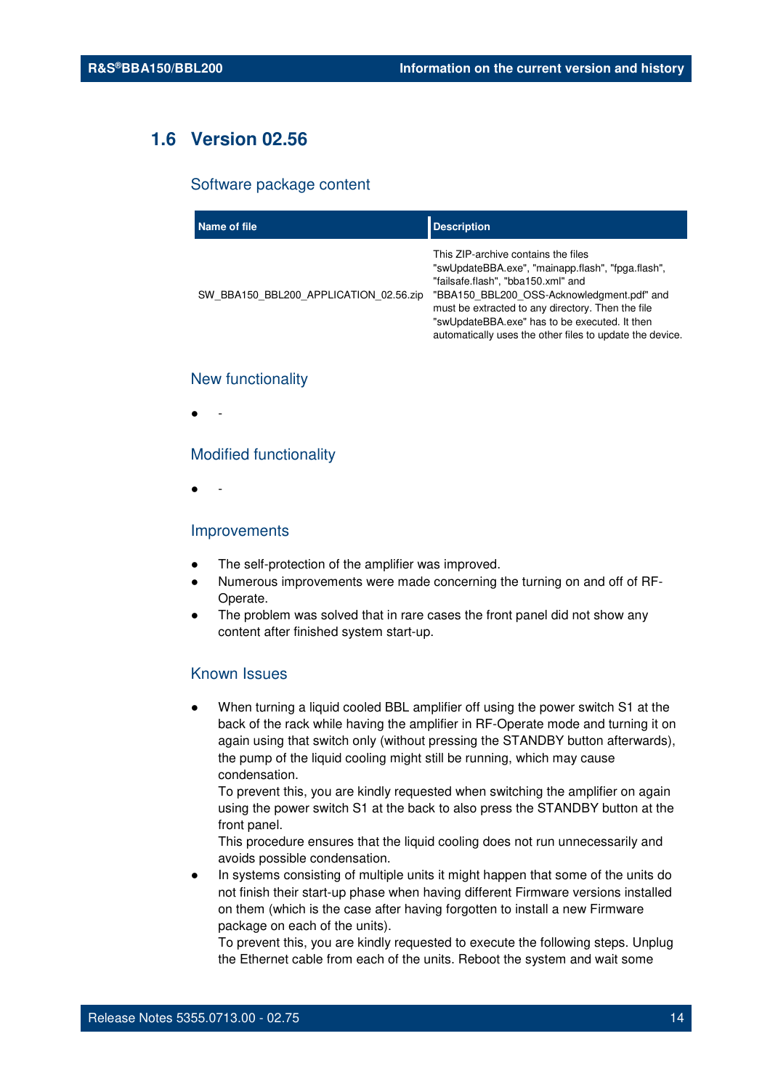## **1.6 Version 02.56**

#### Software package content

| Name of file                           | <b>Description</b>                                                                                                                                                                                                                                                                                                                             |
|----------------------------------------|------------------------------------------------------------------------------------------------------------------------------------------------------------------------------------------------------------------------------------------------------------------------------------------------------------------------------------------------|
| SW BBA150 BBL200 APPLICATION 02.56.zip | This ZIP-archive contains the files<br>"swUpdateBBA.exe", "mainapp.flash", "fpga.flash",<br>"failsafe.flash", "bba150.xml" and<br>"BBA150 BBL200 OSS-Acknowledgment.pdf" and<br>must be extracted to any directory. Then the file<br>"swUpdateBBA.exe" has to be executed. It then<br>automatically uses the other files to update the device. |

#### New functionality

● -

#### Modified functionality

● -

#### Improvements

- The self-protection of the amplifier was improved.
- Numerous improvements were made concerning the turning on and off of RF-Operate.
- The problem was solved that in rare cases the front panel did not show any content after finished system start-up.

#### Known Issues

When turning a liquid cooled BBL amplifier off using the power switch S1 at the back of the rack while having the amplifier in RF-Operate mode and turning it on again using that switch only (without pressing the STANDBY button afterwards), the pump of the liquid cooling might still be running, which may cause condensation.

To prevent this, you are kindly requested when switching the amplifier on again using the power switch S1 at the back to also press the STANDBY button at the front panel.

This procedure ensures that the liquid cooling does not run unnecessarily and avoids possible condensation.

In systems consisting of multiple units it might happen that some of the units do not finish their start-up phase when having different Firmware versions installed on them (which is the case after having forgotten to install a new Firmware package on each of the units).

To prevent this, you are kindly requested to execute the following steps. Unplug the Ethernet cable from each of the units. Reboot the system and wait some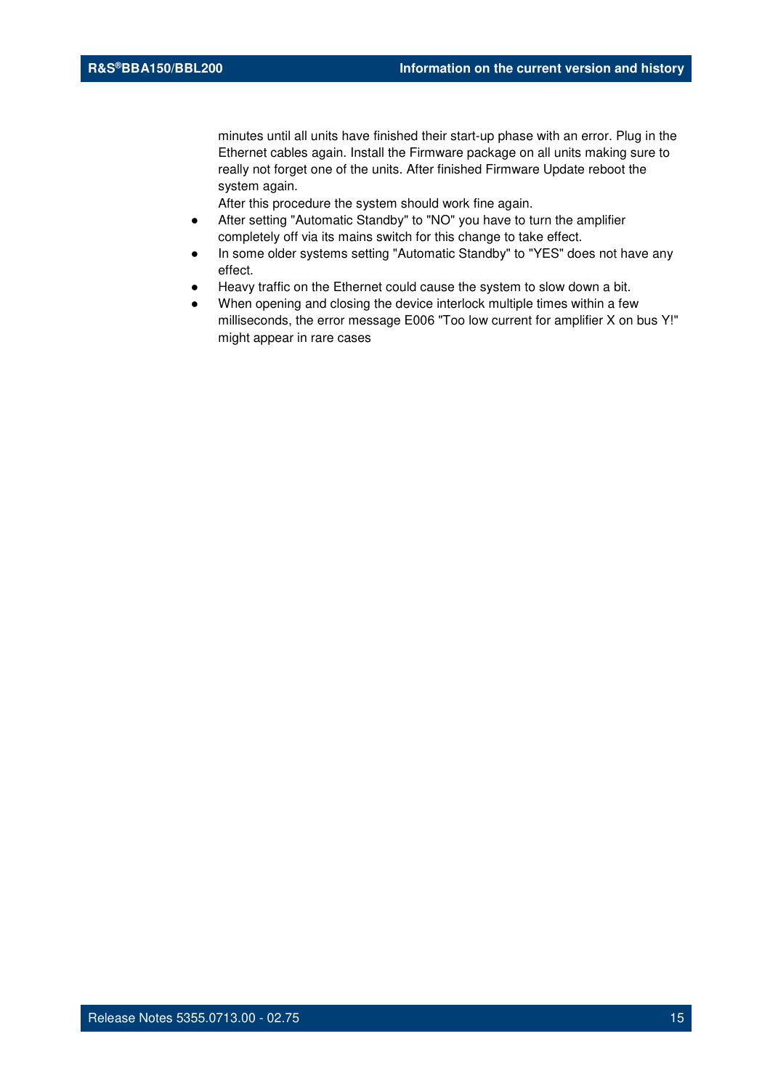minutes until all units have finished their start-up phase with an error. Plug in the Ethernet cables again. Install the Firmware package on all units making sure to really not forget one of the units. After finished Firmware Update reboot the system again.

- After setting "Automatic Standby" to "NO" you have to turn the amplifier completely off via its mains switch for this change to take effect.
- In some older systems setting "Automatic Standby" to "YES" does not have any effect.
- Heavy traffic on the Ethernet could cause the system to slow down a bit.
- When opening and closing the device interlock multiple times within a few milliseconds, the error message E006 "Too low current for amplifier X on bus Y!" might appear in rare cases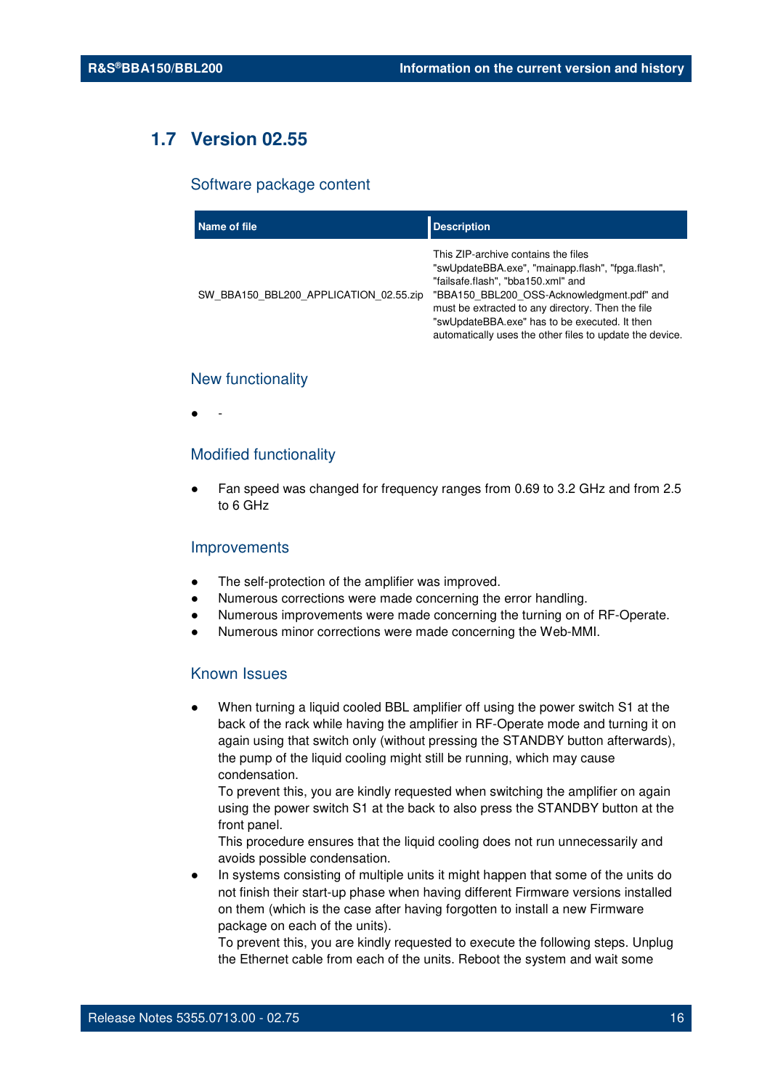## **1.7 Version 02.55**

#### Software package content

| Name of file                           | <b>Description</b>                                                                                                                                                                                                                                                                                                                             |
|----------------------------------------|------------------------------------------------------------------------------------------------------------------------------------------------------------------------------------------------------------------------------------------------------------------------------------------------------------------------------------------------|
| SW BBA150 BBL200 APPLICATION 02.55.zip | This ZIP-archive contains the files<br>"swUpdateBBA.exe", "mainapp.flash", "fpga.flash",<br>"failsafe.flash", "bba150.xml" and<br>"BBA150 BBL200 OSS-Acknowledgment.pdf" and<br>must be extracted to any directory. Then the file<br>"swUpdateBBA.exe" has to be executed. It then<br>automatically uses the other files to update the device. |

#### New functionality

● -

#### Modified functionality

● Fan speed was changed for frequency ranges from 0.69 to 3.2 GHz and from 2.5 to 6 GHz

#### **Improvements**

- The self-protection of the amplifier was improved.
- Numerous corrections were made concerning the error handling.
- Numerous improvements were made concerning the turning on of RF-Operate.
- Numerous minor corrections were made concerning the Web-MMI.

#### Known Issues

When turning a liquid cooled BBL amplifier off using the power switch S1 at the back of the rack while having the amplifier in RF-Operate mode and turning it on again using that switch only (without pressing the STANDBY button afterwards), the pump of the liquid cooling might still be running, which may cause condensation.

To prevent this, you are kindly requested when switching the amplifier on again using the power switch S1 at the back to also press the STANDBY button at the front panel.

This procedure ensures that the liquid cooling does not run unnecessarily and avoids possible condensation.

In systems consisting of multiple units it might happen that some of the units do not finish their start-up phase when having different Firmware versions installed on them (which is the case after having forgotten to install a new Firmware package on each of the units).

To prevent this, you are kindly requested to execute the following steps. Unplug the Ethernet cable from each of the units. Reboot the system and wait some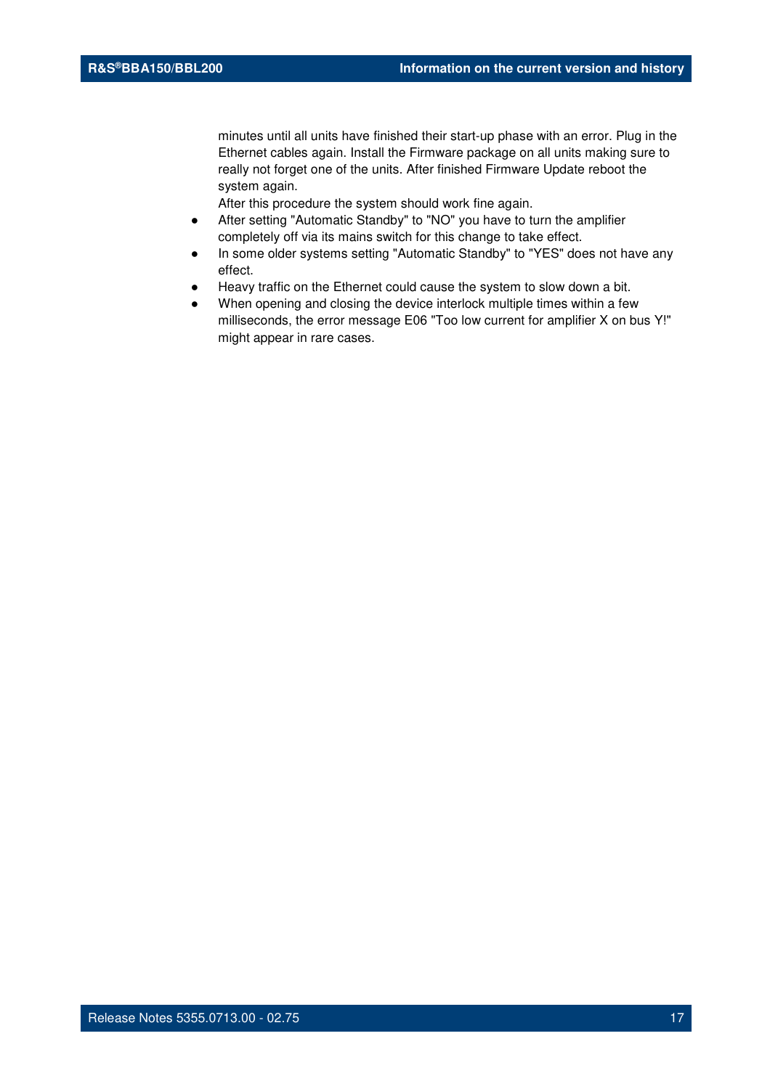minutes until all units have finished their start-up phase with an error. Plug in the Ethernet cables again. Install the Firmware package on all units making sure to really not forget one of the units. After finished Firmware Update reboot the system again.

- After setting "Automatic Standby" to "NO" you have to turn the amplifier completely off via its mains switch for this change to take effect.
- In some older systems setting "Automatic Standby" to "YES" does not have any effect.
- Heavy traffic on the Ethernet could cause the system to slow down a bit.
- When opening and closing the device interlock multiple times within a few milliseconds, the error message E06 "Too low current for amplifier X on bus Y!" might appear in rare cases.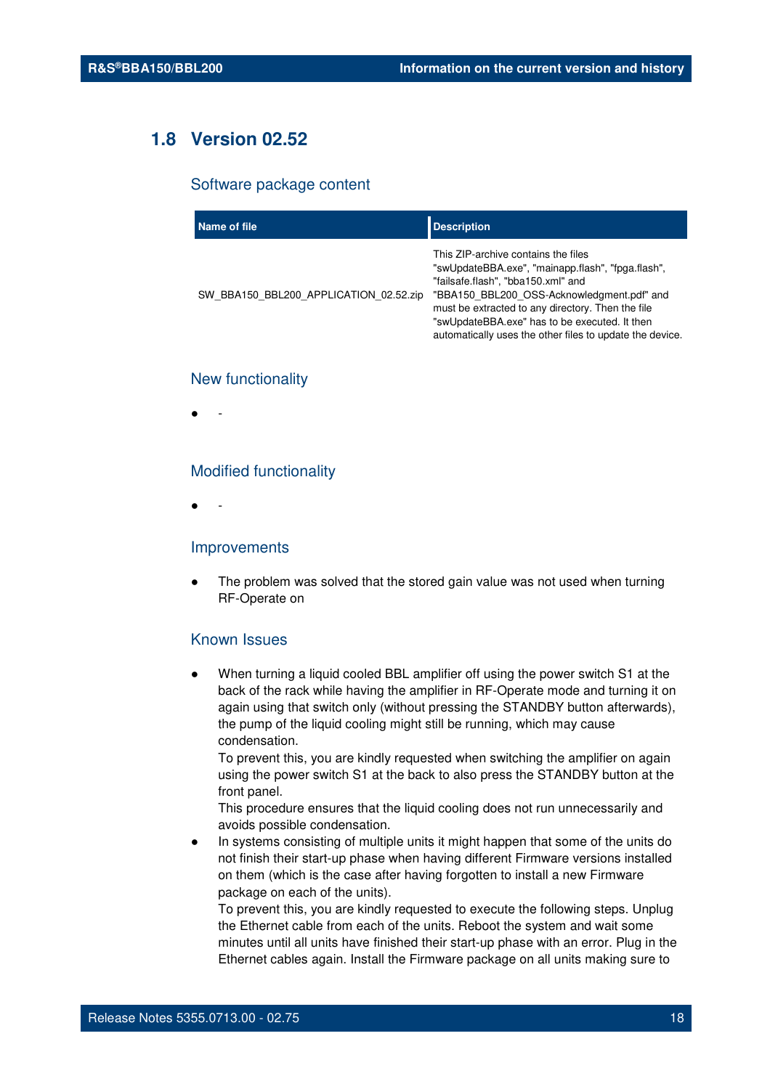## **1.8 Version 02.52**

#### Software package content

| Name of file                           | <b>Description</b>                                                                                                                                                                                                                                                                                                                             |
|----------------------------------------|------------------------------------------------------------------------------------------------------------------------------------------------------------------------------------------------------------------------------------------------------------------------------------------------------------------------------------------------|
| SW BBA150 BBL200 APPLICATION 02.52.zip | This ZIP-archive contains the files<br>"swUpdateBBA.exe", "mainapp.flash", "fpga.flash",<br>"failsafe.flash", "bba150.xml" and<br>"BBA150 BBL200 OSS-Acknowledgment.pdf" and<br>must be extracted to any directory. Then the file<br>"swUpdateBBA.exe" has to be executed. It then<br>automatically uses the other files to update the device. |

#### New functionality

● -

#### Modified functionality

● -

#### Improvements

The problem was solved that the stored gain value was not used when turning RF-Operate on

#### Known Issues

When turning a liquid cooled BBL amplifier off using the power switch S1 at the back of the rack while having the amplifier in RF-Operate mode and turning it on again using that switch only (without pressing the STANDBY button afterwards), the pump of the liquid cooling might still be running, which may cause condensation.

To prevent this, you are kindly requested when switching the amplifier on again using the power switch S1 at the back to also press the STANDBY button at the front panel.

This procedure ensures that the liquid cooling does not run unnecessarily and avoids possible condensation.

In systems consisting of multiple units it might happen that some of the units do not finish their start-up phase when having different Firmware versions installed on them (which is the case after having forgotten to install a new Firmware package on each of the units).

To prevent this, you are kindly requested to execute the following steps. Unplug the Ethernet cable from each of the units. Reboot the system and wait some minutes until all units have finished their start-up phase with an error. Plug in the Ethernet cables again. Install the Firmware package on all units making sure to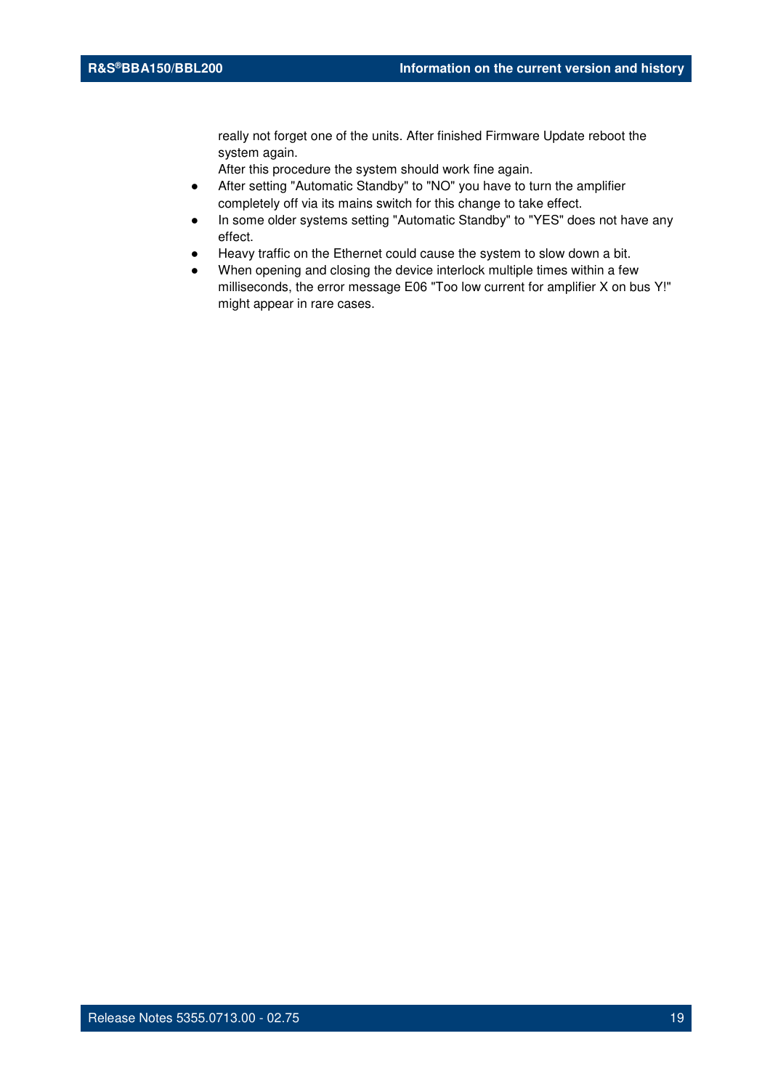really not forget one of the units. After finished Firmware Update reboot the system again.

- After setting "Automatic Standby" to "NO" you have to turn the amplifier completely off via its mains switch for this change to take effect.
- In some older systems setting "Automatic Standby" to "YES" does not have any effect.
- Heavy traffic on the Ethernet could cause the system to slow down a bit.
- When opening and closing the device interlock multiple times within a few milliseconds, the error message E06 "Too low current for amplifier X on bus Y!" might appear in rare cases.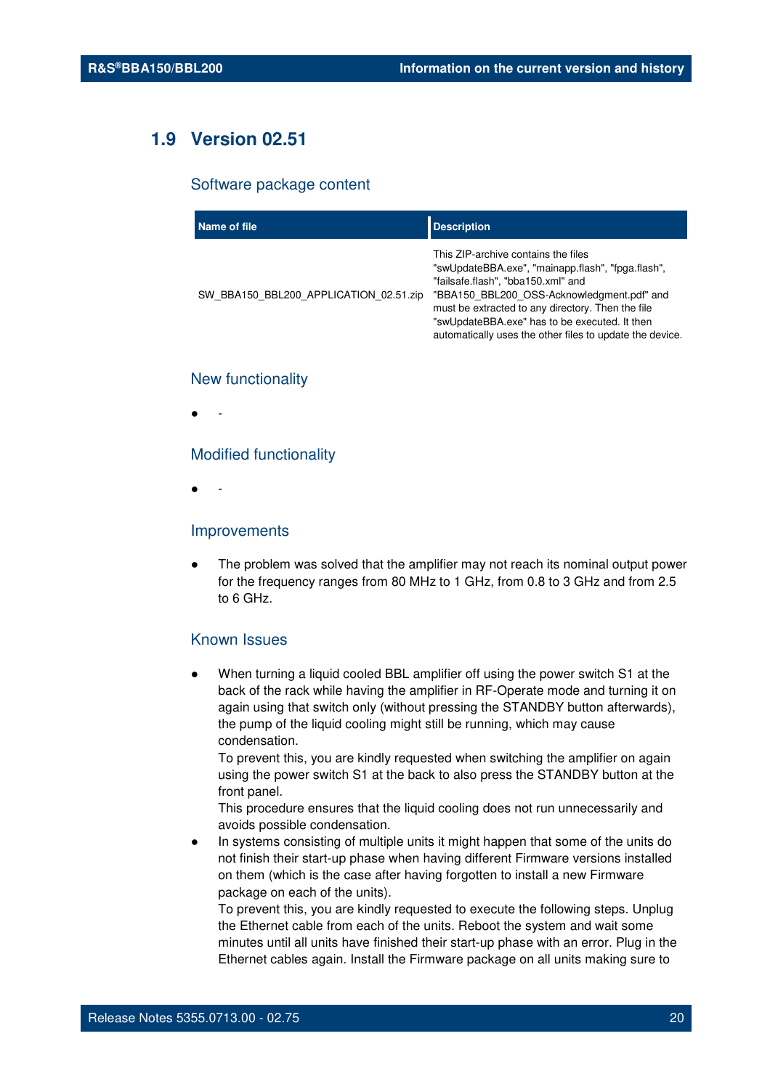## **1.9 Version 02.51**

#### Software package content

| Name of file                           | <b>Description</b>                                                                                                                                                                                                                                                                                                                             |
|----------------------------------------|------------------------------------------------------------------------------------------------------------------------------------------------------------------------------------------------------------------------------------------------------------------------------------------------------------------------------------------------|
| SW BBA150 BBL200 APPLICATION 02.51.zip | This ZIP-archive contains the files<br>"swUpdateBBA.exe", "mainapp.flash", "fpga.flash",<br>"failsafe.flash", "bba150.xml" and<br>"BBA150 BBL200 OSS-Acknowledgment.pdf" and<br>must be extracted to any directory. Then the file<br>"swUpdateBBA.exe" has to be executed. It then<br>automatically uses the other files to update the device. |

#### New functionality

● -

#### Modified functionality

● -

#### Improvements

The problem was solved that the amplifier may not reach its nominal output power for the frequency ranges from 80 MHz to 1 GHz, from 0.8 to 3 GHz and from 2.5 to 6 GHz.

#### Known Issues

When turning a liquid cooled BBL amplifier off using the power switch S1 at the back of the rack while having the amplifier in RF-Operate mode and turning it on again using that switch only (without pressing the STANDBY button afterwards), the pump of the liquid cooling might still be running, which may cause condensation.

To prevent this, you are kindly requested when switching the amplifier on again using the power switch S1 at the back to also press the STANDBY button at the front panel.

This procedure ensures that the liquid cooling does not run unnecessarily and avoids possible condensation.

In systems consisting of multiple units it might happen that some of the units do not finish their start-up phase when having different Firmware versions installed on them (which is the case after having forgotten to install a new Firmware package on each of the units).

To prevent this, you are kindly requested to execute the following steps. Unplug the Ethernet cable from each of the units. Reboot the system and wait some minutes until all units have finished their start-up phase with an error. Plug in the Ethernet cables again. Install the Firmware package on all units making sure to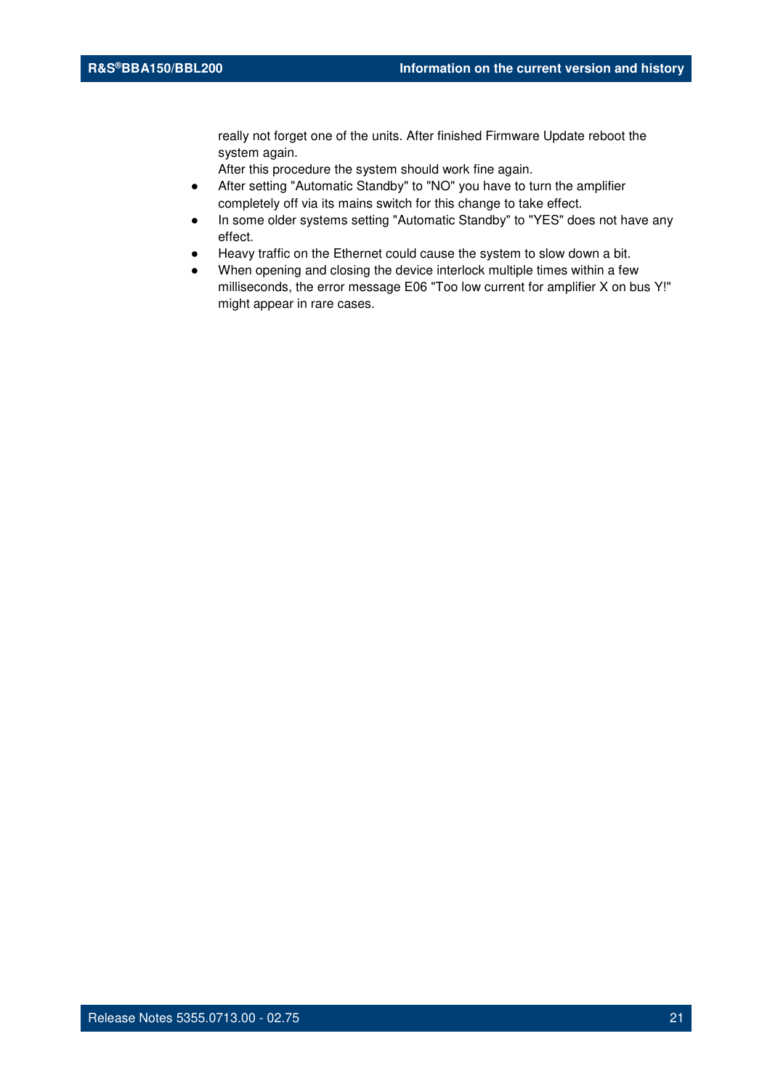really not forget one of the units. After finished Firmware Update reboot the system again.

- After setting "Automatic Standby" to "NO" you have to turn the amplifier completely off via its mains switch for this change to take effect.
- In some older systems setting "Automatic Standby" to "YES" does not have any effect.
- Heavy traffic on the Ethernet could cause the system to slow down a bit.
- When opening and closing the device interlock multiple times within a few milliseconds, the error message E06 "Too low current for amplifier X on bus Y!" might appear in rare cases.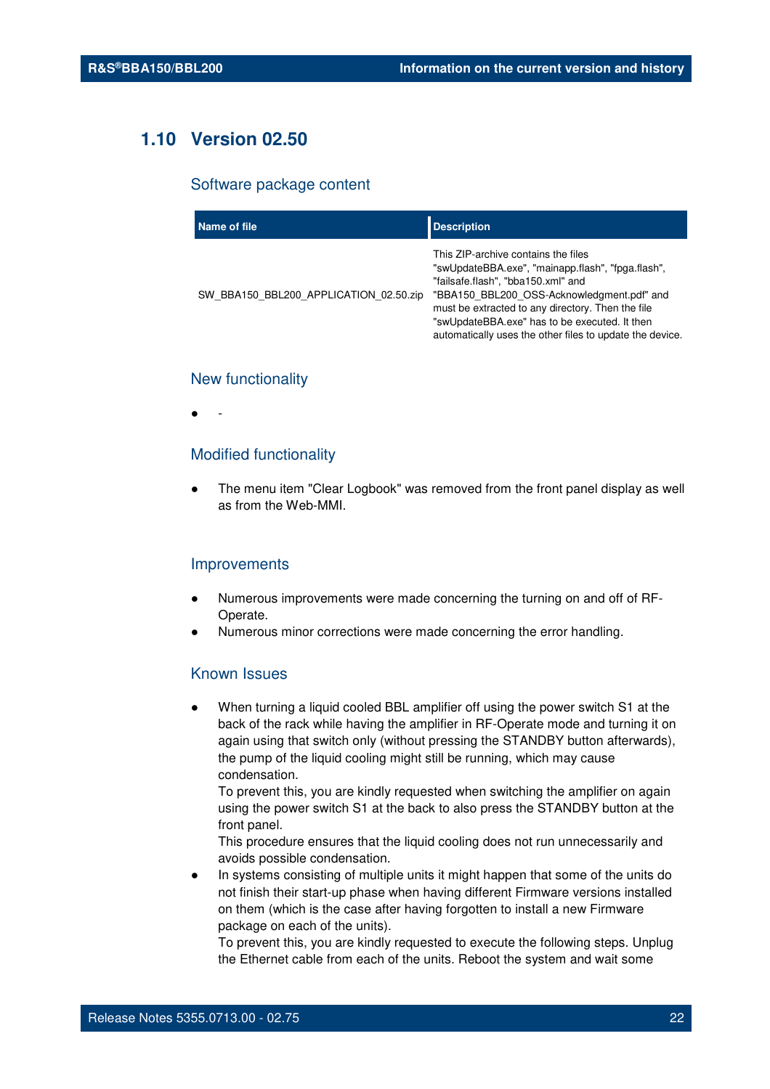## **1.10 Version 02.50**

#### Software package content

| Name of file                           | <b>Description</b>                                                                                                                                                                                                                                                                                                                             |
|----------------------------------------|------------------------------------------------------------------------------------------------------------------------------------------------------------------------------------------------------------------------------------------------------------------------------------------------------------------------------------------------|
| SW BBA150 BBL200 APPLICATION 02.50.zip | This ZIP-archive contains the files<br>"swUpdateBBA.exe", "mainapp.flash", "fpga.flash",<br>"failsafe.flash", "bba150.xml" and<br>"BBA150 BBL200 OSS-Acknowledgment.pdf" and<br>must be extracted to any directory. Then the file<br>"swUpdateBBA.exe" has to be executed. It then<br>automatically uses the other files to update the device. |

#### New functionality

● -

#### Modified functionality

The menu item "Clear Logbook" was removed from the front panel display as well as from the Web-MMI.

#### Improvements

- Numerous improvements were made concerning the turning on and off of RF-Operate.
- Numerous minor corrections were made concerning the error handling.

#### Known Issues

When turning a liquid cooled BBL amplifier off using the power switch S1 at the back of the rack while having the amplifier in RF-Operate mode and turning it on again using that switch only (without pressing the STANDBY button afterwards), the pump of the liquid cooling might still be running, which may cause condensation.

To prevent this, you are kindly requested when switching the amplifier on again using the power switch S1 at the back to also press the STANDBY button at the front panel.

This procedure ensures that the liquid cooling does not run unnecessarily and avoids possible condensation.

In systems consisting of multiple units it might happen that some of the units do not finish their start-up phase when having different Firmware versions installed on them (which is the case after having forgotten to install a new Firmware package on each of the units).

To prevent this, you are kindly requested to execute the following steps. Unplug the Ethernet cable from each of the units. Reboot the system and wait some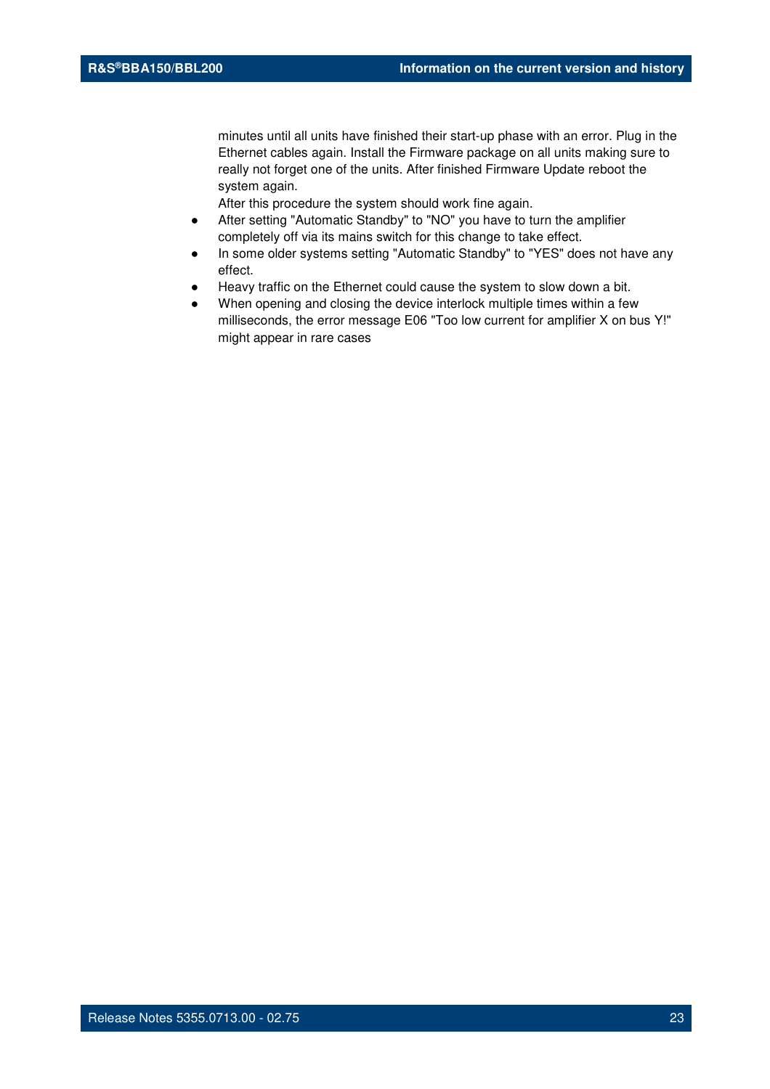minutes until all units have finished their start-up phase with an error. Plug in the Ethernet cables again. Install the Firmware package on all units making sure to really not forget one of the units. After finished Firmware Update reboot the system again.

- After setting "Automatic Standby" to "NO" you have to turn the amplifier completely off via its mains switch for this change to take effect.
- In some older systems setting "Automatic Standby" to "YES" does not have any effect.
- Heavy traffic on the Ethernet could cause the system to slow down a bit.
- When opening and closing the device interlock multiple times within a few milliseconds, the error message E06 "Too low current for amplifier X on bus Y!" might appear in rare cases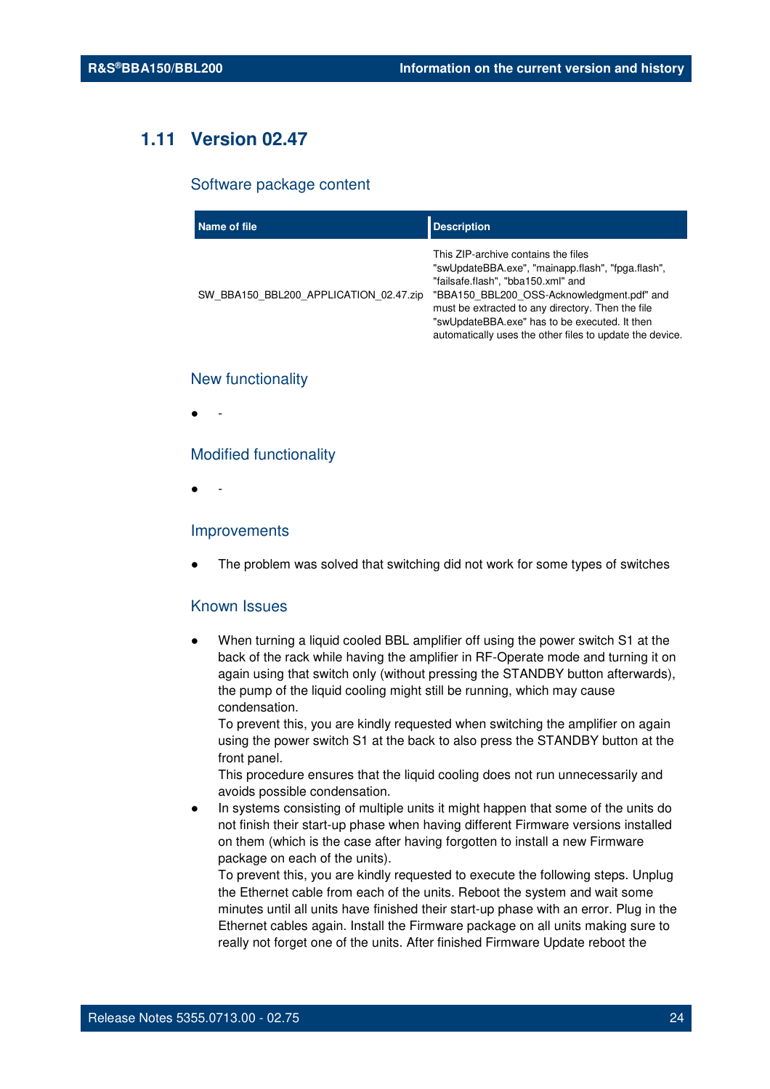## **1.11 Version 02.47**

#### Software package content

| Name of file                           | <b>Description</b>                                                                                                                                                                                                                                                                                                                             |
|----------------------------------------|------------------------------------------------------------------------------------------------------------------------------------------------------------------------------------------------------------------------------------------------------------------------------------------------------------------------------------------------|
| SW BBA150 BBL200 APPLICATION 02.47.zip | This ZIP-archive contains the files<br>"swUpdateBBA.exe", "mainapp.flash", "fpga.flash",<br>"failsafe.flash", "bba150.xml" and<br>"BBA150 BBL200 OSS-Acknowledgment.pdf" and<br>must be extracted to any directory. Then the file<br>"swUpdateBBA.exe" has to be executed. It then<br>automatically uses the other files to update the device. |

#### New functionality

● -

#### Modified functionality

● -

#### Improvements

The problem was solved that switching did not work for some types of switches

#### Known Issues

When turning a liquid cooled BBL amplifier off using the power switch S1 at the back of the rack while having the amplifier in RF-Operate mode and turning it on again using that switch only (without pressing the STANDBY button afterwards), the pump of the liquid cooling might still be running, which may cause condensation.

To prevent this, you are kindly requested when switching the amplifier on again using the power switch S1 at the back to also press the STANDBY button at the front panel.

This procedure ensures that the liquid cooling does not run unnecessarily and avoids possible condensation.

In systems consisting of multiple units it might happen that some of the units do not finish their start-up phase when having different Firmware versions installed on them (which is the case after having forgotten to install a new Firmware package on each of the units).

To prevent this, you are kindly requested to execute the following steps. Unplug the Ethernet cable from each of the units. Reboot the system and wait some minutes until all units have finished their start-up phase with an error. Plug in the Ethernet cables again. Install the Firmware package on all units making sure to really not forget one of the units. After finished Firmware Update reboot the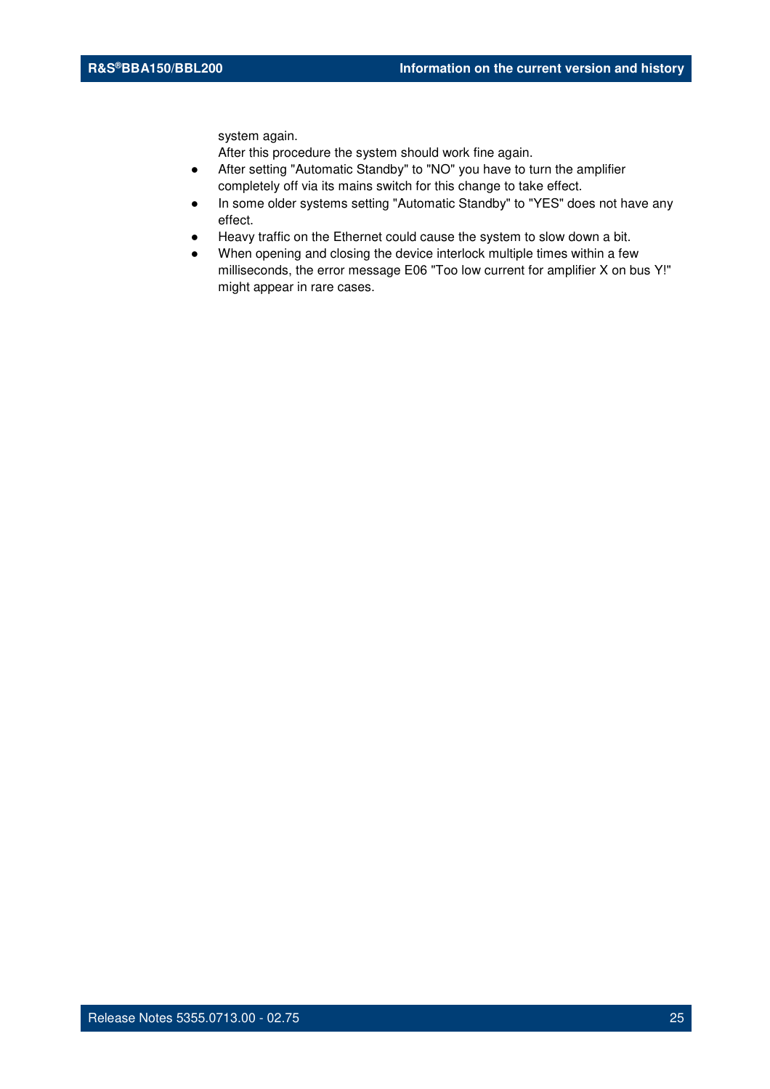system again.

- After setting "Automatic Standby" to "NO" you have to turn the amplifier completely off via its mains switch for this change to take effect.
- In some older systems setting "Automatic Standby" to "YES" does not have any effect.
- Heavy traffic on the Ethernet could cause the system to slow down a bit.
- When opening and closing the device interlock multiple times within a few milliseconds, the error message E06 "Too low current for amplifier X on bus Y!" might appear in rare cases.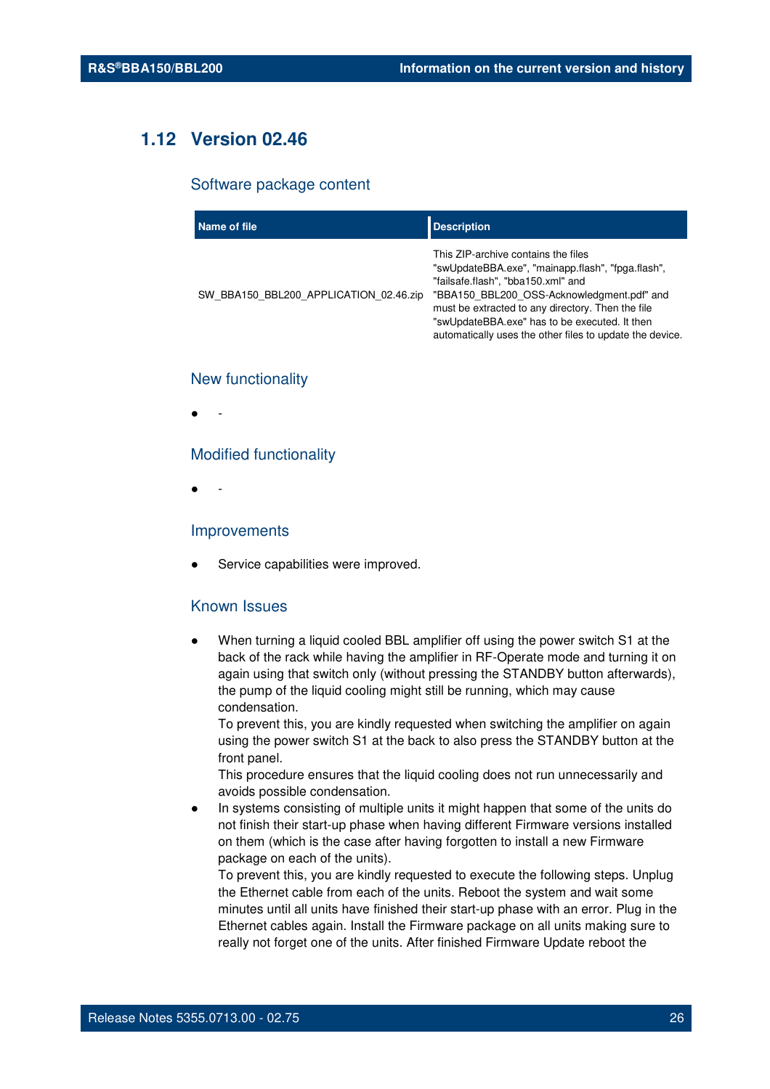## **1.12 Version 02.46**

#### Software package content

| Name of file                           | <b>Description</b>                                                                                                                                                                                                                                                                                                                             |
|----------------------------------------|------------------------------------------------------------------------------------------------------------------------------------------------------------------------------------------------------------------------------------------------------------------------------------------------------------------------------------------------|
| SW BBA150 BBL200 APPLICATION 02.46.zip | This ZIP-archive contains the files<br>"swUpdateBBA.exe", "mainapp.flash", "fpga.flash",<br>"failsafe.flash", "bba150.xml" and<br>"BBA150 BBL200 OSS-Acknowledgment.pdf" and<br>must be extracted to any directory. Then the file<br>"swUpdateBBA.exe" has to be executed. It then<br>automatically uses the other files to update the device. |

#### New functionality

● -

#### Modified functionality

● -

#### Improvements

Service capabilities were improved.

#### Known Issues

When turning a liquid cooled BBL amplifier off using the power switch S1 at the back of the rack while having the amplifier in RF-Operate mode and turning it on again using that switch only (without pressing the STANDBY button afterwards), the pump of the liquid cooling might still be running, which may cause condensation.

To prevent this, you are kindly requested when switching the amplifier on again using the power switch S1 at the back to also press the STANDBY button at the front panel.

This procedure ensures that the liquid cooling does not run unnecessarily and avoids possible condensation.

In systems consisting of multiple units it might happen that some of the units do not finish their start-up phase when having different Firmware versions installed on them (which is the case after having forgotten to install a new Firmware package on each of the units).

To prevent this, you are kindly requested to execute the following steps. Unplug the Ethernet cable from each of the units. Reboot the system and wait some minutes until all units have finished their start-up phase with an error. Plug in the Ethernet cables again. Install the Firmware package on all units making sure to really not forget one of the units. After finished Firmware Update reboot the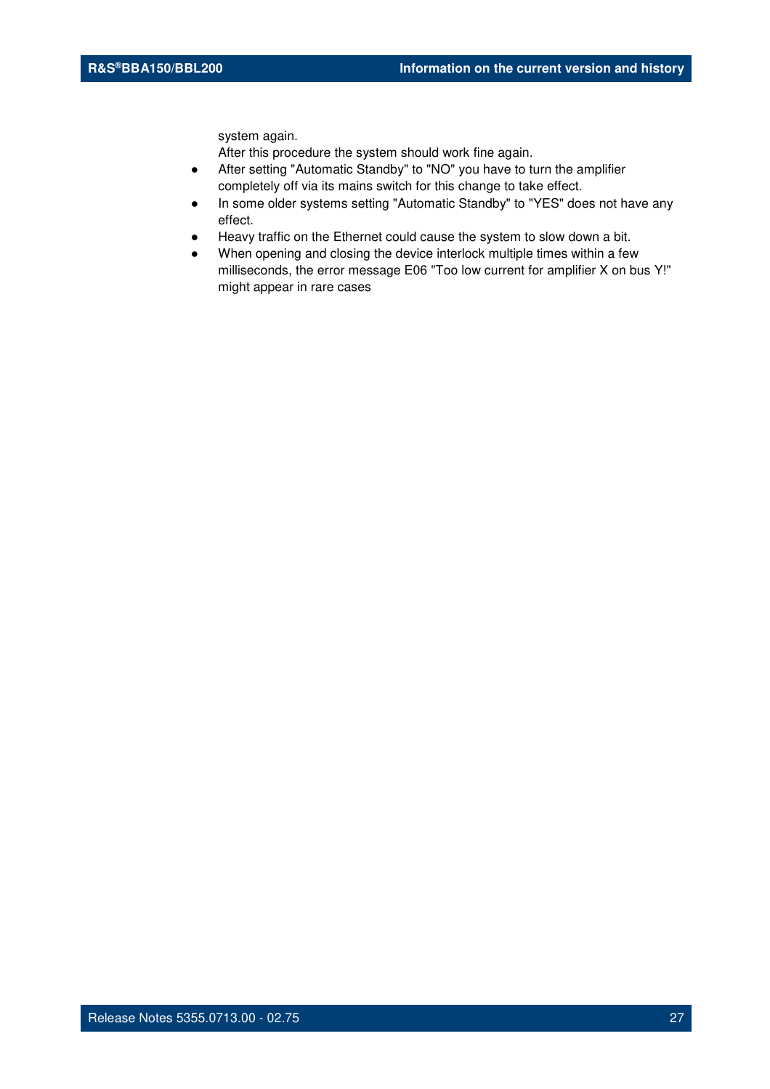system again.

- After setting "Automatic Standby" to "NO" you have to turn the amplifier completely off via its mains switch for this change to take effect.
- In some older systems setting "Automatic Standby" to "YES" does not have any effect.
- Heavy traffic on the Ethernet could cause the system to slow down a bit.
- When opening and closing the device interlock multiple times within a few milliseconds, the error message E06 "Too low current for amplifier X on bus Y!" might appear in rare cases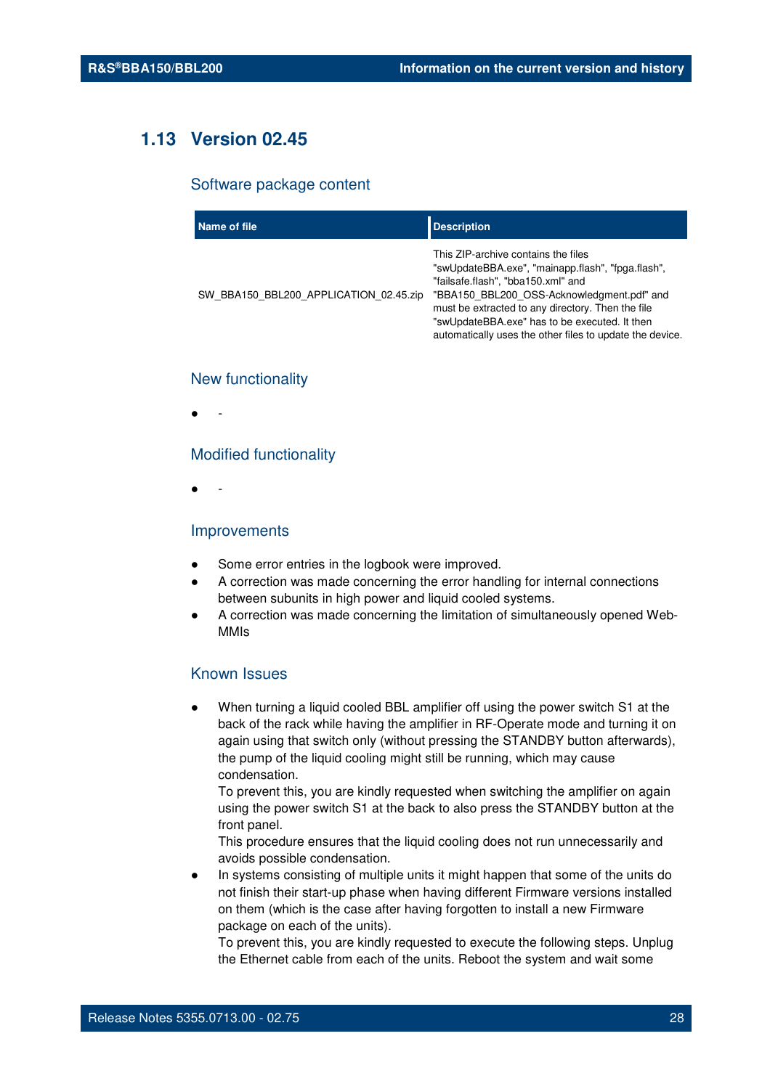## **1.13 Version 02.45**

#### Software package content

| Name of file                           | <b>Description</b>                                                                                                                                                                                                                                                                                                                             |
|----------------------------------------|------------------------------------------------------------------------------------------------------------------------------------------------------------------------------------------------------------------------------------------------------------------------------------------------------------------------------------------------|
| SW BBA150 BBL200 APPLICATION 02.45.zip | This ZIP-archive contains the files<br>"swUpdateBBA.exe", "mainapp.flash", "fpga.flash",<br>"failsafe.flash", "bba150.xml" and<br>"BBA150 BBL200 OSS-Acknowledgment.pdf" and<br>must be extracted to any directory. Then the file<br>"swUpdateBBA.exe" has to be executed. It then<br>automatically uses the other files to update the device. |

#### New functionality

● -

#### Modified functionality

● -

#### Improvements

- Some error entries in the logbook were improved.
- A correction was made concerning the error handling for internal connections between subunits in high power and liquid cooled systems.
- A correction was made concerning the limitation of simultaneously opened Web-MMIs

### Known Issues

When turning a liquid cooled BBL amplifier off using the power switch S1 at the back of the rack while having the amplifier in RF-Operate mode and turning it on again using that switch only (without pressing the STANDBY button afterwards), the pump of the liquid cooling might still be running, which may cause condensation.

To prevent this, you are kindly requested when switching the amplifier on again using the power switch S1 at the back to also press the STANDBY button at the front panel.

This procedure ensures that the liquid cooling does not run unnecessarily and avoids possible condensation.

In systems consisting of multiple units it might happen that some of the units do not finish their start-up phase when having different Firmware versions installed on them (which is the case after having forgotten to install a new Firmware package on each of the units).

To prevent this, you are kindly requested to execute the following steps. Unplug the Ethernet cable from each of the units. Reboot the system and wait some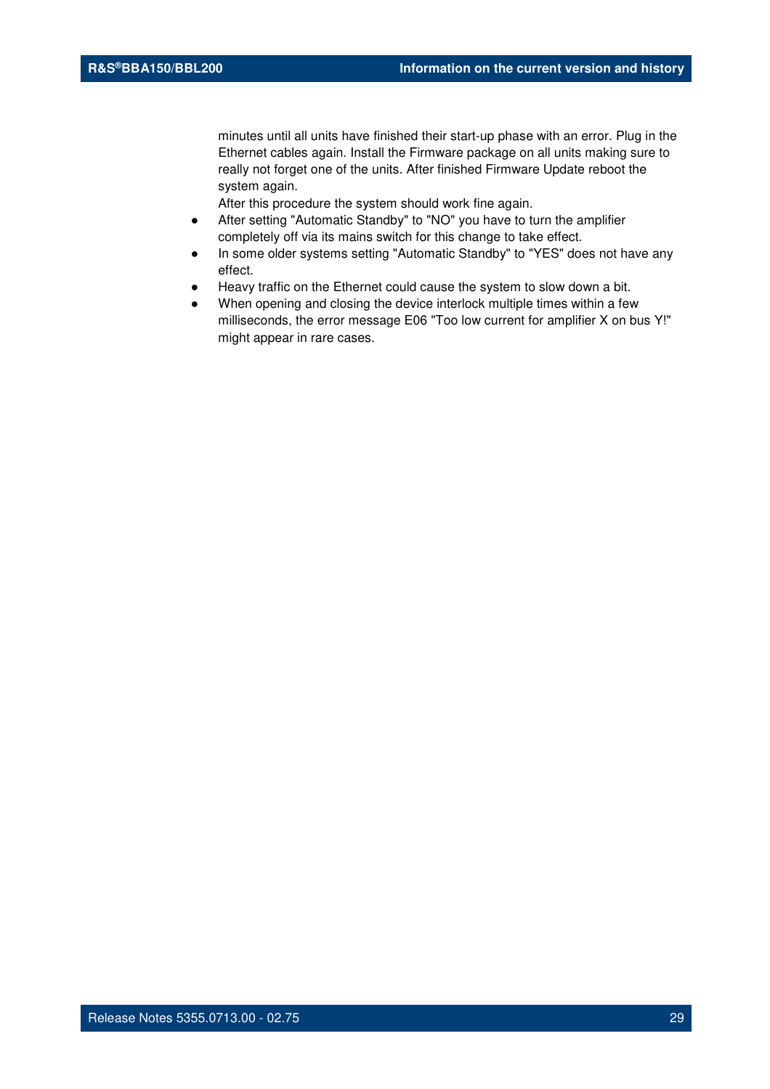minutes until all units have finished their start-up phase with an error. Plug in the Ethernet cables again. Install the Firmware package on all units making sure to really not forget one of the units. After finished Firmware Update reboot the system again.

- After setting "Automatic Standby" to "NO" you have to turn the amplifier completely off via its mains switch for this change to take effect.
- In some older systems setting "Automatic Standby" to "YES" does not have any effect.
- Heavy traffic on the Ethernet could cause the system to slow down a bit.
- When opening and closing the device interlock multiple times within a few milliseconds, the error message E06 "Too low current for amplifier X on bus Y!" might appear in rare cases.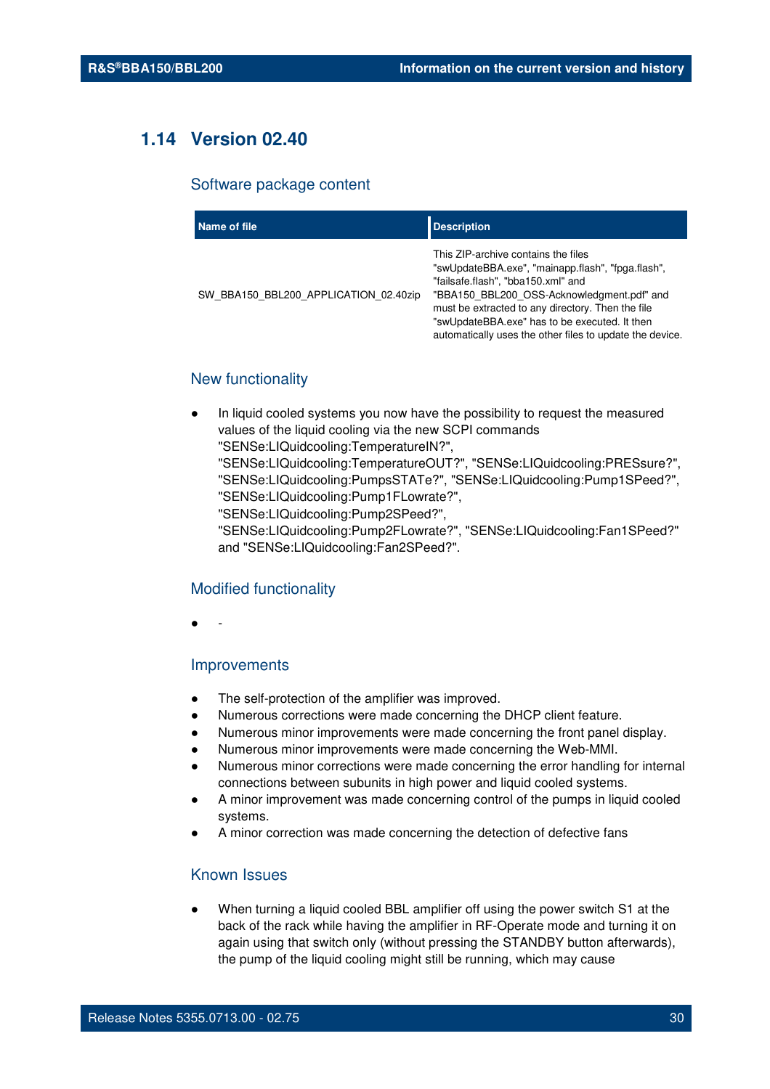## **1.14 Version 02.40**

#### Software package content

| Name of file                          | <b>Description</b>                                                                                                                                                                                                                                                                                                                             |
|---------------------------------------|------------------------------------------------------------------------------------------------------------------------------------------------------------------------------------------------------------------------------------------------------------------------------------------------------------------------------------------------|
| SW BBA150 BBL200 APPLICATION 02.40zip | This ZIP-archive contains the files<br>"swUpdateBBA.exe", "mainapp.flash", "fpga.flash",<br>"failsafe.flash", "bba150.xml" and<br>"BBA150 BBL200 OSS-Acknowledgment.pdf" and<br>must be extracted to any directory. Then the file<br>"swUpdateBBA.exe" has to be executed. It then<br>automatically uses the other files to update the device. |

#### New functionality

- In liquid cooled systems you now have the possibility to request the measured values of the liquid cooling via the new SCPI commands "SENSe:LIQuidcooling:TemperatureIN?",
	- "SENSe:LIQuidcooling:TemperatureOUT?", "SENSe:LIQuidcooling:PRESsure?", "SENSe:LIQuidcooling:PumpsSTATe?", "SENSe:LIQuidcooling:Pump1SPeed?", "SENSe:LIQuidcooling:Pump1FLowrate?",
	- "SENSe:LIQuidcooling:Pump2SPeed?",
	- "SENSe:LIQuidcooling:Pump2FLowrate?", "SENSe:LIQuidcooling:Fan1SPeed?" and "SENSe:LIQuidcooling:Fan2SPeed?".

#### Modified functionality

● -

#### Improvements

- The self-protection of the amplifier was improved.
- Numerous corrections were made concerning the DHCP client feature.
- Numerous minor improvements were made concerning the front panel display.
- Numerous minor improvements were made concerning the Web-MMI.
- Numerous minor corrections were made concerning the error handling for internal connections between subunits in high power and liquid cooled systems.
- A minor improvement was made concerning control of the pumps in liquid cooled systems.
- A minor correction was made concerning the detection of defective fans

#### Known Issues

When turning a liquid cooled BBL amplifier off using the power switch S1 at the back of the rack while having the amplifier in RF-Operate mode and turning it on again using that switch only (without pressing the STANDBY button afterwards), the pump of the liquid cooling might still be running, which may cause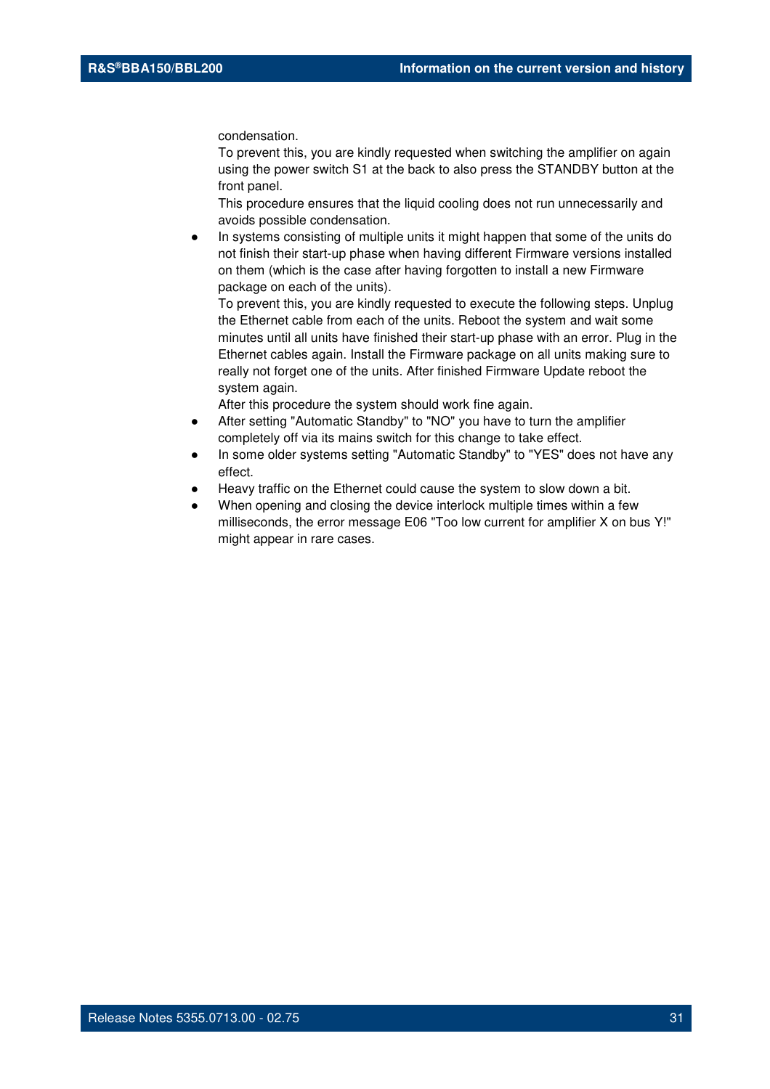condensation.

To prevent this, you are kindly requested when switching the amplifier on again using the power switch S1 at the back to also press the STANDBY button at the front panel.

This procedure ensures that the liquid cooling does not run unnecessarily and avoids possible condensation.

In systems consisting of multiple units it might happen that some of the units do not finish their start-up phase when having different Firmware versions installed on them (which is the case after having forgotten to install a new Firmware package on each of the units).

To prevent this, you are kindly requested to execute the following steps. Unplug the Ethernet cable from each of the units. Reboot the system and wait some minutes until all units have finished their start-up phase with an error. Plug in the Ethernet cables again. Install the Firmware package on all units making sure to really not forget one of the units. After finished Firmware Update reboot the system again.

- After setting "Automatic Standby" to "NO" you have to turn the amplifier completely off via its mains switch for this change to take effect.
- In some older systems setting "Automatic Standby" to "YES" does not have any effect.
- Heavy traffic on the Ethernet could cause the system to slow down a bit.
- When opening and closing the device interlock multiple times within a few milliseconds, the error message E06 "Too low current for amplifier X on bus Y!" might appear in rare cases.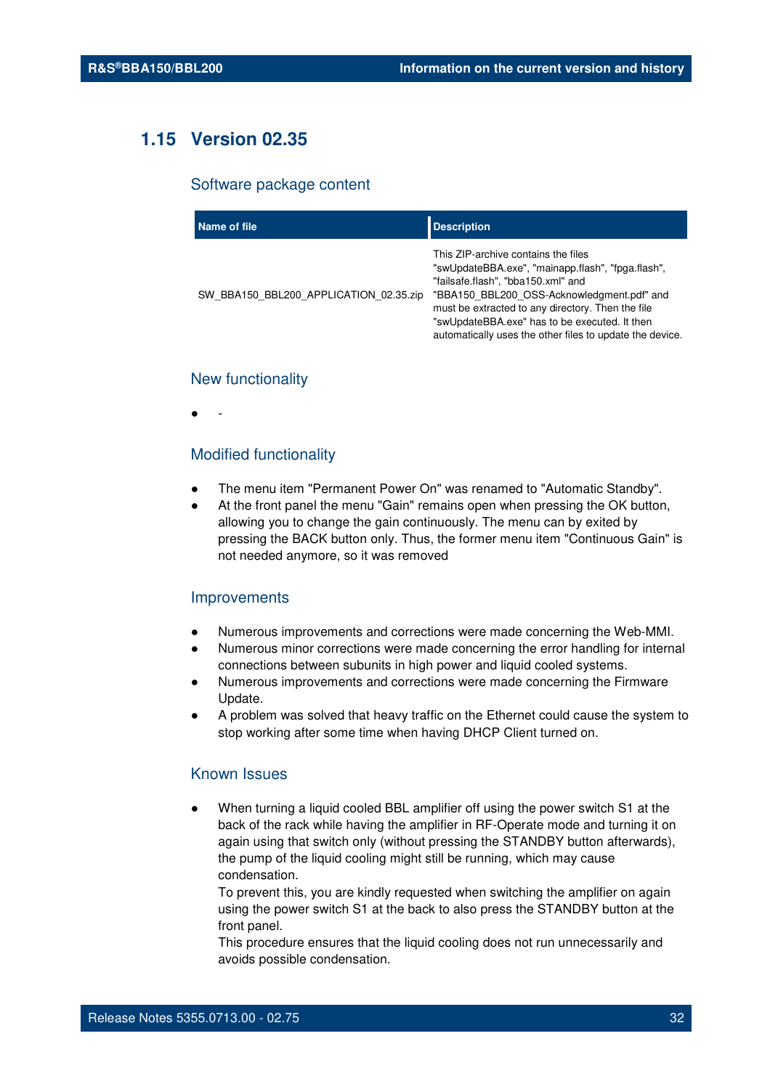## **1.15 Version 02.35**

#### Software package content

| Name of file                           | <b>Description</b>                                                                                                                                                                                                                                                                                                                             |
|----------------------------------------|------------------------------------------------------------------------------------------------------------------------------------------------------------------------------------------------------------------------------------------------------------------------------------------------------------------------------------------------|
| SW BBA150 BBL200 APPLICATION 02.35.zip | This ZIP-archive contains the files<br>"swUpdateBBA.exe", "mainapp.flash", "fpga.flash",<br>"failsafe.flash", "bba150.xml" and<br>"BBA150 BBL200 OSS-Acknowledgment.pdf" and<br>must be extracted to any directory. Then the file<br>"swUpdateBBA.exe" has to be executed. It then<br>automatically uses the other files to update the device. |

#### New functionality

● -

#### Modified functionality

- The menu item "Permanent Power On" was renamed to "Automatic Standby".
- At the front panel the menu "Gain" remains open when pressing the OK button, allowing you to change the gain continuously. The menu can by exited by pressing the BACK button only. Thus, the former menu item "Continuous Gain" is not needed anymore, so it was removed

#### Improvements

- Numerous improvements and corrections were made concerning the Web-MMI.
- Numerous minor corrections were made concerning the error handling for internal connections between subunits in high power and liquid cooled systems.
- Numerous improvements and corrections were made concerning the Firmware Update.
- A problem was solved that heavy traffic on the Ethernet could cause the system to stop working after some time when having DHCP Client turned on.

#### Known Issues

When turning a liquid cooled BBL amplifier off using the power switch S1 at the back of the rack while having the amplifier in RF-Operate mode and turning it on again using that switch only (without pressing the STANDBY button afterwards), the pump of the liquid cooling might still be running, which may cause condensation.

To prevent this, you are kindly requested when switching the amplifier on again using the power switch S1 at the back to also press the STANDBY button at the front panel.

This procedure ensures that the liquid cooling does not run unnecessarily and avoids possible condensation.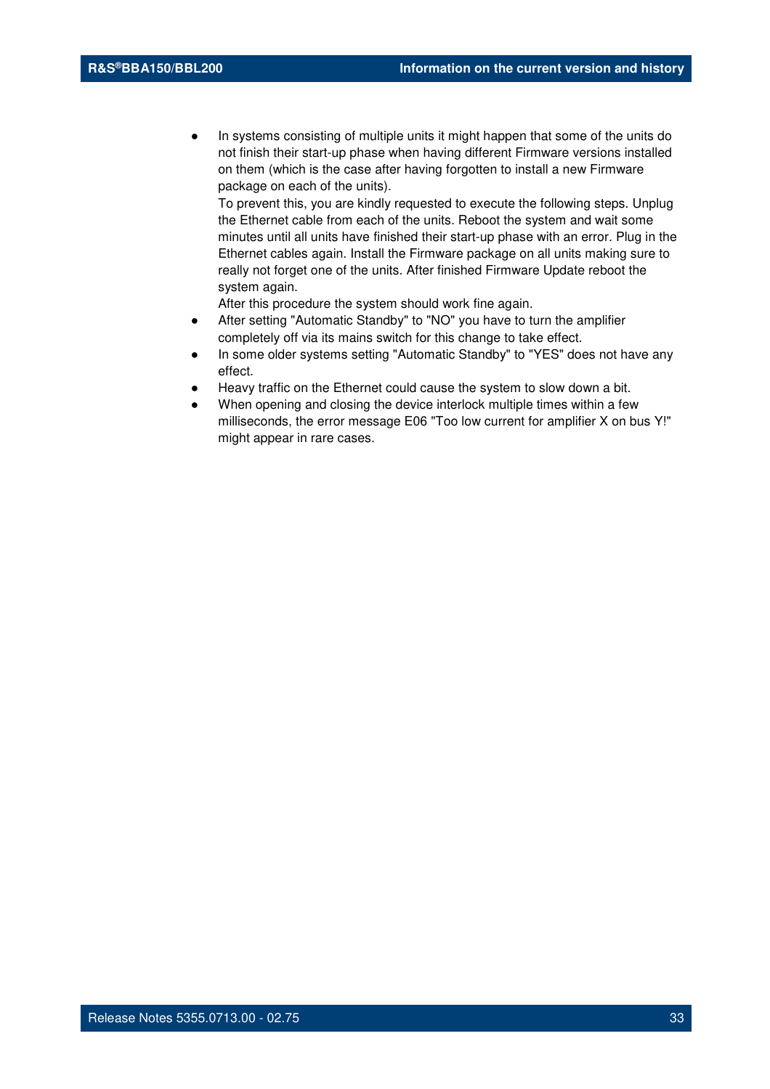In systems consisting of multiple units it might happen that some of the units do not finish their start-up phase when having different Firmware versions installed on them (which is the case after having forgotten to install a new Firmware package on each of the units).

To prevent this, you are kindly requested to execute the following steps. Unplug the Ethernet cable from each of the units. Reboot the system and wait some minutes until all units have finished their start-up phase with an error. Plug in the Ethernet cables again. Install the Firmware package on all units making sure to really not forget one of the units. After finished Firmware Update reboot the system again.

- After setting "Automatic Standby" to "NO" you have to turn the amplifier completely off via its mains switch for this change to take effect.
- In some older systems setting "Automatic Standby" to "YES" does not have any effect.
- Heavy traffic on the Ethernet could cause the system to slow down a bit.
- When opening and closing the device interlock multiple times within a few milliseconds, the error message E06 "Too low current for amplifier X on bus Y!" might appear in rare cases.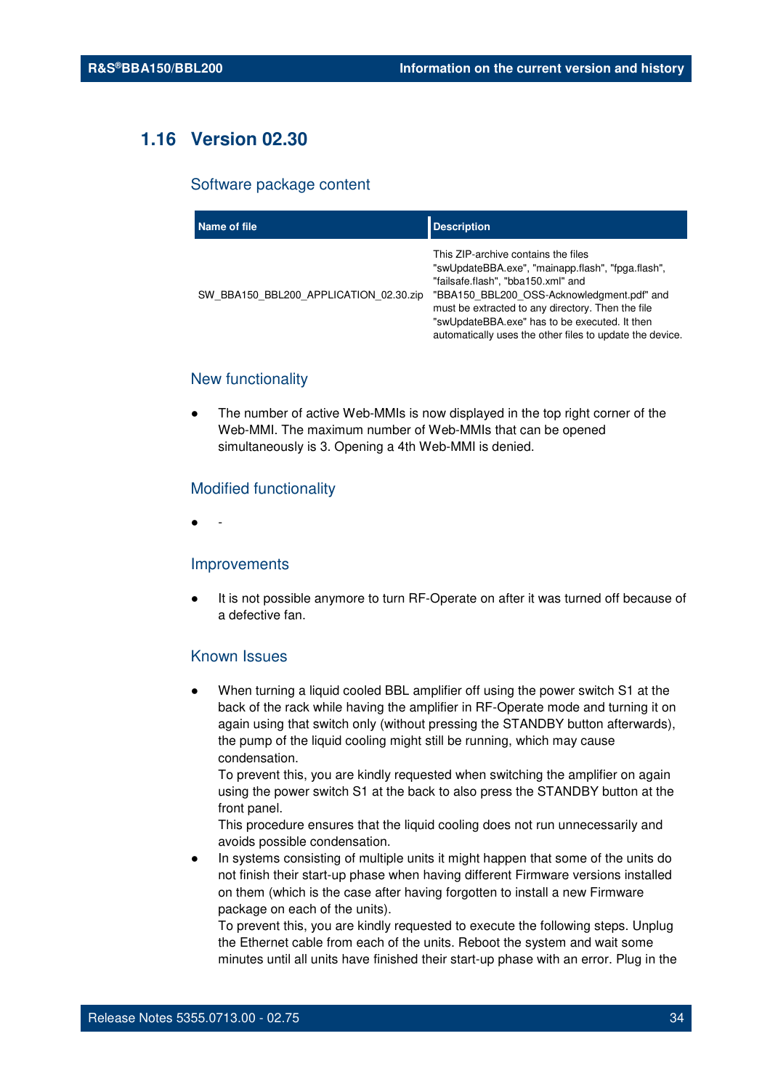## **1.16 Version 02.30**

#### Software package content

| Name of file                           | <b>Description</b>                                                                                                                                                                                                                                                                                                                             |
|----------------------------------------|------------------------------------------------------------------------------------------------------------------------------------------------------------------------------------------------------------------------------------------------------------------------------------------------------------------------------------------------|
| SW BBA150 BBL200 APPLICATION 02.30.zip | This ZIP-archive contains the files<br>"swUpdateBBA.exe", "mainapp.flash", "fpga.flash",<br>"failsafe.flash", "bba150.xml" and<br>"BBA150 BBL200 OSS-Acknowledgment.pdf" and<br>must be extracted to any directory. Then the file<br>"swUpdateBBA.exe" has to be executed. It then<br>automatically uses the other files to update the device. |

#### New functionality

The number of active Web-MMIs is now displayed in the top right corner of the Web-MMI. The maximum number of Web-MMIs that can be opened simultaneously is 3. Opening a 4th Web-MMI is denied.

#### Modified functionality

● -

#### Improvements

It is not possible anymore to turn RF-Operate on after it was turned off because of a defective fan.

#### Known Issues

When turning a liquid cooled BBL amplifier off using the power switch S1 at the back of the rack while having the amplifier in RF-Operate mode and turning it on again using that switch only (without pressing the STANDBY button afterwards), the pump of the liquid cooling might still be running, which may cause condensation.

To prevent this, you are kindly requested when switching the amplifier on again using the power switch S1 at the back to also press the STANDBY button at the front panel.

This procedure ensures that the liquid cooling does not run unnecessarily and avoids possible condensation.

In systems consisting of multiple units it might happen that some of the units do not finish their start-up phase when having different Firmware versions installed on them (which is the case after having forgotten to install a new Firmware package on each of the units).

To prevent this, you are kindly requested to execute the following steps. Unplug the Ethernet cable from each of the units. Reboot the system and wait some minutes until all units have finished their start-up phase with an error. Plug in the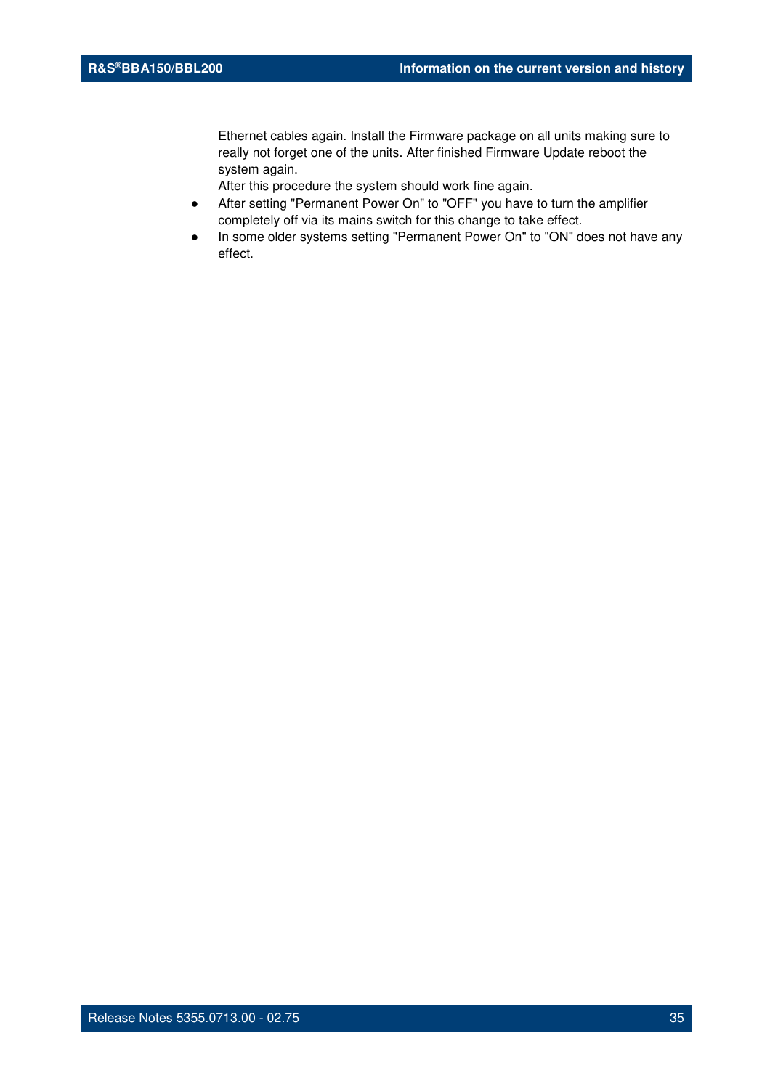Ethernet cables again. Install the Firmware package on all units making sure to really not forget one of the units. After finished Firmware Update reboot the system again.

- After setting "Permanent Power On" to "OFF" you have to turn the amplifier completely off via its mains switch for this change to take effect.
- In some older systems setting "Permanent Power On" to "ON" does not have any effect.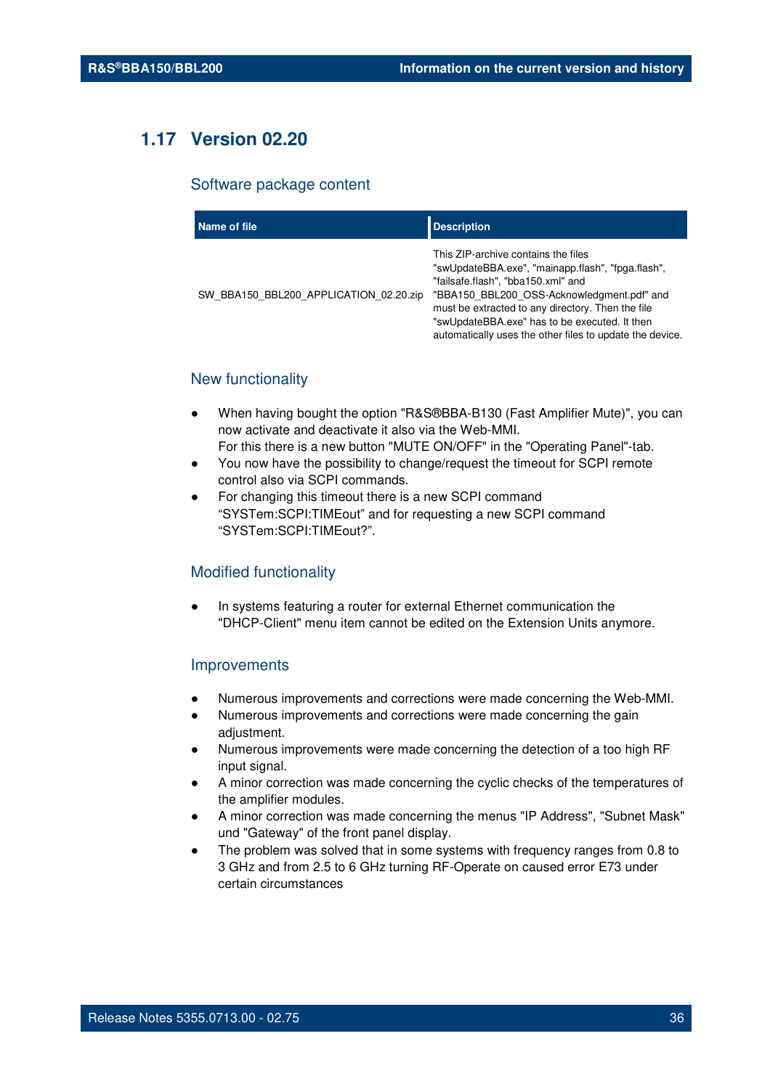## **1.17 Version 02.20**

#### Software package content

| Name of file                           | <b>Description</b>                                                                                                                                                                                                                                                                                                                             |
|----------------------------------------|------------------------------------------------------------------------------------------------------------------------------------------------------------------------------------------------------------------------------------------------------------------------------------------------------------------------------------------------|
| SW BBA150 BBL200 APPLICATION 02.20.zip | This ZIP-archive contains the files<br>"swUpdateBBA.exe", "mainapp.flash", "fpga.flash",<br>"failsafe.flash", "bba150.xml" and<br>"BBA150 BBL200 OSS-Acknowledgment.pdf" and<br>must be extracted to any directory. Then the file<br>"swUpdateBBA.exe" has to be executed. It then<br>automatically uses the other files to update the device. |

#### New functionality

- When having bought the option "R&S®BBA-B130 (Fast Amplifier Mute)", you can now activate and deactivate it also via the Web-MMI. For this there is a new button "MUTE ON/OFF" in the "Operating Panel"-tab.
- You now have the possibility to change/request the timeout for SCPI remote control also via SCPI commands.
- For changing this timeout there is a new SCPI command "SYSTem:SCPI:TIMEout" and for requesting a new SCPI command "SYSTem:SCPI:TIMEout?".

#### Modified functionality

In systems featuring a router for external Ethernet communication the "DHCP-Client" menu item cannot be edited on the Extension Units anymore.

#### Improvements

- Numerous improvements and corrections were made concerning the Web-MMI.
- Numerous improvements and corrections were made concerning the gain adjustment.
- Numerous improvements were made concerning the detection of a too high RF input signal.
- A minor correction was made concerning the cyclic checks of the temperatures of the amplifier modules.
- A minor correction was made concerning the menus "IP Address", "Subnet Mask" und "Gateway" of the front panel display.
- The problem was solved that in some systems with frequency ranges from 0.8 to 3 GHz and from 2.5 to 6 GHz turning RF-Operate on caused error E73 under certain circumstances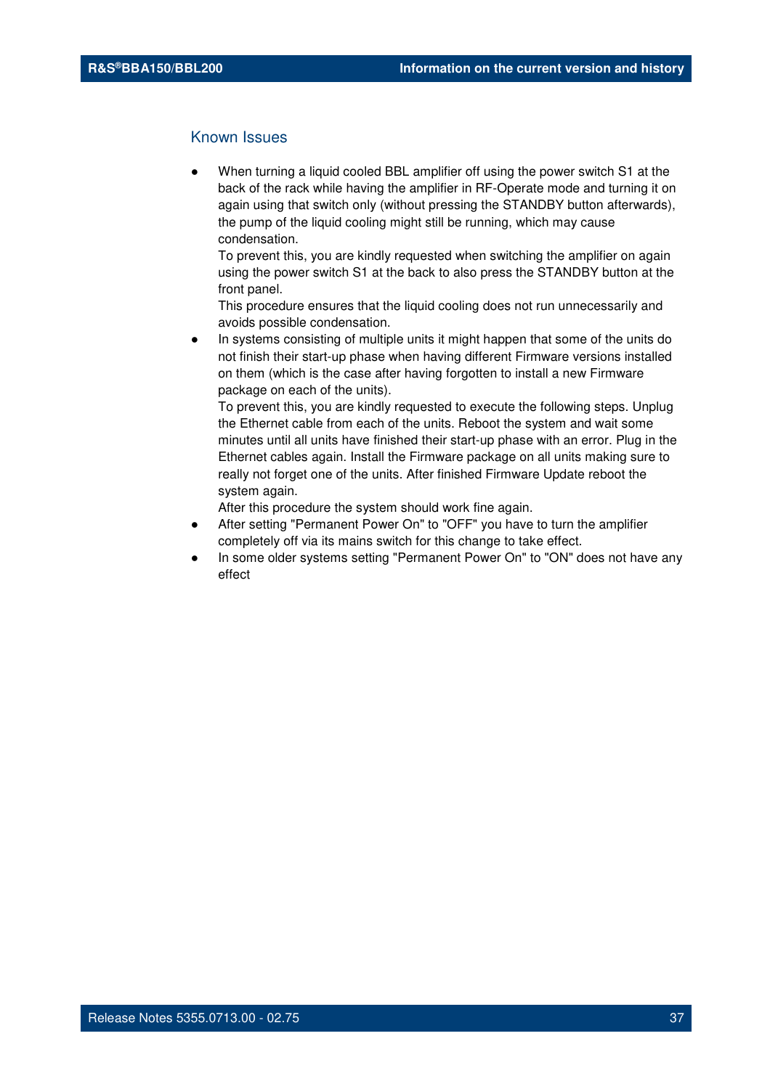## Known Issues

When turning a liquid cooled BBL amplifier off using the power switch S1 at the back of the rack while having the amplifier in RF-Operate mode and turning it on again using that switch only (without pressing the STANDBY button afterwards), the pump of the liquid cooling might still be running, which may cause condensation.

To prevent this, you are kindly requested when switching the amplifier on again using the power switch S1 at the back to also press the STANDBY button at the front panel.

This procedure ensures that the liquid cooling does not run unnecessarily and avoids possible condensation.

In systems consisting of multiple units it might happen that some of the units do not finish their start-up phase when having different Firmware versions installed on them (which is the case after having forgotten to install a new Firmware package on each of the units).

To prevent this, you are kindly requested to execute the following steps. Unplug the Ethernet cable from each of the units. Reboot the system and wait some minutes until all units have finished their start-up phase with an error. Plug in the Ethernet cables again. Install the Firmware package on all units making sure to really not forget one of the units. After finished Firmware Update reboot the system again.

After this procedure the system should work fine again.

- After setting "Permanent Power On" to "OFF" you have to turn the amplifier completely off via its mains switch for this change to take effect.
- In some older systems setting "Permanent Power On" to "ON" does not have any effect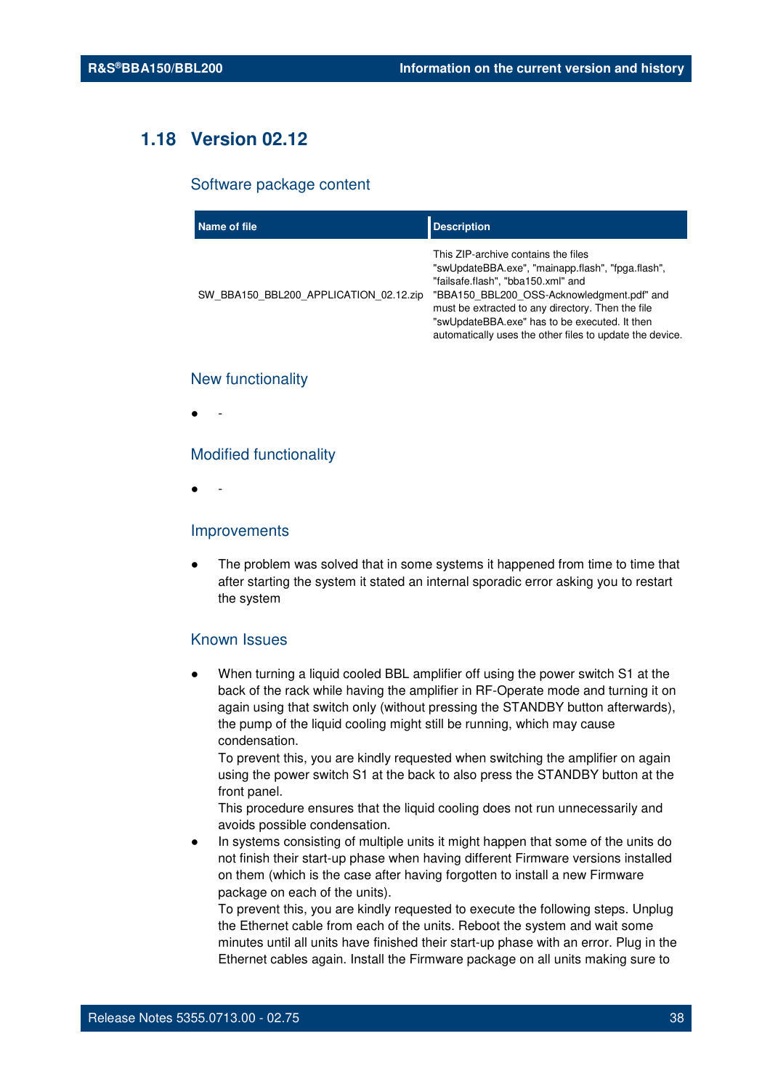# **1.18 Version 02.12**

#### Software package content

| Name of file                           | <b>Description</b>                                                                                                                                                                                                                                                                                                                             |
|----------------------------------------|------------------------------------------------------------------------------------------------------------------------------------------------------------------------------------------------------------------------------------------------------------------------------------------------------------------------------------------------|
| SW BBA150 BBL200 APPLICATION 02.12.zip | This ZIP-archive contains the files<br>"swUpdateBBA.exe", "mainapp.flash", "fpga.flash",<br>"failsafe.flash", "bba150.xml" and<br>"BBA150 BBL200 OSS-Acknowledgment.pdf" and<br>must be extracted to any directory. Then the file<br>"swUpdateBBA.exe" has to be executed. It then<br>automatically uses the other files to update the device. |

#### New functionality

● -

#### Modified functionality

● -

#### Improvements

The problem was solved that in some systems it happened from time to time that after starting the system it stated an internal sporadic error asking you to restart the system

#### Known Issues

When turning a liquid cooled BBL amplifier off using the power switch S1 at the back of the rack while having the amplifier in RF-Operate mode and turning it on again using that switch only (without pressing the STANDBY button afterwards), the pump of the liquid cooling might still be running, which may cause condensation.

To prevent this, you are kindly requested when switching the amplifier on again using the power switch S1 at the back to also press the STANDBY button at the front panel.

This procedure ensures that the liquid cooling does not run unnecessarily and avoids possible condensation.

In systems consisting of multiple units it might happen that some of the units do not finish their start-up phase when having different Firmware versions installed on them (which is the case after having forgotten to install a new Firmware package on each of the units).

To prevent this, you are kindly requested to execute the following steps. Unplug the Ethernet cable from each of the units. Reboot the system and wait some minutes until all units have finished their start-up phase with an error. Plug in the Ethernet cables again. Install the Firmware package on all units making sure to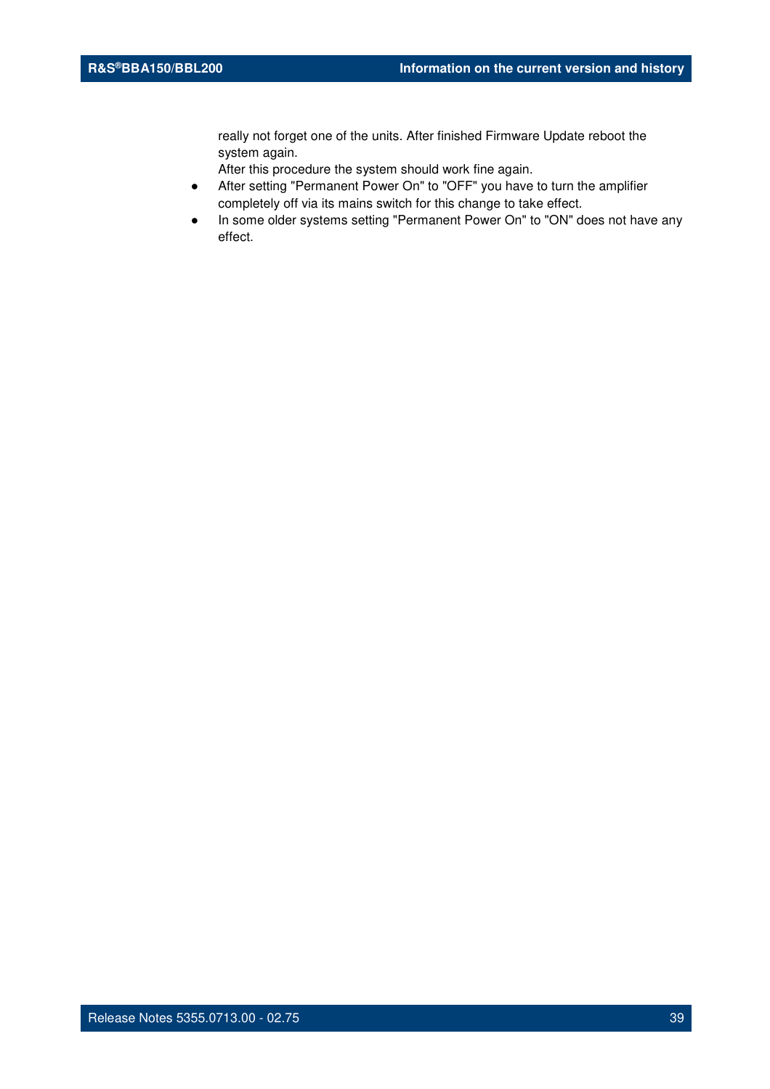really not forget one of the units. After finished Firmware Update reboot the system again.

After this procedure the system should work fine again.

- After setting "Permanent Power On" to "OFF" you have to turn the amplifier completely off via its mains switch for this change to take effect.
- In some older systems setting "Permanent Power On" to "ON" does not have any effect.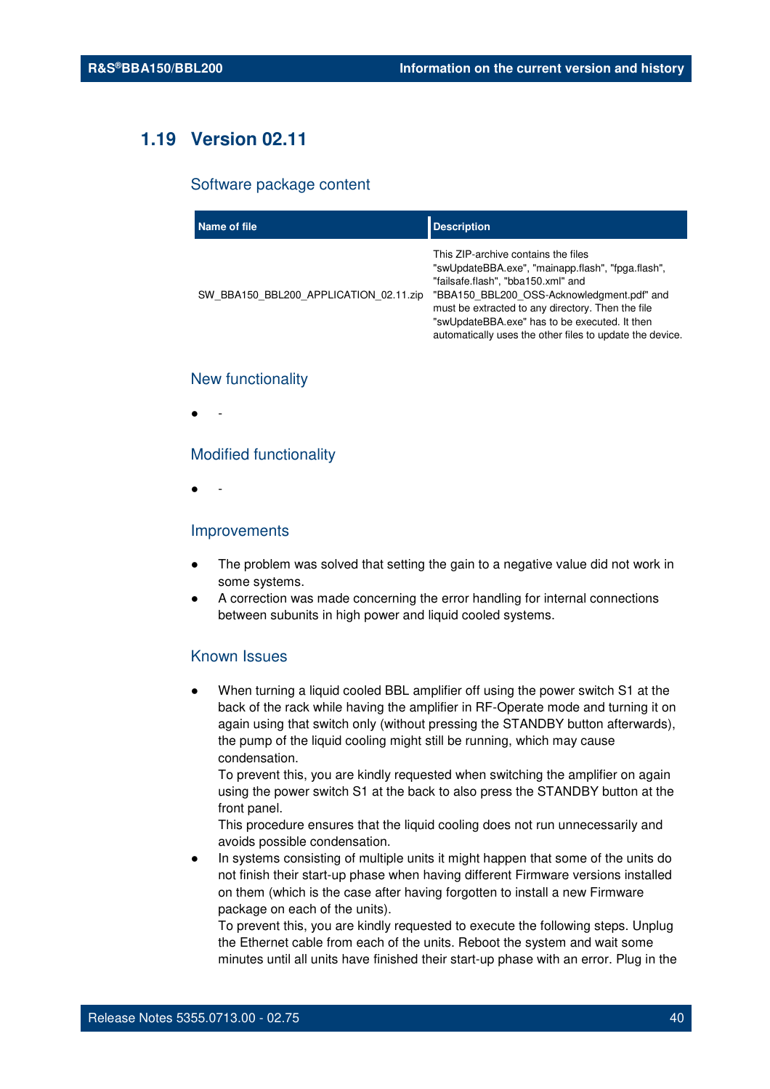# **1.19 Version 02.11**

#### Software package content

| Name of file                           | <b>Description</b>                                                                                                                                                                                                                                                                                                                             |
|----------------------------------------|------------------------------------------------------------------------------------------------------------------------------------------------------------------------------------------------------------------------------------------------------------------------------------------------------------------------------------------------|
| SW BBA150 BBL200 APPLICATION 02.11.zip | This ZIP-archive contains the files<br>"swUpdateBBA.exe", "mainapp.flash", "fpga.flash",<br>"failsafe.flash", "bba150.xml" and<br>"BBA150 BBL200 OSS-Acknowledgment.pdf" and<br>must be extracted to any directory. Then the file<br>"swUpdateBBA.exe" has to be executed. It then<br>automatically uses the other files to update the device. |

#### New functionality

● -

#### Modified functionality

● -

#### Improvements

- The problem was solved that setting the gain to a negative value did not work in some systems.
- A correction was made concerning the error handling for internal connections between subunits in high power and liquid cooled systems.

## Known Issues

When turning a liquid cooled BBL amplifier off using the power switch S1 at the back of the rack while having the amplifier in RF-Operate mode and turning it on again using that switch only (without pressing the STANDBY button afterwards), the pump of the liquid cooling might still be running, which may cause condensation.

To prevent this, you are kindly requested when switching the amplifier on again using the power switch S1 at the back to also press the STANDBY button at the front panel.

This procedure ensures that the liquid cooling does not run unnecessarily and avoids possible condensation.

In systems consisting of multiple units it might happen that some of the units do not finish their start-up phase when having different Firmware versions installed on them (which is the case after having forgotten to install a new Firmware package on each of the units).

To prevent this, you are kindly requested to execute the following steps. Unplug the Ethernet cable from each of the units. Reboot the system and wait some minutes until all units have finished their start-up phase with an error. Plug in the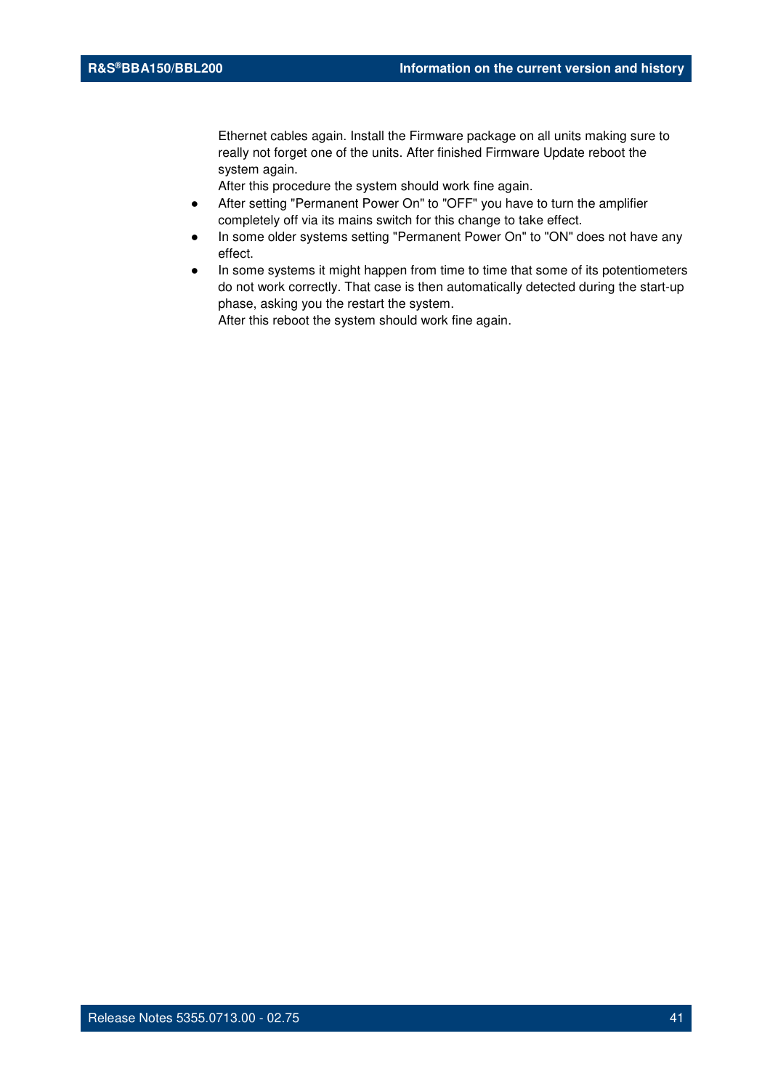Ethernet cables again. Install the Firmware package on all units making sure to really not forget one of the units. After finished Firmware Update reboot the system again.

After this procedure the system should work fine again.

- After setting "Permanent Power On" to "OFF" you have to turn the amplifier completely off via its mains switch for this change to take effect.
- In some older systems setting "Permanent Power On" to "ON" does not have any effect.
- In some systems it might happen from time to time that some of its potentiometers do not work correctly. That case is then automatically detected during the start-up phase, asking you the restart the system. After this reboot the system should work fine again.

Release Notes 5355.0713.00 - 02.75 41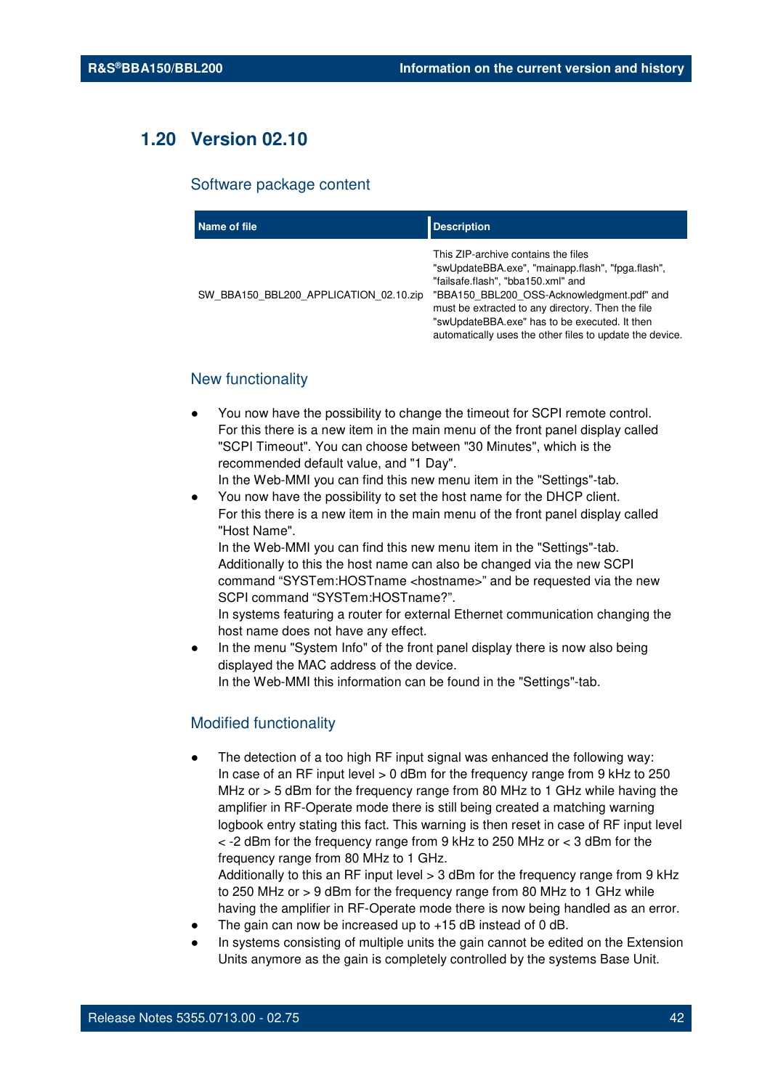# **1.20 Version 02.10**

#### Software package content

| Name of file                           | <b>Description</b>                                                                                                                                                                                                                                                                                                                             |
|----------------------------------------|------------------------------------------------------------------------------------------------------------------------------------------------------------------------------------------------------------------------------------------------------------------------------------------------------------------------------------------------|
| SW BBA150 BBL200 APPLICATION 02.10.zip | This ZIP-archive contains the files<br>"swUpdateBBA.exe", "mainapp.flash", "fpga.flash",<br>"failsafe.flash", "bba150.xml" and<br>"BBA150_BBL200_OSS-Acknowledgment.pdf" and<br>must be extracted to any directory. Then the file<br>"swUpdateBBA.exe" has to be executed. It then<br>automatically uses the other files to update the device. |

## New functionality

- You now have the possibility to change the timeout for SCPI remote control. For this there is a new item in the main menu of the front panel display called "SCPI Timeout". You can choose between "30 Minutes", which is the recommended default value, and "1 Day".
	- In the Web-MMI you can find this new menu item in the "Settings"-tab.
- You now have the possibility to set the host name for the DHCP client. For this there is a new item in the main menu of the front panel display called "Host Name".

In the Web-MMI you can find this new menu item in the "Settings"-tab. Additionally to this the host name can also be changed via the new SCPI command "SYSTem:HOSTname <hostname>" and be requested via the new SCPI command "SYSTem:HOSTname?".

In systems featuring a router for external Ethernet communication changing the host name does not have any effect.

In the menu "System Info" of the front panel display there is now also being displayed the MAC address of the device. In the Web-MMI this information can be found in the "Settings"-tab.

## Modified functionality

The detection of a too high RF input signal was enhanced the following way: In case of an RF input level > 0 dBm for the frequency range from 9 kHz to 250 MHz or > 5 dBm for the frequency range from 80 MHz to 1 GHz while having the amplifier in RF-Operate mode there is still being created a matching warning logbook entry stating this fact. This warning is then reset in case of RF input level < -2 dBm for the frequency range from 9 kHz to 250 MHz or < 3 dBm for the frequency range from 80 MHz to 1 GHz.

Additionally to this an RF input level > 3 dBm for the frequency range from 9 kHz to 250 MHz or > 9 dBm for the frequency range from 80 MHz to 1 GHz while having the amplifier in RF-Operate mode there is now being handled as an error.

- The gain can now be increased up to  $+15$  dB instead of 0 dB.
- In systems consisting of multiple units the gain cannot be edited on the Extension Units anymore as the gain is completely controlled by the systems Base Unit.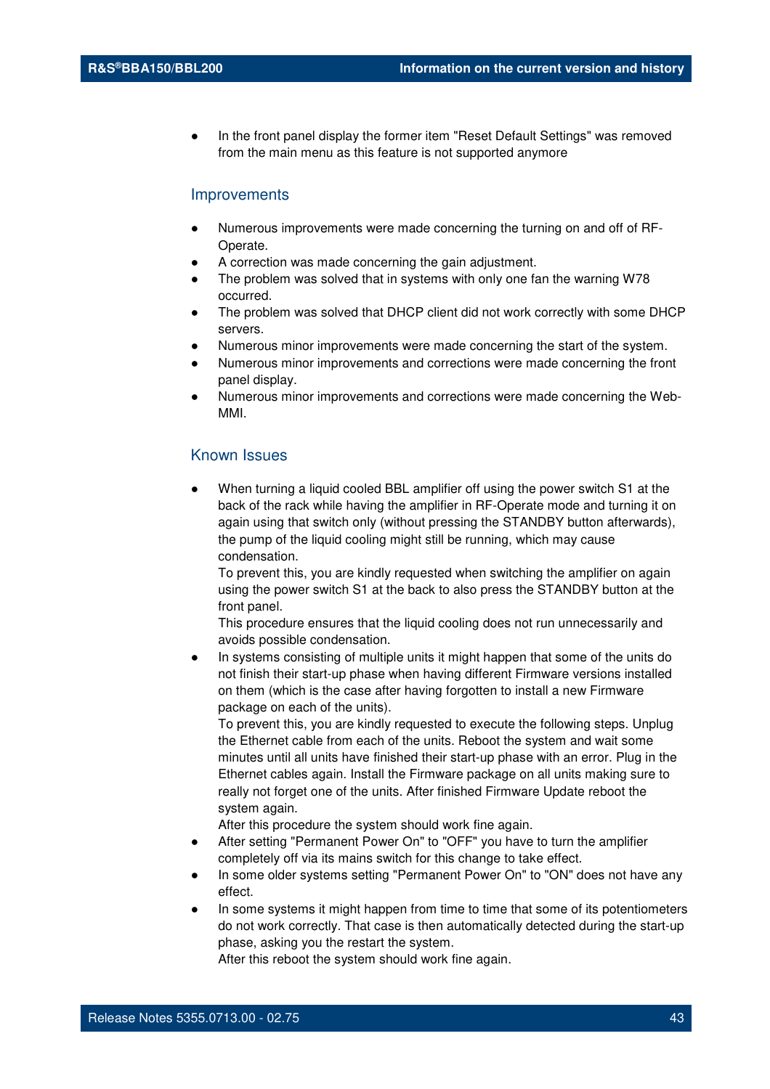In the front panel display the former item "Reset Default Settings" was removed from the main menu as this feature is not supported anymore

#### Improvements

- Numerous improvements were made concerning the turning on and off of RF-Operate.
- A correction was made concerning the gain adjustment.
- The problem was solved that in systems with only one fan the warning W78 occurred.
- The problem was solved that DHCP client did not work correctly with some DHCP servers.
- Numerous minor improvements were made concerning the start of the system.
- Numerous minor improvements and corrections were made concerning the front panel display.
- Numerous minor improvements and corrections were made concerning the Web-MMI.

## Known Issues

When turning a liquid cooled BBL amplifier off using the power switch S1 at the back of the rack while having the amplifier in RF-Operate mode and turning it on again using that switch only (without pressing the STANDBY button afterwards), the pump of the liquid cooling might still be running, which may cause condensation.

To prevent this, you are kindly requested when switching the amplifier on again using the power switch S1 at the back to also press the STANDBY button at the front panel.

This procedure ensures that the liquid cooling does not run unnecessarily and avoids possible condensation.

In systems consisting of multiple units it might happen that some of the units do not finish their start-up phase when having different Firmware versions installed on them (which is the case after having forgotten to install a new Firmware package on each of the units).

To prevent this, you are kindly requested to execute the following steps. Unplug the Ethernet cable from each of the units. Reboot the system and wait some minutes until all units have finished their start-up phase with an error. Plug in the Ethernet cables again. Install the Firmware package on all units making sure to really not forget one of the units. After finished Firmware Update reboot the system again.

After this procedure the system should work fine again.

- After setting "Permanent Power On" to "OFF" you have to turn the amplifier completely off via its mains switch for this change to take effect.
- In some older systems setting "Permanent Power On" to "ON" does not have any effect.
- In some systems it might happen from time to time that some of its potentiometers do not work correctly. That case is then automatically detected during the start-up phase, asking you the restart the system.

After this reboot the system should work fine again.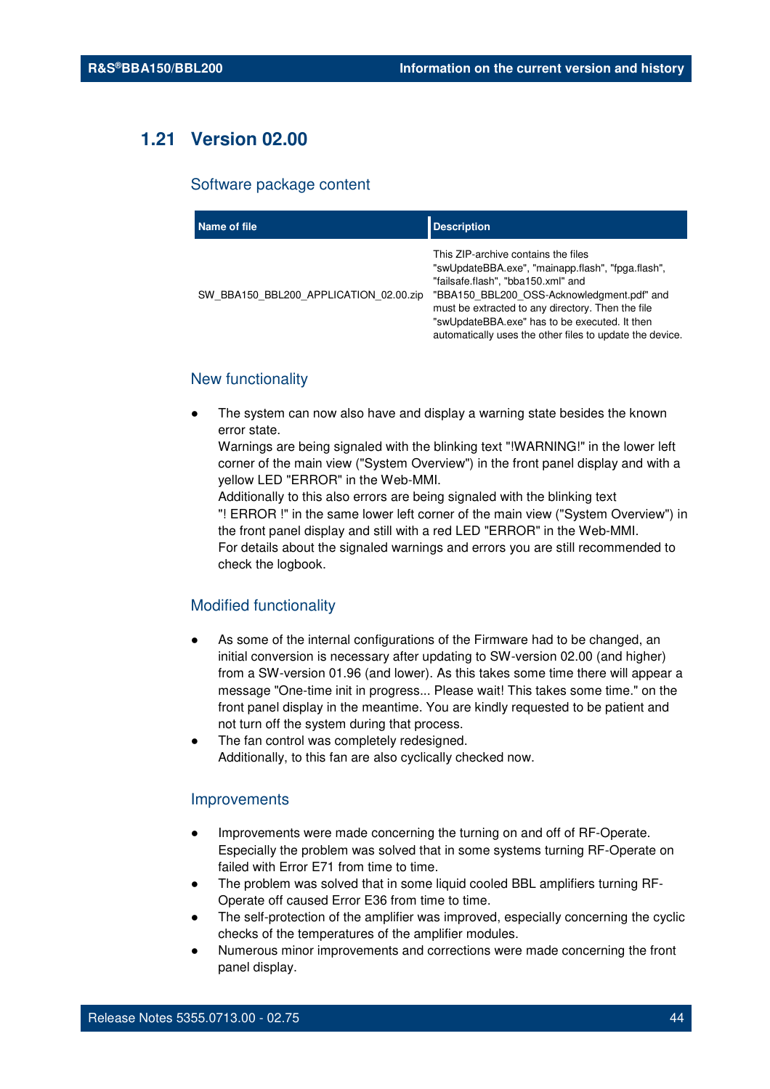# **1.21 Version 02.00**

#### Software package content

| Name of file                           | <b>Description</b>                                                                                                                                                                                                                                                                                                                             |
|----------------------------------------|------------------------------------------------------------------------------------------------------------------------------------------------------------------------------------------------------------------------------------------------------------------------------------------------------------------------------------------------|
| SW BBA150 BBL200 APPLICATION 02.00.zip | This ZIP-archive contains the files<br>"swUpdateBBA.exe", "mainapp.flash", "fpga.flash",<br>"failsafe.flash", "bba150.xml" and<br>"BBA150_BBL200_OSS-Acknowledgment.pdf" and<br>must be extracted to any directory. Then the file<br>"swUpdateBBA.exe" has to be executed. It then<br>automatically uses the other files to update the device. |

## New functionality

The system can now also have and display a warning state besides the known error state.

Warnings are being signaled with the blinking text "!WARNING!" in the lower left corner of the main view ("System Overview") in the front panel display and with a yellow LED "ERROR" in the Web-MMI.

Additionally to this also errors are being signaled with the blinking text "! ERROR !" in the same lower left corner of the main view ("System Overview") in the front panel display and still with a red LED "ERROR" in the Web-MMI. For details about the signaled warnings and errors you are still recommended to check the logbook.

#### Modified functionality

- As some of the internal configurations of the Firmware had to be changed, an initial conversion is necessary after updating to SW-version 02.00 (and higher) from a SW-version 01.96 (and lower). As this takes some time there will appear a message "One-time init in progress... Please wait! This takes some time." on the front panel display in the meantime. You are kindly requested to be patient and not turn off the system during that process.
- The fan control was completely redesigned. Additionally, to this fan are also cyclically checked now.

#### Improvements

- Improvements were made concerning the turning on and off of RF-Operate. Especially the problem was solved that in some systems turning RF-Operate on failed with Error E71 from time to time.
- The problem was solved that in some liquid cooled BBL amplifiers turning RF-Operate off caused Error E36 from time to time.
- The self-protection of the amplifier was improved, especially concerning the cyclic checks of the temperatures of the amplifier modules.
- Numerous minor improvements and corrections were made concerning the front panel display.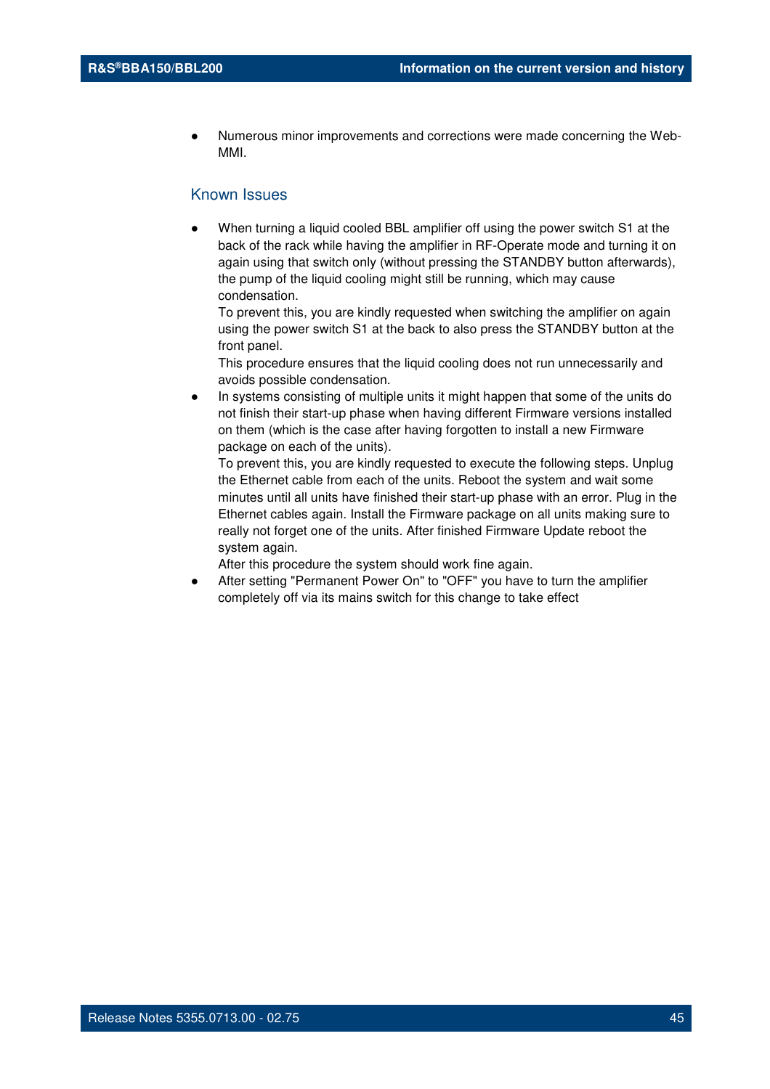Numerous minor improvements and corrections were made concerning the Web-MMI.

## Known Issues

When turning a liquid cooled BBL amplifier off using the power switch S1 at the back of the rack while having the amplifier in RF-Operate mode and turning it on again using that switch only (without pressing the STANDBY button afterwards), the pump of the liquid cooling might still be running, which may cause condensation.

To prevent this, you are kindly requested when switching the amplifier on again using the power switch S1 at the back to also press the STANDBY button at the front panel.

This procedure ensures that the liquid cooling does not run unnecessarily and avoids possible condensation.

In systems consisting of multiple units it might happen that some of the units do not finish their start-up phase when having different Firmware versions installed on them (which is the case after having forgotten to install a new Firmware package on each of the units).

To prevent this, you are kindly requested to execute the following steps. Unplug the Ethernet cable from each of the units. Reboot the system and wait some minutes until all units have finished their start-up phase with an error. Plug in the Ethernet cables again. Install the Firmware package on all units making sure to really not forget one of the units. After finished Firmware Update reboot the system again.

After this procedure the system should work fine again.

After setting "Permanent Power On" to "OFF" you have to turn the amplifier completely off via its mains switch for this change to take effect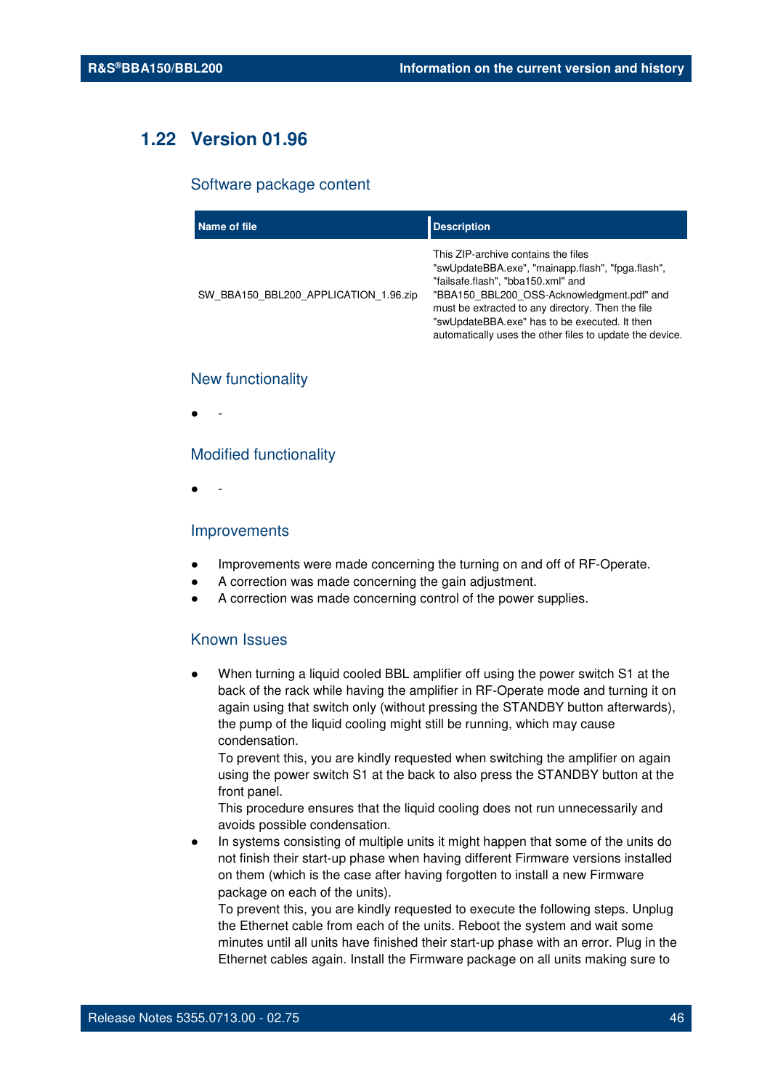# **1.22 Version 01.96**

#### Software package content

| Name of file                          | <b>Description</b>                                                                                                                                                                                                                                                                                                                             |
|---------------------------------------|------------------------------------------------------------------------------------------------------------------------------------------------------------------------------------------------------------------------------------------------------------------------------------------------------------------------------------------------|
| SW BBA150 BBL200 APPLICATION 1.96.zip | This ZIP-archive contains the files<br>"swUpdateBBA.exe", "mainapp.flash", "fpga.flash",<br>"failsafe.flash", "bba150.xml" and<br>"BBA150 BBL200 OSS-Acknowledgment.pdf" and<br>must be extracted to any directory. Then the file<br>"swUpdateBBA.exe" has to be executed. It then<br>automatically uses the other files to update the device. |

#### New functionality

● -

#### Modified functionality

● -

#### Improvements

- Improvements were made concerning the turning on and off of RF-Operate.
- A correction was made concerning the gain adjustment.
- A correction was made concerning control of the power supplies.

#### Known Issues

When turning a liquid cooled BBL amplifier off using the power switch S1 at the back of the rack while having the amplifier in RF-Operate mode and turning it on again using that switch only (without pressing the STANDBY button afterwards), the pump of the liquid cooling might still be running, which may cause condensation.

To prevent this, you are kindly requested when switching the amplifier on again using the power switch S1 at the back to also press the STANDBY button at the front panel.

This procedure ensures that the liquid cooling does not run unnecessarily and avoids possible condensation.

In systems consisting of multiple units it might happen that some of the units do not finish their start-up phase when having different Firmware versions installed on them (which is the case after having forgotten to install a new Firmware package on each of the units).

To prevent this, you are kindly requested to execute the following steps. Unplug the Ethernet cable from each of the units. Reboot the system and wait some minutes until all units have finished their start-up phase with an error. Plug in the Ethernet cables again. Install the Firmware package on all units making sure to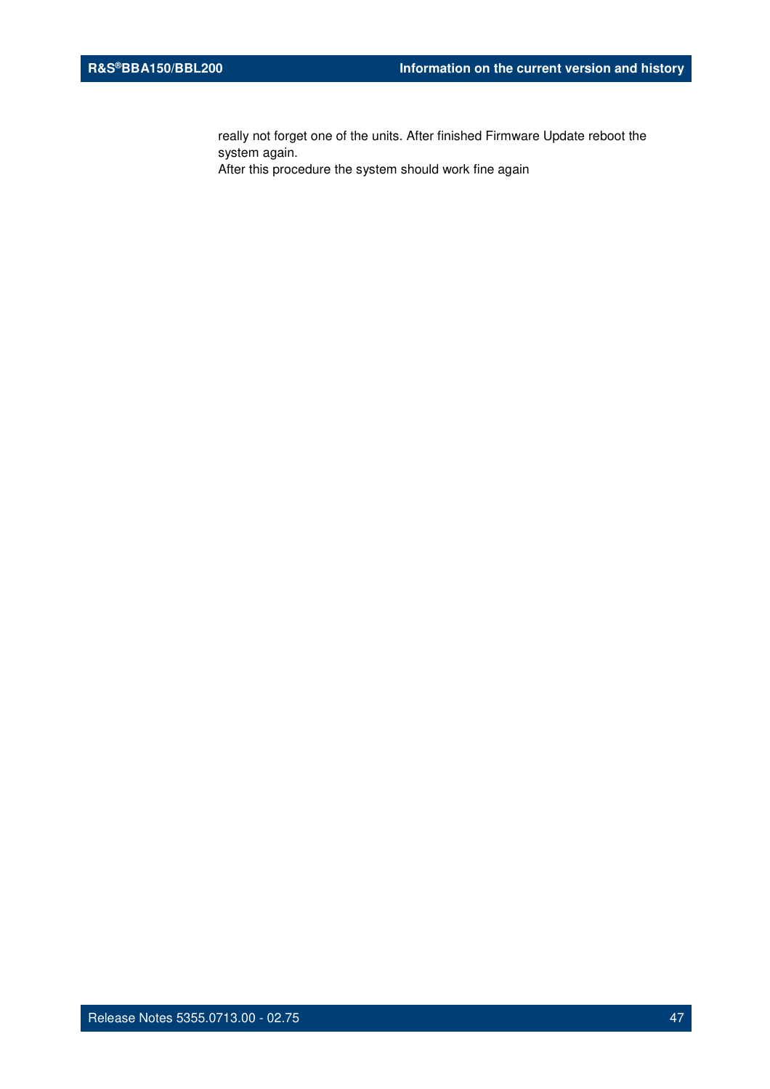really not forget one of the units. After finished Firmware Update reboot the system again.

After this procedure the system should work fine again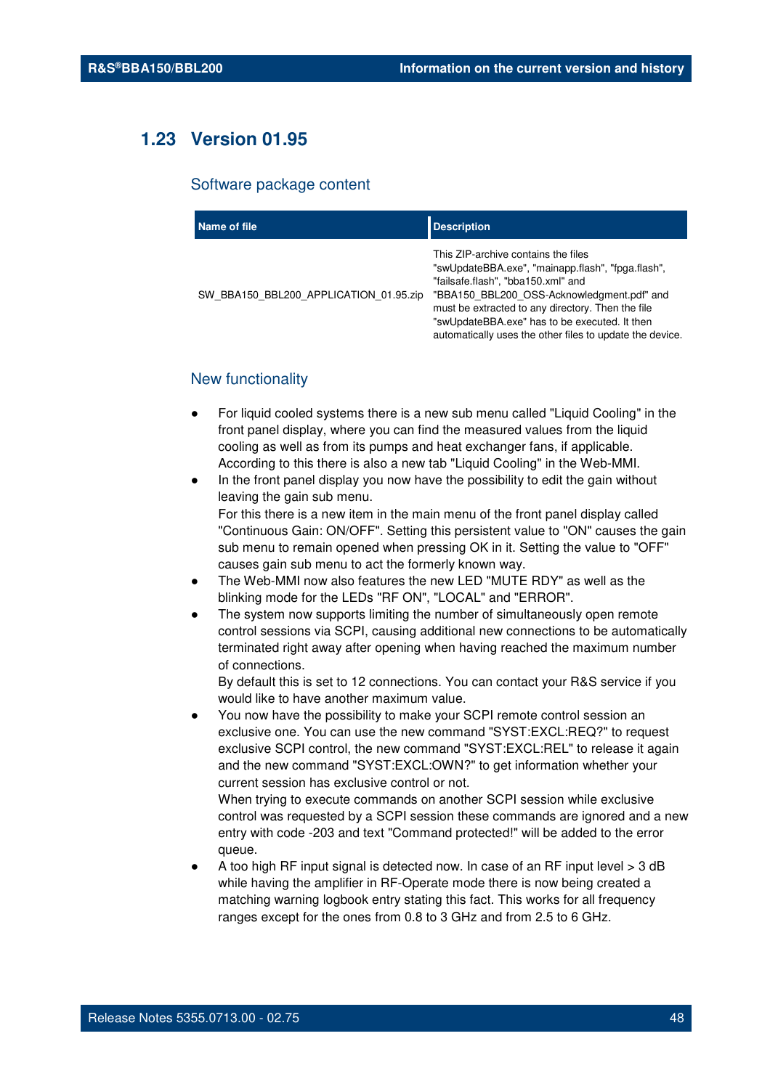# **1.23 Version 01.95**

#### Software package content

| Name of file                           | <b>Description</b>                                                                                                                                                                                                                                                                                                                             |
|----------------------------------------|------------------------------------------------------------------------------------------------------------------------------------------------------------------------------------------------------------------------------------------------------------------------------------------------------------------------------------------------|
| SW BBA150 BBL200 APPLICATION 01.95.zip | This ZIP-archive contains the files<br>"swUpdateBBA.exe", "mainapp.flash", "fpga.flash",<br>"failsafe.flash", "bba150.xml" and<br>"BBA150_BBL200_OSS-Acknowledgment.pdf" and<br>must be extracted to any directory. Then the file<br>"swUpdateBBA.exe" has to be executed. It then<br>automatically uses the other files to update the device. |

## New functionality

- For liquid cooled systems there is a new sub menu called "Liquid Cooling" in the front panel display, where you can find the measured values from the liquid cooling as well as from its pumps and heat exchanger fans, if applicable. According to this there is also a new tab "Liquid Cooling" in the Web-MMI.
- In the front panel display you now have the possibility to edit the gain without leaving the gain sub menu. For this there is a new item in the main menu of the front panel display called "Continuous Gain: ON/OFF". Setting this persistent value to "ON" causes the gain sub menu to remain opened when pressing OK in it. Setting the value to "OFF" causes gain sub menu to act the formerly known way.
- The Web-MMI now also features the new LED "MUTE RDY" as well as the blinking mode for the LEDs "RF ON", "LOCAL" and "ERROR".
- The system now supports limiting the number of simultaneously open remote control sessions via SCPI, causing additional new connections to be automatically terminated right away after opening when having reached the maximum number of connections.

By default this is set to 12 connections. You can contact your R&S service if you would like to have another maximum value.

You now have the possibility to make your SCPI remote control session an exclusive one. You can use the new command "SYST:EXCL:REQ?" to request exclusive SCPI control, the new command "SYST:EXCL:REL" to release it again and the new command "SYST:EXCL:OWN?" to get information whether your current session has exclusive control or not.

When trying to execute commands on another SCPI session while exclusive control was requested by a SCPI session these commands are ignored and a new entry with code -203 and text "Command protected!" will be added to the error queue.

A too high RF input signal is detected now. In case of an RF input level  $>$  3 dB while having the amplifier in RF-Operate mode there is now being created a matching warning logbook entry stating this fact. This works for all frequency ranges except for the ones from 0.8 to 3 GHz and from 2.5 to 6 GHz.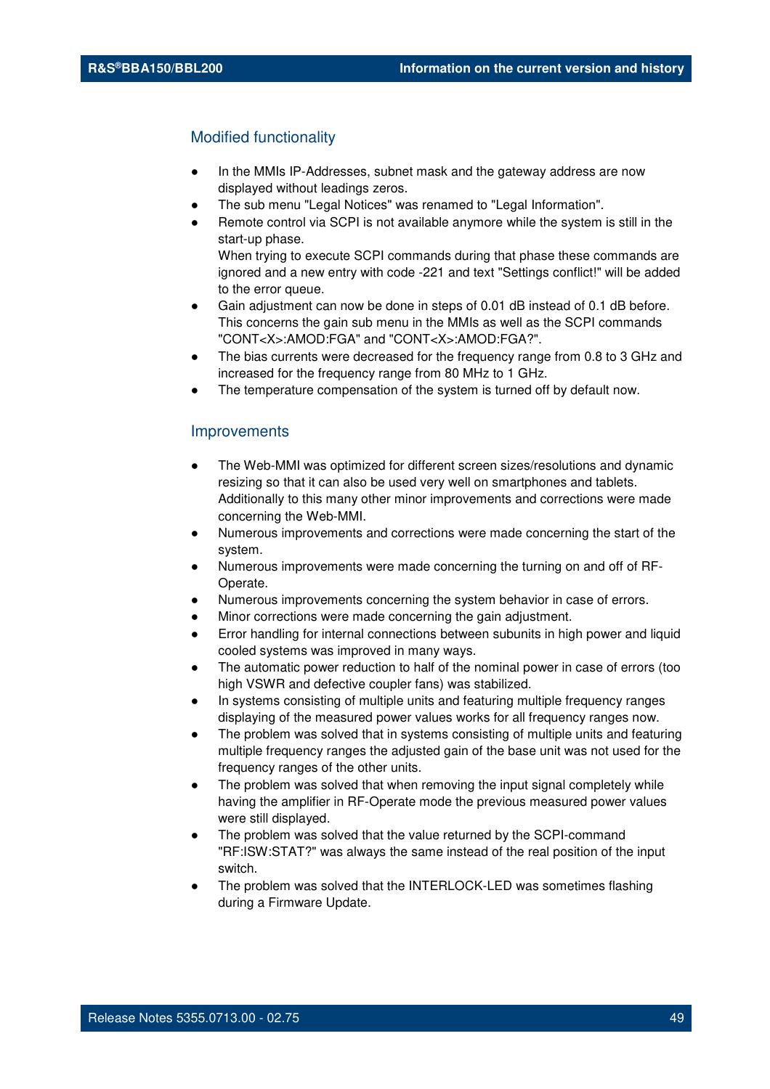## Modified functionality

- In the MMIs IP-Addresses, subnet mask and the gateway address are now displayed without leadings zeros.
- The sub menu "Legal Notices" was renamed to "Legal Information".
- Remote control via SCPI is not available anymore while the system is still in the start-up phase. When trying to execute SCPI commands during that phase these commands are ignored and a new entry with code -221 and text "Settings conflict!" will be added
- to the error queue. Gain adjustment can now be done in steps of 0.01 dB instead of 0.1 dB before. This concerns the gain sub menu in the MMIs as well as the SCPI commands "CONT<X>:AMOD:FGA" and "CONT<X>:AMOD:FGA?".
- The bias currents were decreased for the frequency range from 0.8 to 3 GHz and increased for the frequency range from 80 MHz to 1 GHz.
- The temperature compensation of the system is turned off by default now.

#### **Improvements**

- The Web-MMI was optimized for different screen sizes/resolutions and dynamic resizing so that it can also be used very well on smartphones and tablets. Additionally to this many other minor improvements and corrections were made concerning the Web-MMI.
- Numerous improvements and corrections were made concerning the start of the system.
- Numerous improvements were made concerning the turning on and off of RF-Operate.
- Numerous improvements concerning the system behavior in case of errors.
- Minor corrections were made concerning the gain adjustment.
- Error handling for internal connections between subunits in high power and liquid cooled systems was improved in many ways.
- The automatic power reduction to half of the nominal power in case of errors (too high VSWR and defective coupler fans) was stabilized.
- In systems consisting of multiple units and featuring multiple frequency ranges displaying of the measured power values works for all frequency ranges now.
- The problem was solved that in systems consisting of multiple units and featuring multiple frequency ranges the adjusted gain of the base unit was not used for the frequency ranges of the other units.
- The problem was solved that when removing the input signal completely while having the amplifier in RF-Operate mode the previous measured power values were still displayed.
- The problem was solved that the value returned by the SCPI-command "RF:ISW:STAT?" was always the same instead of the real position of the input switch.
- The problem was solved that the INTERLOCK-LED was sometimes flashing during a Firmware Update.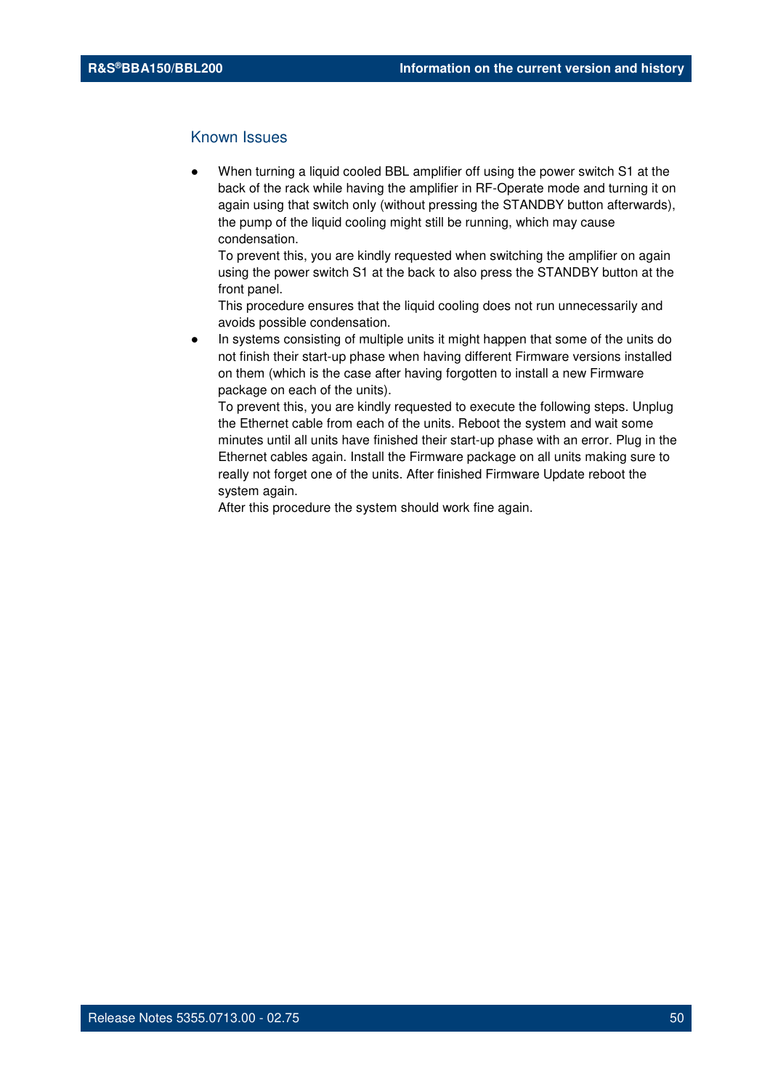### Known Issues

When turning a liquid cooled BBL amplifier off using the power switch S1 at the back of the rack while having the amplifier in RF-Operate mode and turning it on again using that switch only (without pressing the STANDBY button afterwards), the pump of the liquid cooling might still be running, which may cause condensation.

To prevent this, you are kindly requested when switching the amplifier on again using the power switch S1 at the back to also press the STANDBY button at the front panel.

This procedure ensures that the liquid cooling does not run unnecessarily and avoids possible condensation.

In systems consisting of multiple units it might happen that some of the units do not finish their start-up phase when having different Firmware versions installed on them (which is the case after having forgotten to install a new Firmware package on each of the units).

To prevent this, you are kindly requested to execute the following steps. Unplug the Ethernet cable from each of the units. Reboot the system and wait some minutes until all units have finished their start-up phase with an error. Plug in the Ethernet cables again. Install the Firmware package on all units making sure to really not forget one of the units. After finished Firmware Update reboot the system again.

After this procedure the system should work fine again.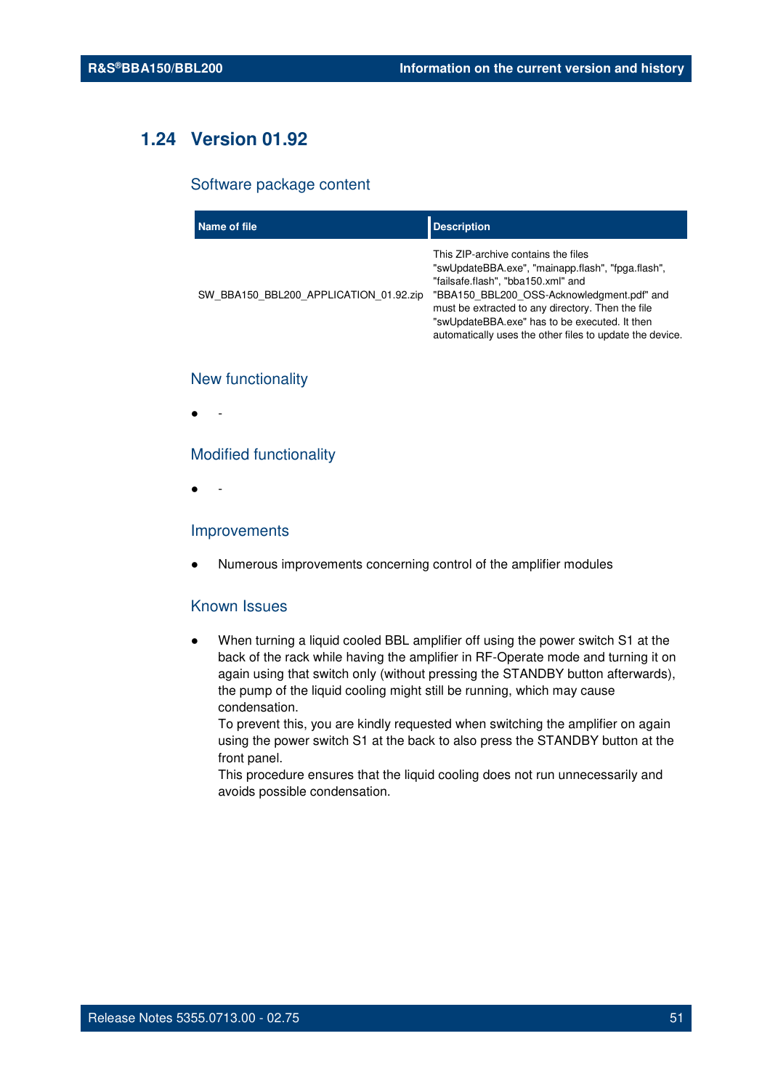# **1.24 Version 01.92**

#### Software package content

| Name of file                           | <b>Description</b>                                                                                                                                                                                                                                                                                                                             |
|----------------------------------------|------------------------------------------------------------------------------------------------------------------------------------------------------------------------------------------------------------------------------------------------------------------------------------------------------------------------------------------------|
| SW BBA150 BBL200 APPLICATION 01.92.zip | This ZIP-archive contains the files<br>"swUpdateBBA.exe", "mainapp.flash", "fpga.flash",<br>"failsafe.flash", "bba150.xml" and<br>"BBA150 BBL200 OSS-Acknowledgment.pdf" and<br>must be extracted to any directory. Then the file<br>"swUpdateBBA.exe" has to be executed. It then<br>automatically uses the other files to update the device. |

## New functionality

● -

#### Modified functionality

● -

#### Improvements

Numerous improvements concerning control of the amplifier modules

## Known Issues

When turning a liquid cooled BBL amplifier off using the power switch S1 at the back of the rack while having the amplifier in RF-Operate mode and turning it on again using that switch only (without pressing the STANDBY button afterwards), the pump of the liquid cooling might still be running, which may cause condensation.

To prevent this, you are kindly requested when switching the amplifier on again using the power switch S1 at the back to also press the STANDBY button at the front panel.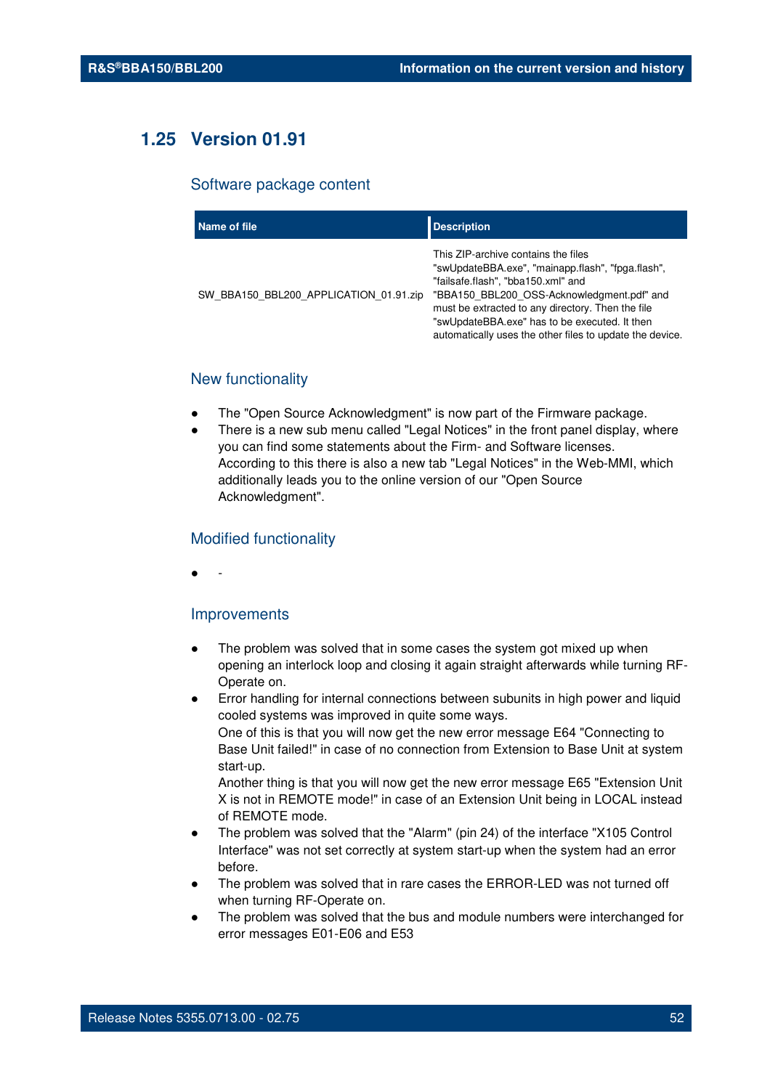# **1.25 Version 01.91**

#### Software package content

| Name of file                           | <b>Description</b>                                                                                                                                                                                                                                                                                                                             |
|----------------------------------------|------------------------------------------------------------------------------------------------------------------------------------------------------------------------------------------------------------------------------------------------------------------------------------------------------------------------------------------------|
| SW BBA150 BBL200 APPLICATION 01.91.zip | This ZIP-archive contains the files<br>"swUpdateBBA.exe", "mainapp.flash", "fpga.flash",<br>"failsafe.flash", "bba150.xml" and<br>"BBA150 BBL200 OSS-Acknowledgment.pdf" and<br>must be extracted to any directory. Then the file<br>"swUpdateBBA.exe" has to be executed. It then<br>automatically uses the other files to update the device. |

## New functionality

- The "Open Source Acknowledgment" is now part of the Firmware package.
- There is a new sub menu called "Legal Notices" in the front panel display, where you can find some statements about the Firm- and Software licenses. According to this there is also a new tab "Legal Notices" in the Web-MMI, which additionally leads you to the online version of our "Open Source Acknowledgment".

### Modified functionality

● -

#### Improvements

- The problem was solved that in some cases the system got mixed up when opening an interlock loop and closing it again straight afterwards while turning RF-Operate on.
- Error handling for internal connections between subunits in high power and liquid cooled systems was improved in quite some ways. One of this is that you will now get the new error message E64 "Connecting to Base Unit failed!" in case of no connection from Extension to Base Unit at system start-up.

Another thing is that you will now get the new error message E65 "Extension Unit X is not in REMOTE mode!" in case of an Extension Unit being in LOCAL instead of REMOTE mode.

- The problem was solved that the "Alarm" (pin 24) of the interface "X105 Control Interface" was not set correctly at system start-up when the system had an error before.
- The problem was solved that in rare cases the ERROR-LED was not turned off when turning RF-Operate on.
- The problem was solved that the bus and module numbers were interchanged for error messages E01-E06 and E53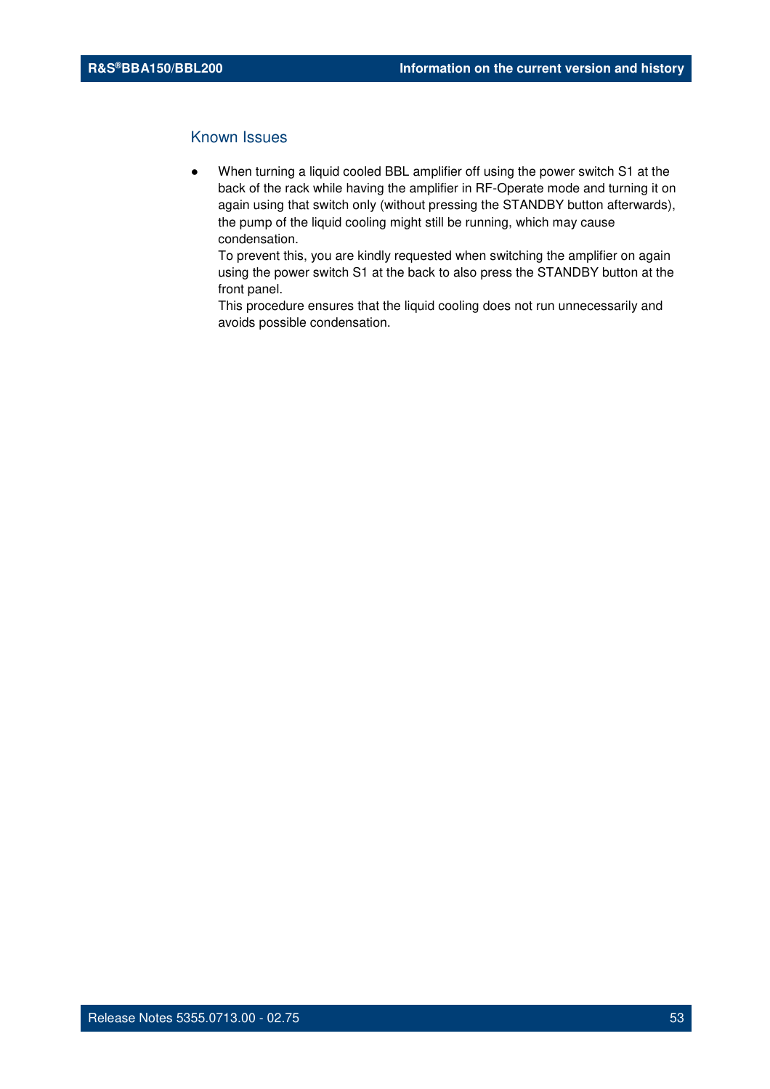## Known Issues

When turning a liquid cooled BBL amplifier off using the power switch S1 at the back of the rack while having the amplifier in RF-Operate mode and turning it on again using that switch only (without pressing the STANDBY button afterwards), the pump of the liquid cooling might still be running, which may cause condensation.

To prevent this, you are kindly requested when switching the amplifier on again using the power switch S1 at the back to also press the STANDBY button at the front panel.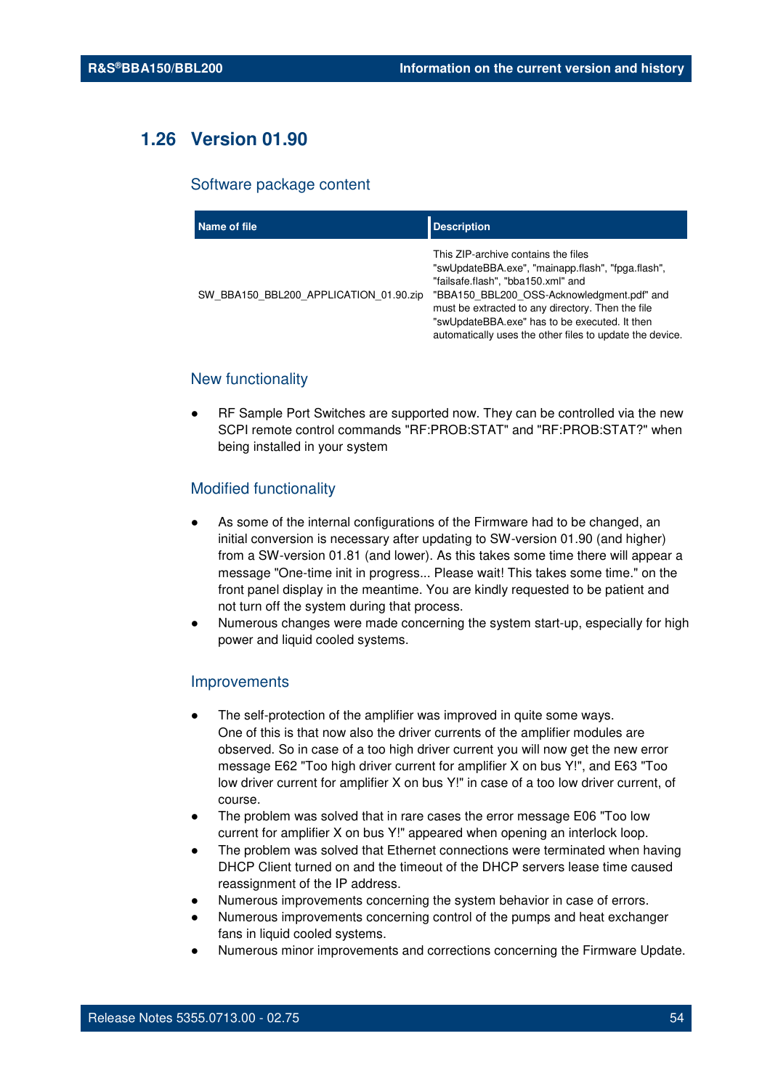# **1.26 Version 01.90**

#### Software package content

| Name of file                           | <b>Description</b>                                                                                                                                                                                                                                                                                                                             |
|----------------------------------------|------------------------------------------------------------------------------------------------------------------------------------------------------------------------------------------------------------------------------------------------------------------------------------------------------------------------------------------------|
| SW BBA150 BBL200 APPLICATION 01.90.zip | This ZIP-archive contains the files<br>"swUpdateBBA.exe", "mainapp.flash", "fpga.flash",<br>"failsafe.flash", "bba150.xml" and<br>"BBA150 BBL200 OSS-Acknowledgment.pdf" and<br>must be extracted to any directory. Then the file<br>"swUpdateBBA.exe" has to be executed. It then<br>automatically uses the other files to update the device. |

## New functionality

RF Sample Port Switches are supported now. They can be controlled via the new SCPI remote control commands "RF:PROB:STAT" and "RF:PROB:STAT?" when being installed in your system

## Modified functionality

- As some of the internal configurations of the Firmware had to be changed, an initial conversion is necessary after updating to SW-version 01.90 (and higher) from a SW-version 01.81 (and lower). As this takes some time there will appear a message "One-time init in progress... Please wait! This takes some time." on the front panel display in the meantime. You are kindly requested to be patient and not turn off the system during that process.
- Numerous changes were made concerning the system start-up, especially for high power and liquid cooled systems.

#### **Improvements**

- The self-protection of the amplifier was improved in quite some ways. One of this is that now also the driver currents of the amplifier modules are observed. So in case of a too high driver current you will now get the new error message E62 "Too high driver current for amplifier X on bus Y!", and E63 "Too low driver current for amplifier X on bus Y!" in case of a too low driver current, of course.
- The problem was solved that in rare cases the error message E06 "Too low current for amplifier X on bus Y!" appeared when opening an interlock loop.
- The problem was solved that Ethernet connections were terminated when having DHCP Client turned on and the timeout of the DHCP servers lease time caused reassignment of the IP address.
- Numerous improvements concerning the system behavior in case of errors.
- Numerous improvements concerning control of the pumps and heat exchanger fans in liquid cooled systems.
- Numerous minor improvements and corrections concerning the Firmware Update.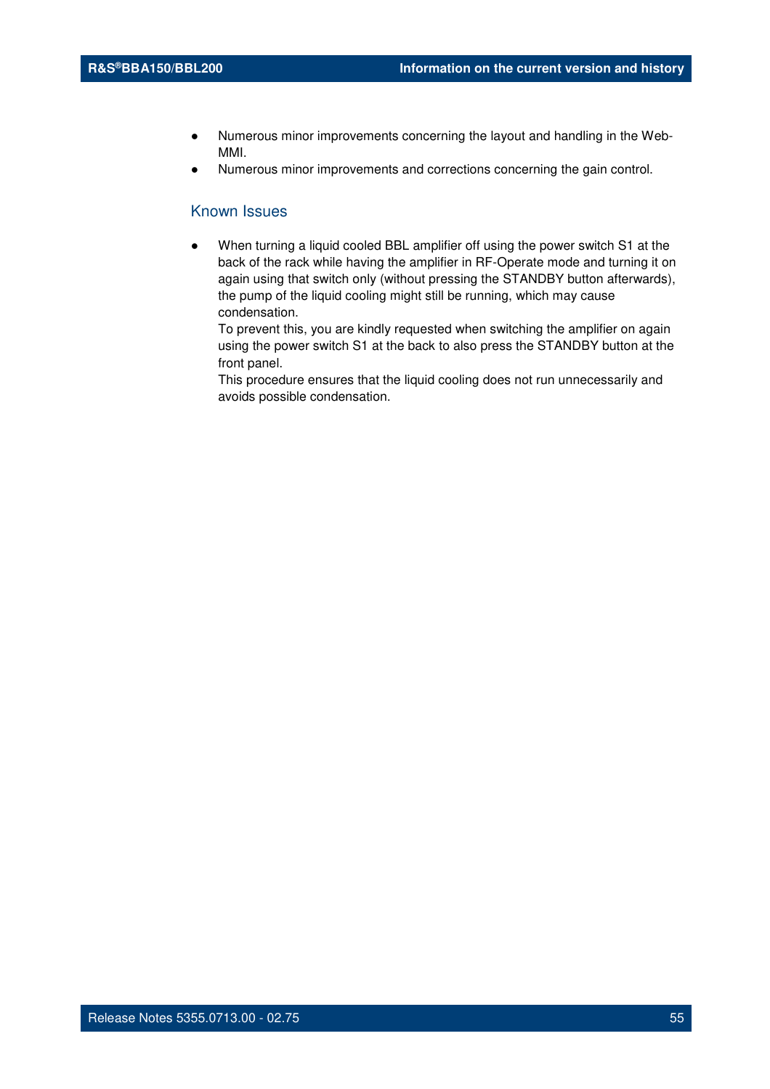- Numerous minor improvements concerning the layout and handling in the Web-MMI.
- Numerous minor improvements and corrections concerning the gain control.

### Known Issues

When turning a liquid cooled BBL amplifier off using the power switch S1 at the back of the rack while having the amplifier in RF-Operate mode and turning it on again using that switch only (without pressing the STANDBY button afterwards), the pump of the liquid cooling might still be running, which may cause condensation.

To prevent this, you are kindly requested when switching the amplifier on again using the power switch S1 at the back to also press the STANDBY button at the front panel.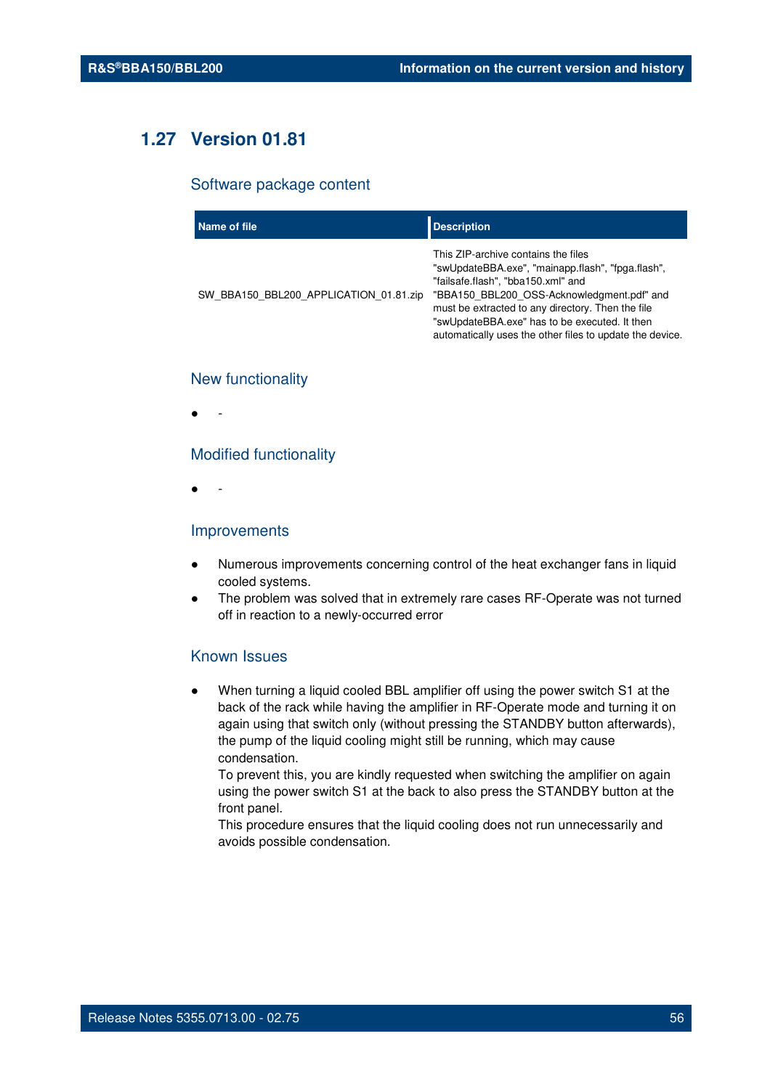# **1.27 Version 01.81**

#### Software package content

| Name of file                           | <b>Description</b>                                                                                                                                                                                                                                                                                                                             |
|----------------------------------------|------------------------------------------------------------------------------------------------------------------------------------------------------------------------------------------------------------------------------------------------------------------------------------------------------------------------------------------------|
| SW BBA150 BBL200 APPLICATION 01.81.zip | This ZIP-archive contains the files<br>"swUpdateBBA.exe", "mainapp.flash", "fpga.flash",<br>"failsafe.flash", "bba150.xml" and<br>"BBA150 BBL200 OSS-Acknowledgment.pdf" and<br>must be extracted to any directory. Then the file<br>"swUpdateBBA.exe" has to be executed. It then<br>automatically uses the other files to update the device. |

## New functionality

● -

#### Modified functionality

● -

#### Improvements

- Numerous improvements concerning control of the heat exchanger fans in liquid cooled systems.
- The problem was solved that in extremely rare cases RF-Operate was not turned off in reaction to a newly-occurred error

## Known Issues

When turning a liquid cooled BBL amplifier off using the power switch S1 at the back of the rack while having the amplifier in RF-Operate mode and turning it on again using that switch only (without pressing the STANDBY button afterwards), the pump of the liquid cooling might still be running, which may cause condensation.

To prevent this, you are kindly requested when switching the amplifier on again using the power switch S1 at the back to also press the STANDBY button at the front panel.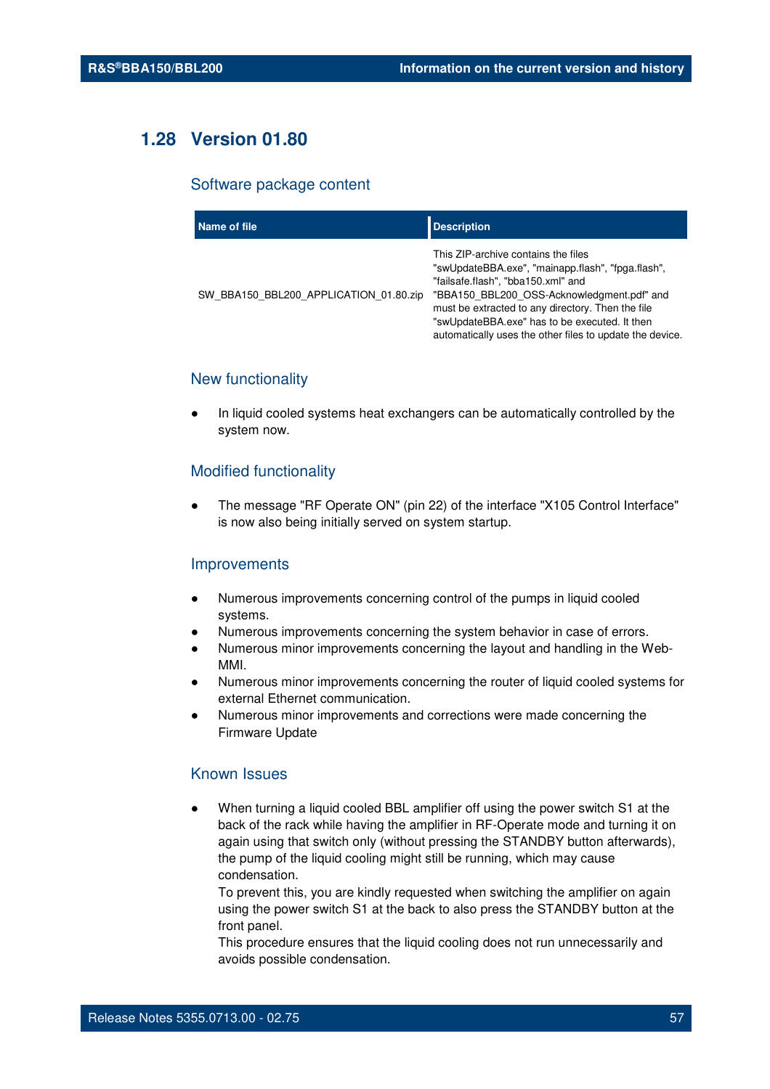# **1.28 Version 01.80**

#### Software package content

| Name of file                           | <b>Description</b>                                                                                                                                                                                                                                                                                                                             |
|----------------------------------------|------------------------------------------------------------------------------------------------------------------------------------------------------------------------------------------------------------------------------------------------------------------------------------------------------------------------------------------------|
| SW BBA150 BBL200 APPLICATION 01.80.zip | This ZIP-archive contains the files<br>"swUpdateBBA.exe", "mainapp.flash", "fpga.flash",<br>"failsafe.flash", "bba150.xml" and<br>"BBA150_BBL200_OSS-Acknowledgment.pdf" and<br>must be extracted to any directory. Then the file<br>"swUpdateBBA.exe" has to be executed. It then<br>automatically uses the other files to update the device. |

## New functionality

In liquid cooled systems heat exchangers can be automatically controlled by the system now.

## Modified functionality

The message "RF Operate ON" (pin 22) of the interface "X105 Control Interface" is now also being initially served on system startup.

#### Improvements

- Numerous improvements concerning control of the pumps in liquid cooled systems.
- Numerous improvements concerning the system behavior in case of errors.
- Numerous minor improvements concerning the layout and handling in the Web-MMI.
- Numerous minor improvements concerning the router of liquid cooled systems for external Ethernet communication.
- Numerous minor improvements and corrections were made concerning the Firmware Update

## Known Issues

When turning a liquid cooled BBL amplifier off using the power switch S1 at the back of the rack while having the amplifier in RF-Operate mode and turning it on again using that switch only (without pressing the STANDBY button afterwards), the pump of the liquid cooling might still be running, which may cause condensation.

To prevent this, you are kindly requested when switching the amplifier on again using the power switch S1 at the back to also press the STANDBY button at the front panel.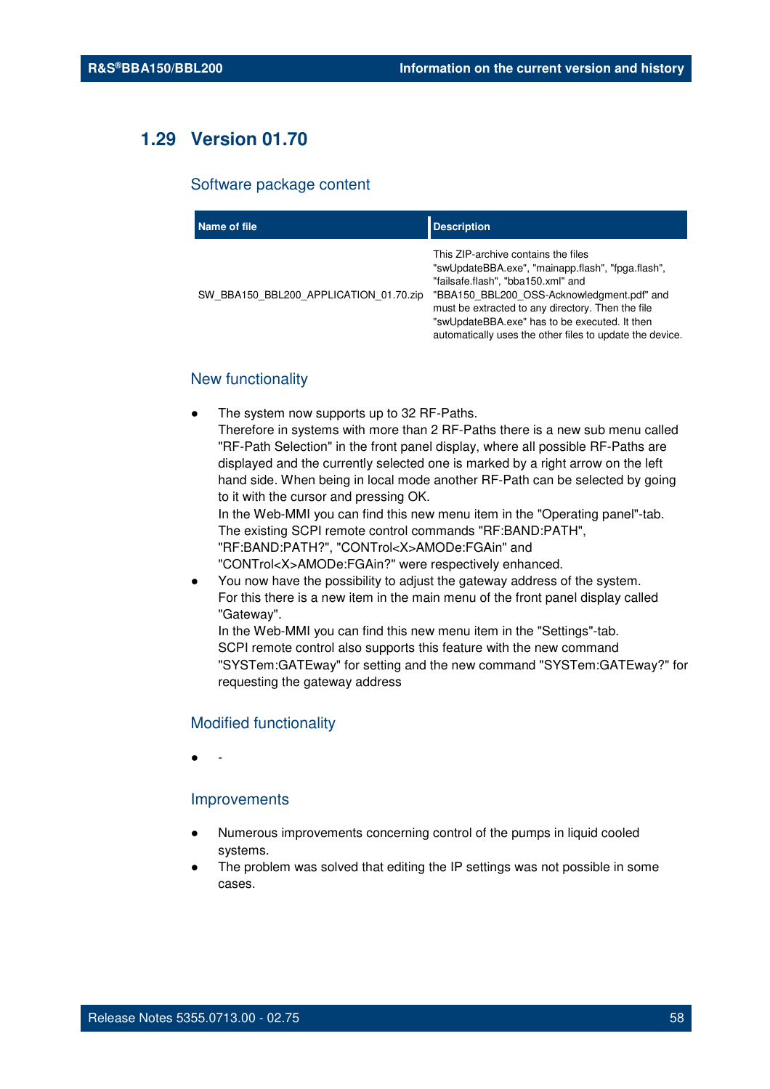# **1.29 Version 01.70**

#### Software package content

| Name of file                           | <b>Description</b>                                                                                                                                                                                                                                                                                                                             |
|----------------------------------------|------------------------------------------------------------------------------------------------------------------------------------------------------------------------------------------------------------------------------------------------------------------------------------------------------------------------------------------------|
| SW BBA150 BBL200 APPLICATION 01.70.zip | This ZIP-archive contains the files<br>"swUpdateBBA.exe", "mainapp.flash", "fpga.flash",<br>"failsafe.flash", "bba150.xml" and<br>"BBA150 BBL200 OSS-Acknowledgment.pdf" and<br>must be extracted to any directory. Then the file<br>"swUpdateBBA.exe" has to be executed. It then<br>automatically uses the other files to update the device. |

## New functionality

The system now supports up to 32 RF-Paths.

Therefore in systems with more than 2 RF-Paths there is a new sub menu called "RF-Path Selection" in the front panel display, where all possible RF-Paths are displayed and the currently selected one is marked by a right arrow on the left hand side. When being in local mode another RF-Path can be selected by going to it with the cursor and pressing OK.

In the Web-MMI you can find this new menu item in the "Operating panel"-tab. The existing SCPI remote control commands "RF:BAND:PATH", "RF:BAND:PATH?", "CONTrol<X>AMODe:FGAin" and "CONTrol<X>AMODe:FGAin?" were respectively enhanced.

You now have the possibility to adjust the gateway address of the system. For this there is a new item in the main menu of the front panel display called "Gateway".

In the Web-MMI you can find this new menu item in the "Settings"-tab. SCPI remote control also supports this feature with the new command "SYSTem:GATEway" for setting and the new command "SYSTem:GATEway?" for requesting the gateway address

#### Modified functionality

● -

## Improvements

- Numerous improvements concerning control of the pumps in liquid cooled systems.
- The problem was solved that editing the IP settings was not possible in some cases.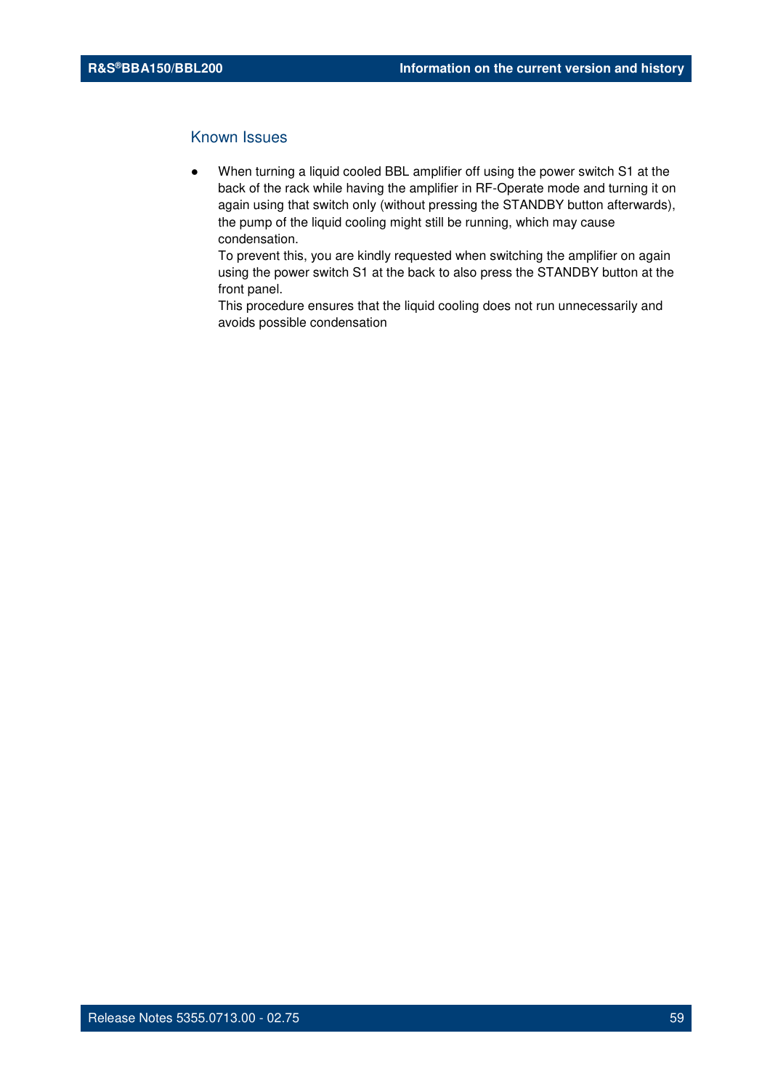## Known Issues

When turning a liquid cooled BBL amplifier off using the power switch S1 at the back of the rack while having the amplifier in RF-Operate mode and turning it on again using that switch only (without pressing the STANDBY button afterwards), the pump of the liquid cooling might still be running, which may cause condensation.

To prevent this, you are kindly requested when switching the amplifier on again using the power switch S1 at the back to also press the STANDBY button at the front panel.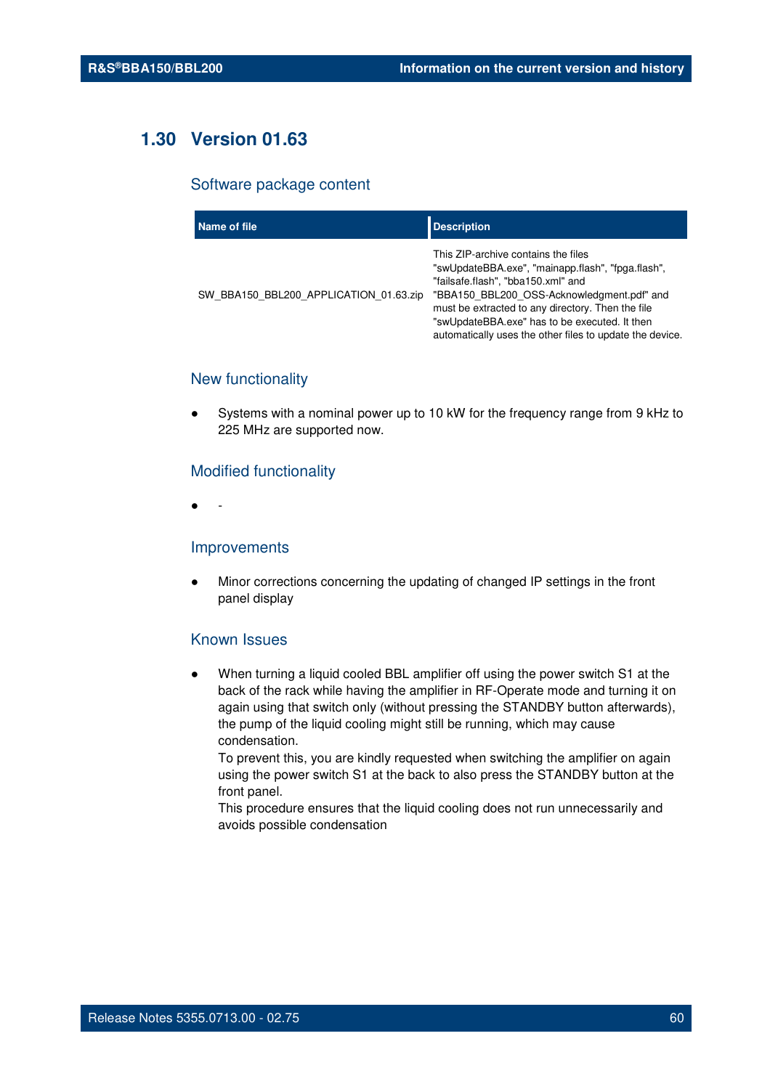# **1.30 Version 01.63**

#### Software package content

| Name of file                           | <b>Description</b>                                                                                                                                                                                                                                                                                                                             |
|----------------------------------------|------------------------------------------------------------------------------------------------------------------------------------------------------------------------------------------------------------------------------------------------------------------------------------------------------------------------------------------------|
| SW BBA150 BBL200 APPLICATION 01.63.zip | This ZIP-archive contains the files<br>"swUpdateBBA.exe", "mainapp.flash", "fpga.flash",<br>"failsafe.flash", "bba150.xml" and<br>"BBA150 BBL200 OSS-Acknowledgment.pdf" and<br>must be extracted to any directory. Then the file<br>"swUpdateBBA.exe" has to be executed. It then<br>automatically uses the other files to update the device. |

## New functionality

Systems with a nominal power up to 10 kW for the frequency range from 9 kHz to 225 MHz are supported now.

#### Modified functionality

● -

#### Improvements

Minor corrections concerning the updating of changed IP settings in the front panel display

#### Known Issues

When turning a liquid cooled BBL amplifier off using the power switch S1 at the back of the rack while having the amplifier in RF-Operate mode and turning it on again using that switch only (without pressing the STANDBY button afterwards), the pump of the liquid cooling might still be running, which may cause condensation.

To prevent this, you are kindly requested when switching the amplifier on again using the power switch S1 at the back to also press the STANDBY button at the front panel.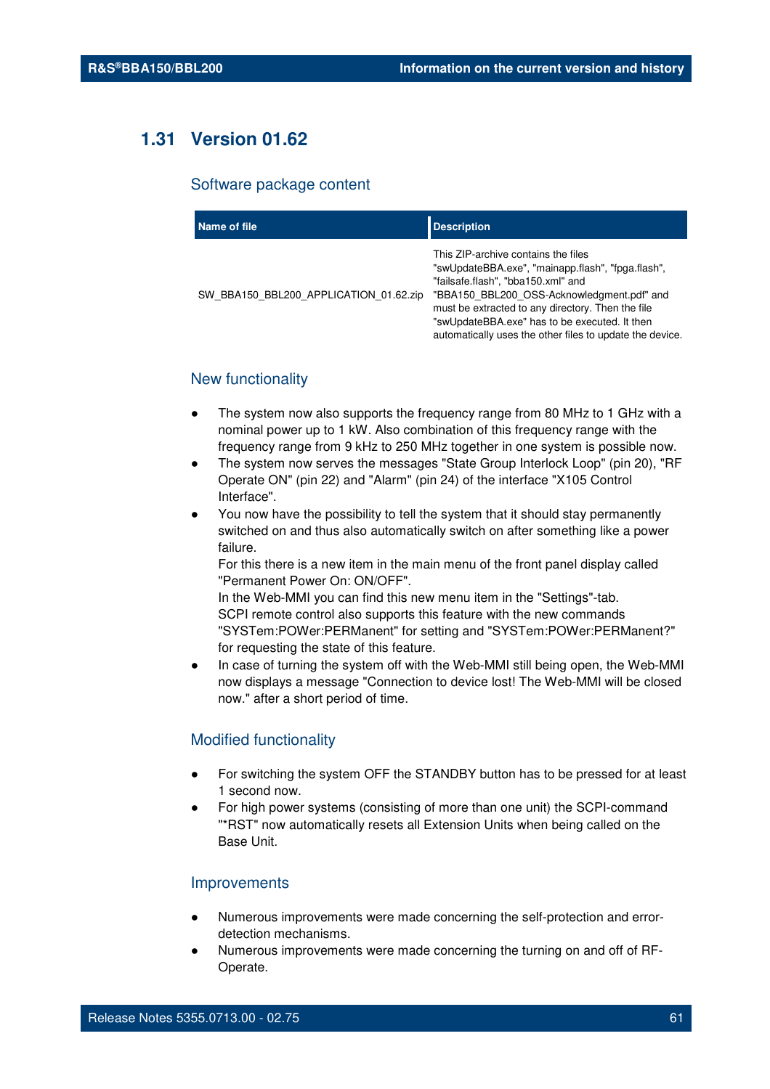# **1.31 Version 01.62**

#### Software package content

| Name of file                           | <b>Description</b>                                                                                                                                                                                                                                                                                                                             |
|----------------------------------------|------------------------------------------------------------------------------------------------------------------------------------------------------------------------------------------------------------------------------------------------------------------------------------------------------------------------------------------------|
| SW BBA150 BBL200 APPLICATION 01.62.zip | This ZIP-archive contains the files<br>"swUpdateBBA.exe", "mainapp.flash", "fpga.flash",<br>"failsafe.flash", "bba150.xml" and<br>"BBA150 BBL200 OSS-Acknowledgment.pdf" and<br>must be extracted to any directory. Then the file<br>"swUpdateBBA.exe" has to be executed. It then<br>automatically uses the other files to update the device. |

## New functionality

- The system now also supports the frequency range from 80 MHz to 1 GHz with a nominal power up to 1 kW. Also combination of this frequency range with the frequency range from 9 kHz to 250 MHz together in one system is possible now.
- The system now serves the messages "State Group Interlock Loop" (pin 20), "RF Operate ON" (pin 22) and "Alarm" (pin 24) of the interface "X105 Control Interface".
- You now have the possibility to tell the system that it should stay permanently switched on and thus also automatically switch on after something like a power failure.

For this there is a new item in the main menu of the front panel display called "Permanent Power On: ON/OFF".

In the Web-MMI you can find this new menu item in the "Settings"-tab. SCPI remote control also supports this feature with the new commands "SYSTem:POWer:PERManent" for setting and "SYSTem:POWer:PERManent?" for requesting the state of this feature.

In case of turning the system off with the Web-MMI still being open, the Web-MMI now displays a message "Connection to device lost! The Web-MMI will be closed now." after a short period of time.

#### Modified functionality

- For switching the system OFF the STANDBY button has to be pressed for at least 1 second now.
- For high power systems (consisting of more than one unit) the SCPI-command "\*RST" now automatically resets all Extension Units when being called on the Base Unit.

#### Improvements

- Numerous improvements were made concerning the self-protection and errordetection mechanisms.
- Numerous improvements were made concerning the turning on and off of RF-Operate.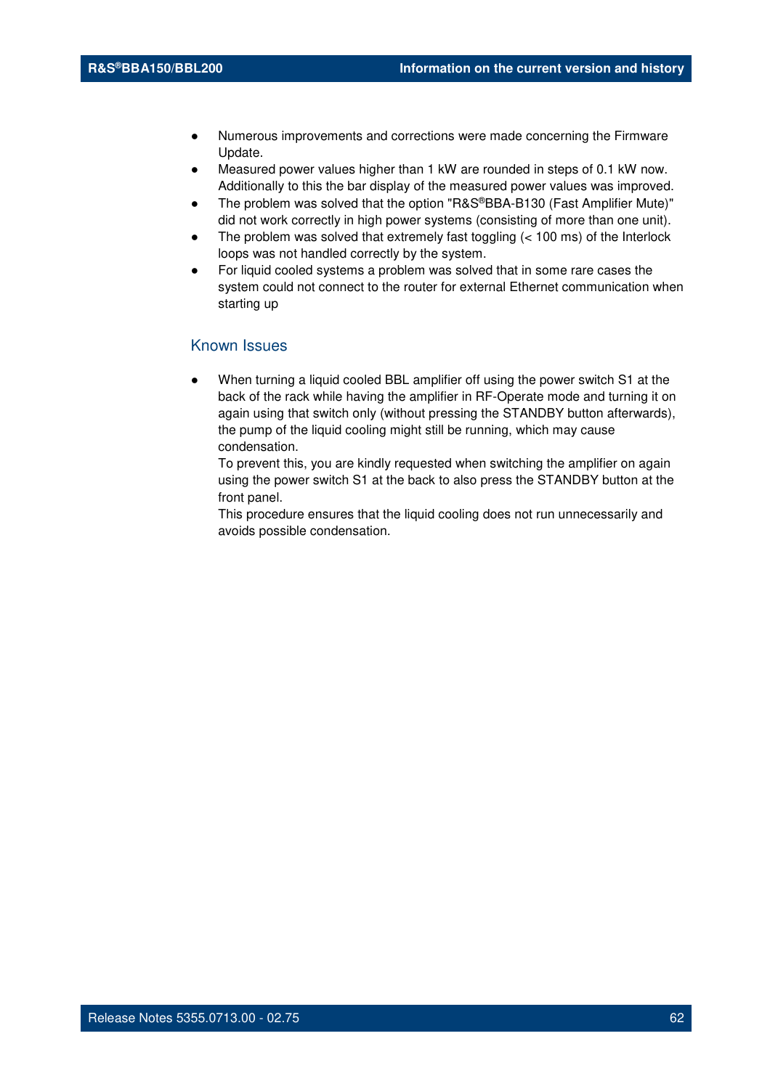- Numerous improvements and corrections were made concerning the Firmware Update.
- Measured power values higher than 1 kW are rounded in steps of 0.1 kW now. Additionally to this the bar display of the measured power values was improved.
- The problem was solved that the option "R&S®BBA-B130 (Fast Amplifier Mute)" did not work correctly in high power systems (consisting of more than one unit).
- The problem was solved that extremely fast toggling  $(< 100 \text{ ms})$  of the Interlock loops was not handled correctly by the system.
- For liquid cooled systems a problem was solved that in some rare cases the system could not connect to the router for external Ethernet communication when starting up

#### Known Issues

When turning a liquid cooled BBL amplifier off using the power switch S1 at the back of the rack while having the amplifier in RF-Operate mode and turning it on again using that switch only (without pressing the STANDBY button afterwards), the pump of the liquid cooling might still be running, which may cause condensation.

To prevent this, you are kindly requested when switching the amplifier on again using the power switch S1 at the back to also press the STANDBY button at the front panel.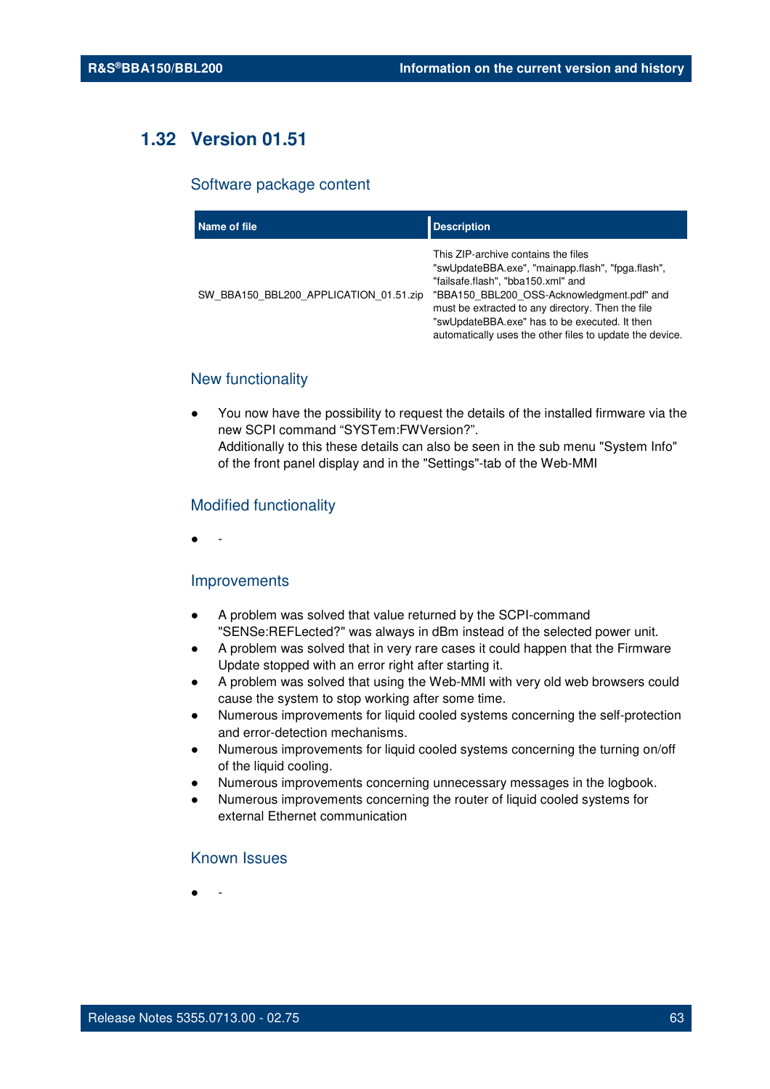# **1.32 Version 01.51**

#### Software package content

| Name of file                           | <b>Description</b>                                                                                                                                                                                                                                                                                                                             |
|----------------------------------------|------------------------------------------------------------------------------------------------------------------------------------------------------------------------------------------------------------------------------------------------------------------------------------------------------------------------------------------------|
| SW BBA150 BBL200 APPLICATION 01.51.zip | This ZIP-archive contains the files<br>"swUpdateBBA.exe", "mainapp.flash", "fpga.flash",<br>"failsafe.flash", "bba150.xml" and<br>"BBA150 BBL200 OSS-Acknowledgment.pdf" and<br>must be extracted to any directory. Then the file<br>"swUpdateBBA.exe" has to be executed. It then<br>automatically uses the other files to update the device. |

## New functionality

You now have the possibility to request the details of the installed firmware via the new SCPI command "SYSTem:FWVersion?". Additionally to this these details can also be seen in the sub menu "System Info" of the front panel display and in the "Settings"-tab of the Web-MMI

#### Modified functionality

● -

#### Improvements

- A problem was solved that value returned by the SCPI-command "SENSe:REFLected?" was always in dBm instead of the selected power unit.
- A problem was solved that in very rare cases it could happen that the Firmware Update stopped with an error right after starting it.
- A problem was solved that using the Web-MMI with very old web browsers could cause the system to stop working after some time.
- Numerous improvements for liquid cooled systems concerning the self-protection and error-detection mechanisms.
- Numerous improvements for liquid cooled systems concerning the turning on/off of the liquid cooling.
- Numerous improvements concerning unnecessary messages in the logbook.
- Numerous improvements concerning the router of liquid cooled systems for external Ethernet communication

## Known Issues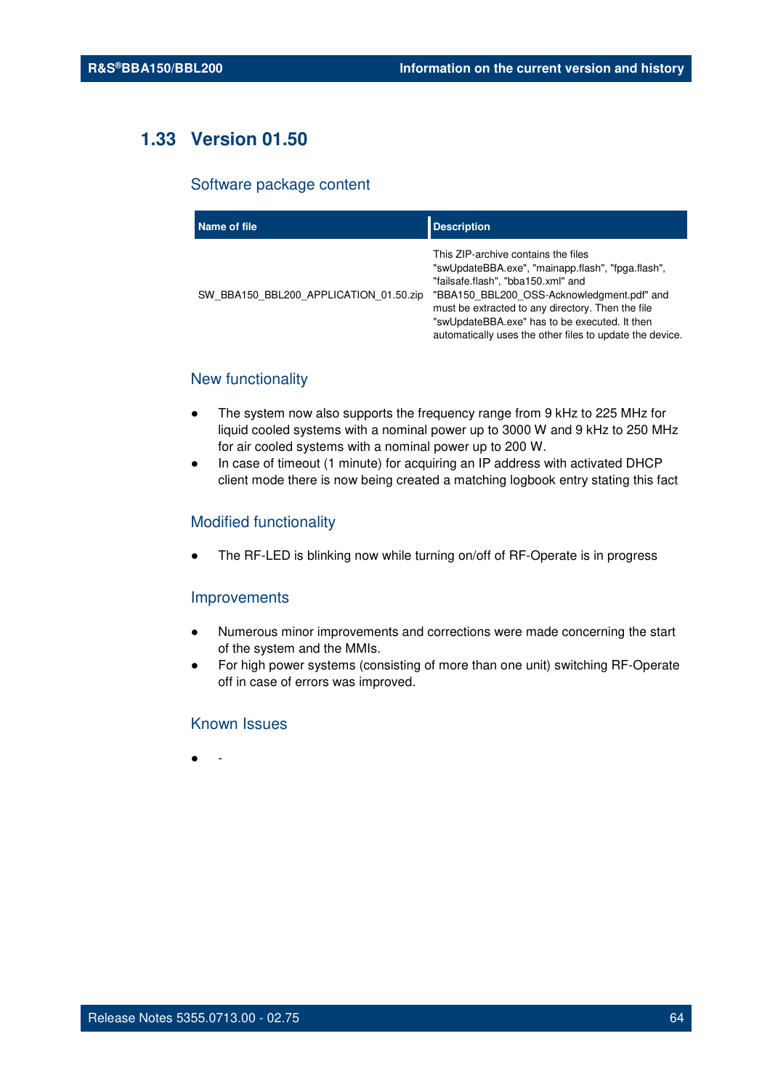# **1.33 Version 01.50**

#### Software package content

| Name of file                           | <b>Description</b>                                                                                                                                                                                                                                                                                                                             |
|----------------------------------------|------------------------------------------------------------------------------------------------------------------------------------------------------------------------------------------------------------------------------------------------------------------------------------------------------------------------------------------------|
| SW BBA150 BBL200 APPLICATION 01.50.zip | This ZIP-archive contains the files<br>"swUpdateBBA.exe", "mainapp.flash", "fpga.flash",<br>"failsafe.flash", "bba150.xml" and<br>"BBA150 BBL200 OSS-Acknowledgment.pdf" and<br>must be extracted to any directory. Then the file<br>"swUpdateBBA.exe" has to be executed. It then<br>automatically uses the other files to update the device. |

## New functionality

- The system now also supports the frequency range from 9 kHz to 225 MHz for liquid cooled systems with a nominal power up to 3000 W and 9 kHz to 250 MHz for air cooled systems with a nominal power up to 200 W.
- In case of timeout (1 minute) for acquiring an IP address with activated DHCP client mode there is now being created a matching logbook entry stating this fact

#### Modified functionality

The RF-LED is blinking now while turning on/off of RF-Operate is in progress

#### Improvements

- Numerous minor improvements and corrections were made concerning the start of the system and the MMIs.
- For high power systems (consisting of more than one unit) switching RF-Operate off in case of errors was improved.

## Known Issues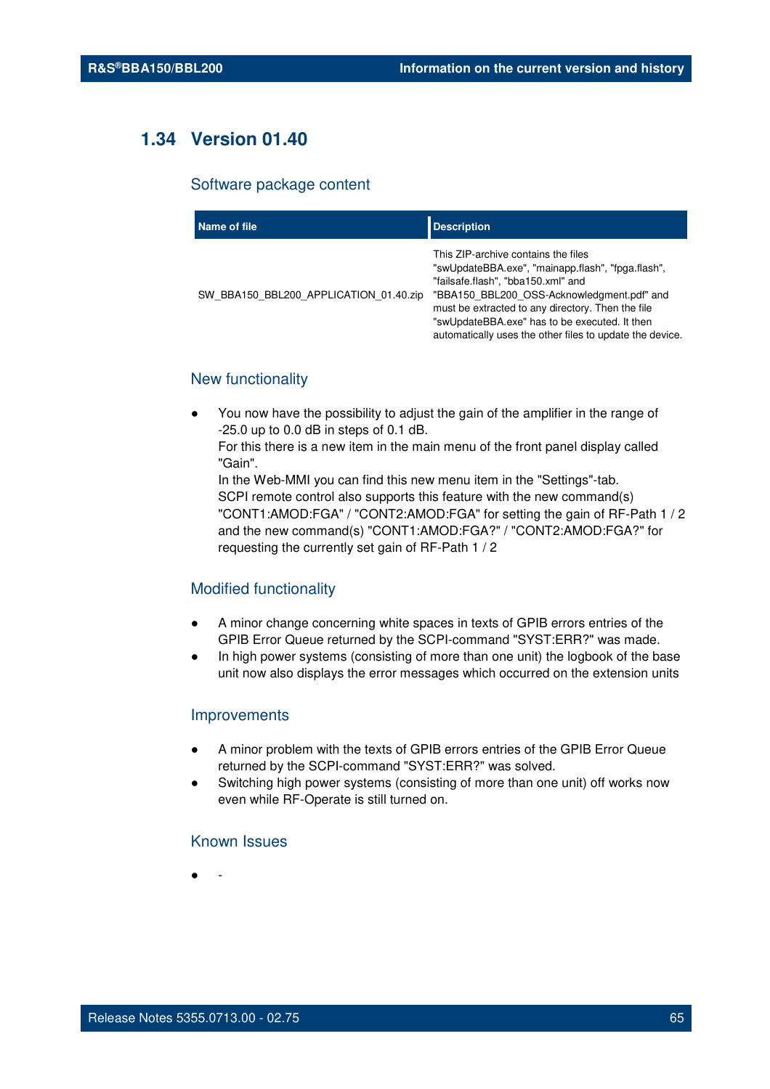# **1.34 Version 01.40**

#### Software package content

| Name of file                           | <b>Description</b>                                                                                                                                                                                                                                                                                                                             |
|----------------------------------------|------------------------------------------------------------------------------------------------------------------------------------------------------------------------------------------------------------------------------------------------------------------------------------------------------------------------------------------------|
| SW BBA150 BBL200 APPLICATION 01.40.zip | This ZIP-archive contains the files<br>"swUpdateBBA.exe", "mainapp.flash", "fpga.flash",<br>"failsafe.flash", "bba150.xml" and<br>"BBA150 BBL200 OSS-Acknowledgment.pdf" and<br>must be extracted to any directory. Then the file<br>"swUpdateBBA.exe" has to be executed. It then<br>automatically uses the other files to update the device. |

## New functionality

You now have the possibility to adjust the gain of the amplifier in the range of -25.0 up to 0.0 dB in steps of 0.1 dB.

For this there is a new item in the main menu of the front panel display called "Gain".

In the Web-MMI you can find this new menu item in the "Settings"-tab. SCPI remote control also supports this feature with the new command(s) "CONT1:AMOD:FGA" / "CONT2:AMOD:FGA" for setting the gain of RF-Path 1 / 2 and the new command(s) "CONT1:AMOD:FGA?" / "CONT2:AMOD:FGA?" for requesting the currently set gain of RF-Path 1 / 2

#### Modified functionality

- A minor change concerning white spaces in texts of GPIB errors entries of the GPIB Error Queue returned by the SCPI-command "SYST:ERR?" was made.
- In high power systems (consisting of more than one unit) the logbook of the base unit now also displays the error messages which occurred on the extension units

#### Improvements

- A minor problem with the texts of GPIB errors entries of the GPIB Error Queue returned by the SCPI-command "SYST:ERR?" was solved.
- Switching high power systems (consisting of more than one unit) off works now even while RF-Operate is still turned on.

### Known Issues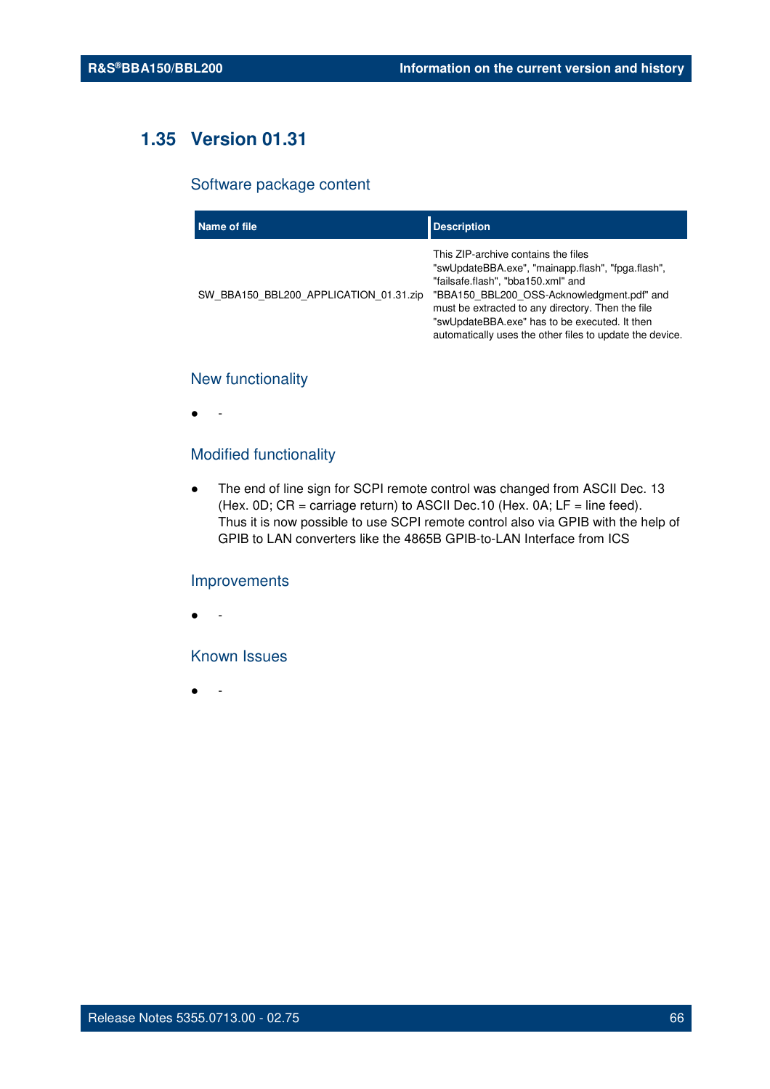# **1.35 Version 01.31**

#### Software package content

| Name of file                           | <b>Description</b>                                                                                                                                                                                                                                                                                                                             |
|----------------------------------------|------------------------------------------------------------------------------------------------------------------------------------------------------------------------------------------------------------------------------------------------------------------------------------------------------------------------------------------------|
| SW BBA150 BBL200 APPLICATION 01.31.zip | This ZIP-archive contains the files<br>"swUpdateBBA.exe", "mainapp.flash", "fpga.flash",<br>"failsafe.flash", "bba150.xml" and<br>"BBA150 BBL200 OSS-Acknowledgment.pdf" and<br>must be extracted to any directory. Then the file<br>"swUpdateBBA.exe" has to be executed. It then<br>automatically uses the other files to update the device. |

## New functionality

● -

## Modified functionality

● The end of line sign for SCPI remote control was changed from ASCII Dec. 13 (Hex.  $0D$ ;  $CR =$  carriage return) to ASCII Dec. 10 (Hex.  $0A$ ;  $LF =$  line feed). Thus it is now possible to use SCPI remote control also via GPIB with the help of GPIB to LAN converters like the 4865B GPIB-to-LAN Interface from ICS

#### Improvements

● -

## Known Issues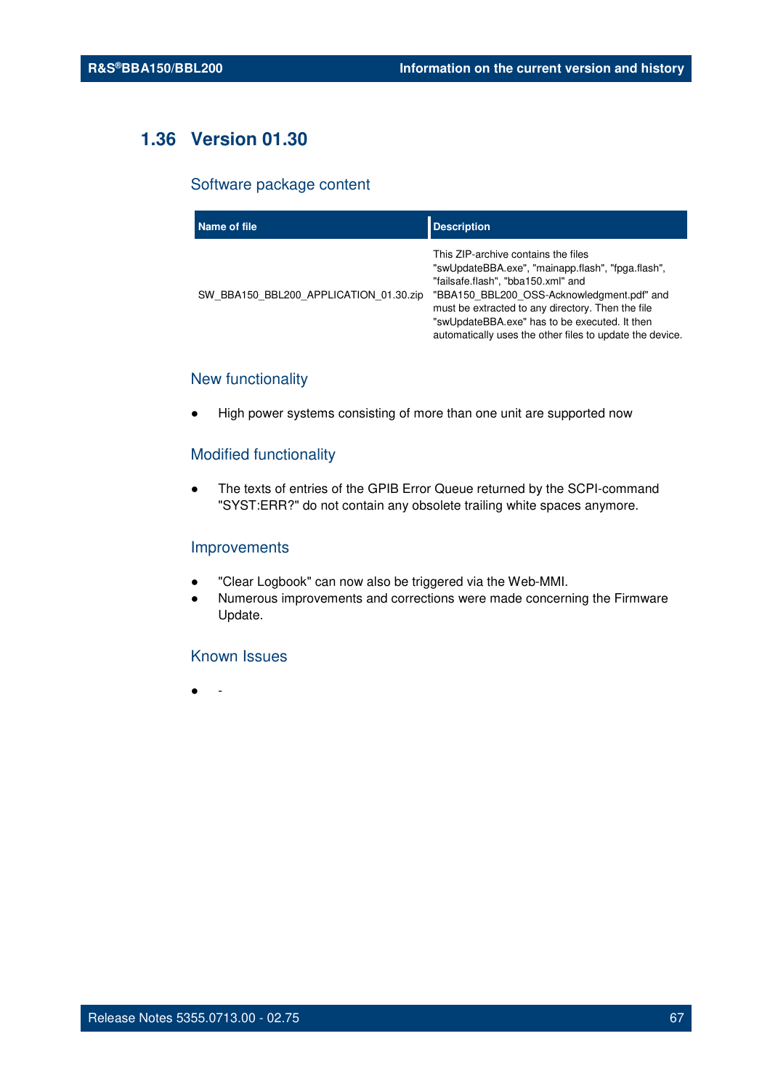# **1.36 Version 01.30**

#### Software package content

| Name of file                           | <b>Description</b>                                                                                                                                                                                                                                                                                                                             |
|----------------------------------------|------------------------------------------------------------------------------------------------------------------------------------------------------------------------------------------------------------------------------------------------------------------------------------------------------------------------------------------------|
| SW BBA150 BBL200 APPLICATION 01.30.zip | This ZIP-archive contains the files<br>"swUpdateBBA.exe", "mainapp.flash", "fpga.flash",<br>"failsafe.flash", "bba150.xml" and<br>"BBA150 BBL200 OSS-Acknowledgment.pdf" and<br>must be extracted to any directory. Then the file<br>"swUpdateBBA.exe" has to be executed. It then<br>automatically uses the other files to update the device. |

## New functionality

High power systems consisting of more than one unit are supported now

## Modified functionality

● The texts of entries of the GPIB Error Queue returned by the SCPI-command "SYST:ERR?" do not contain any obsolete trailing white spaces anymore.

#### Improvements

- "Clear Logbook" can now also be triggered via the Web-MMI.
- Numerous improvements and corrections were made concerning the Firmware Update.

#### Known Issues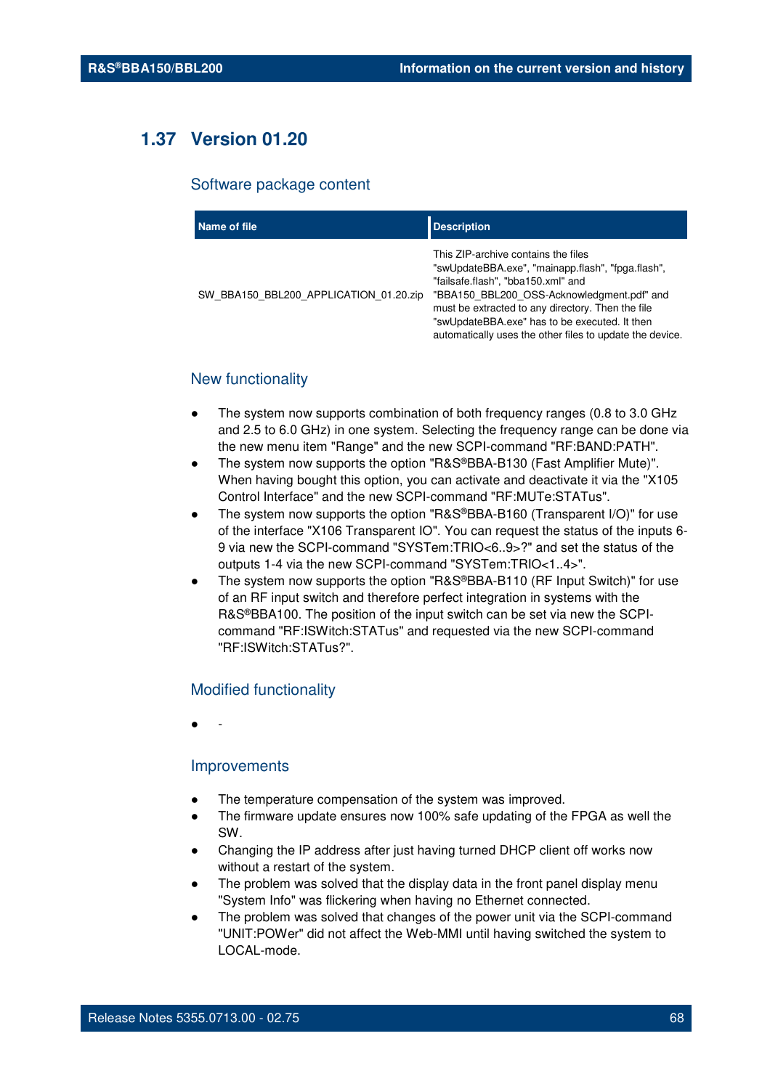# **1.37 Version 01.20**

#### Software package content

| Name of file                           | <b>Description</b>                                                                                                                                                                                                                                                                                                                             |
|----------------------------------------|------------------------------------------------------------------------------------------------------------------------------------------------------------------------------------------------------------------------------------------------------------------------------------------------------------------------------------------------|
| SW BBA150 BBL200 APPLICATION 01.20.zip | This ZIP-archive contains the files<br>"swUpdateBBA.exe", "mainapp.flash", "fpga.flash",<br>"failsafe.flash", "bba150.xml" and<br>"BBA150 BBL200 OSS-Acknowledgment.pdf" and<br>must be extracted to any directory. Then the file<br>"swUpdateBBA.exe" has to be executed. It then<br>automatically uses the other files to update the device. |

## New functionality

- The system now supports combination of both frequency ranges (0.8 to 3.0 GHz) and 2.5 to 6.0 GHz) in one system. Selecting the frequency range can be done via the new menu item "Range" and the new SCPI-command "RF:BAND:PATH".
- The system now supports the option "R&S®BBA-B130 (Fast Amplifier Mute)". When having bought this option, you can activate and deactivate it via the "X105 Control Interface" and the new SCPI-command "RF:MUTe:STATus".
- The system now supports the option "R&S®BBA-B160 (Transparent I/O)" for use of the interface "X106 Transparent IO". You can request the status of the inputs 6- 9 via new the SCPI-command "SYSTem:TRIO<6..9>?" and set the status of the outputs 1-4 via the new SCPI-command "SYSTem:TRIO<1..4>".
- The system now supports the option "R&S®BBA-B110 (RF Input Switch)" for use of an RF input switch and therefore perfect integration in systems with the R&S®BBA100. The position of the input switch can be set via new the SCPIcommand "RF:ISWitch:STATus" and requested via the new SCPI-command "RF:ISWitch:STATus?".

#### Modified functionality

● -

#### Improvements

- The temperature compensation of the system was improved.
- The firmware update ensures now 100% safe updating of the FPGA as well the SW.
- Changing the IP address after just having turned DHCP client off works now without a restart of the system.
- The problem was solved that the display data in the front panel display menu "System Info" was flickering when having no Ethernet connected.
- The problem was solved that changes of the power unit via the SCPI-command "UNIT:POWer" did not affect the Web-MMI until having switched the system to LOCAL-mode.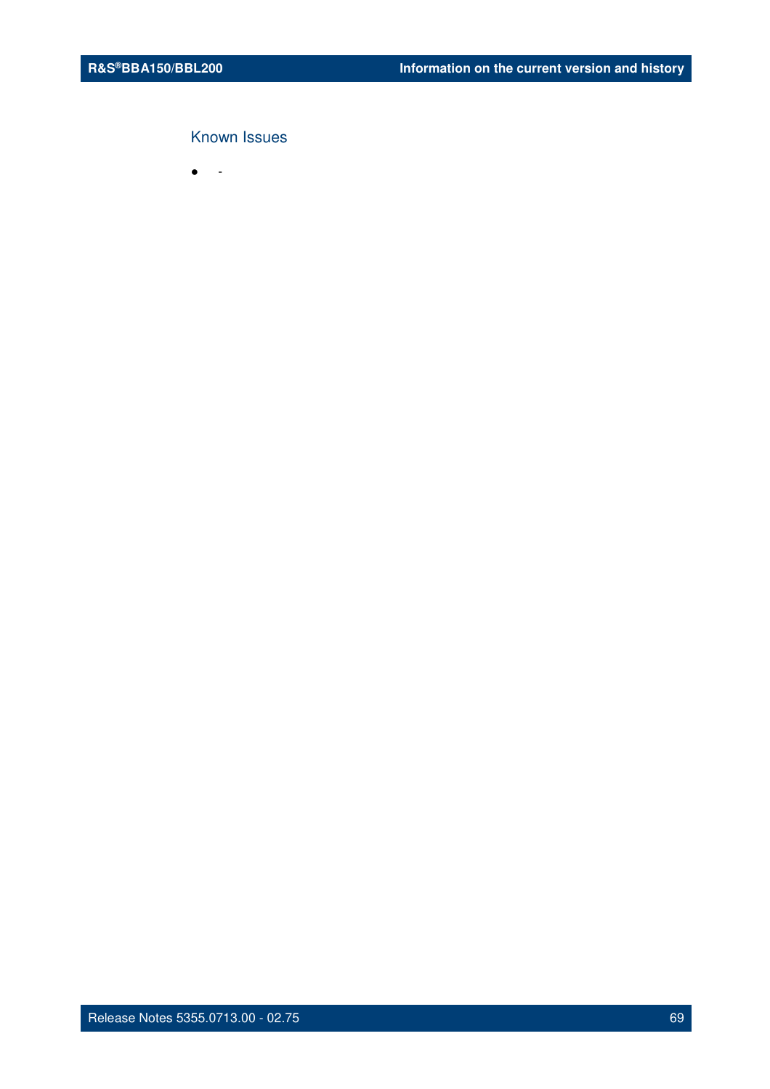## Known Issues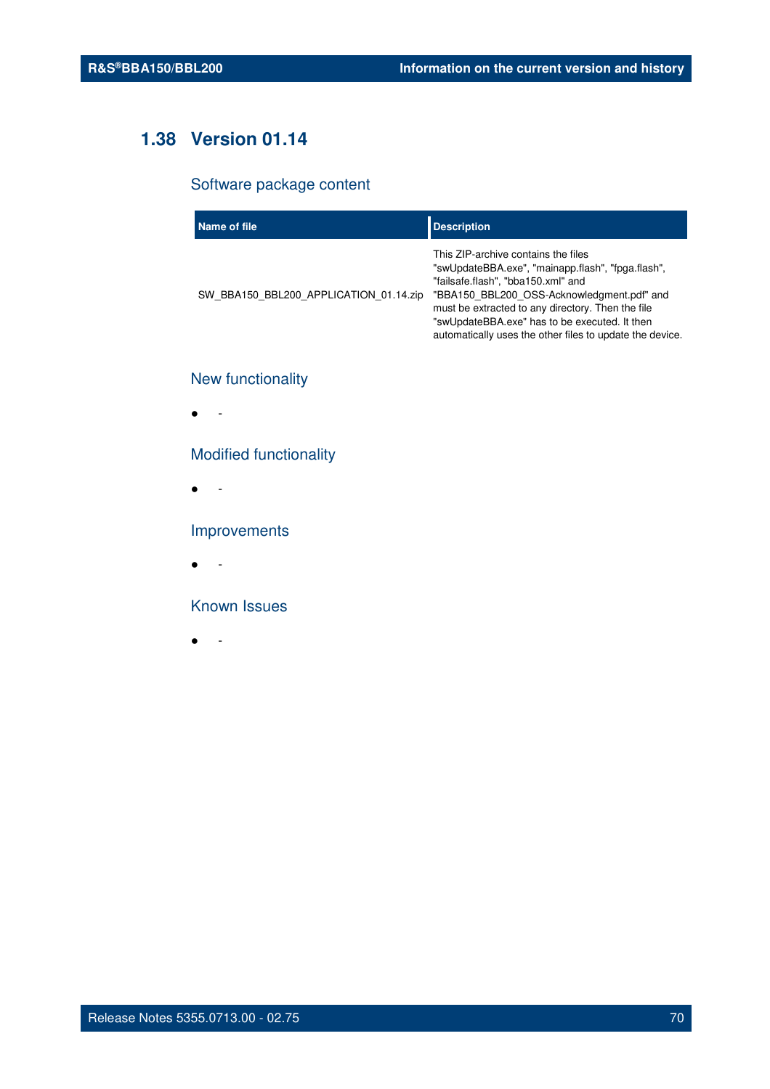# **1.38 Version 01.14**

## Software package content

| Name of file                           | <b>Description</b>                                                                                                                                                                                                                                                                                                                             |
|----------------------------------------|------------------------------------------------------------------------------------------------------------------------------------------------------------------------------------------------------------------------------------------------------------------------------------------------------------------------------------------------|
| SW BBA150 BBL200 APPLICATION 01.14.zip | This ZIP-archive contains the files<br>"swUpdateBBA.exe", "mainapp.flash", "fpga.flash",<br>"failsafe.flash", "bba150.xml" and<br>"BBA150_BBL200_OSS-Acknowledgment.pdf" and<br>must be extracted to any directory. Then the file<br>"swUpdateBBA.exe" has to be executed. It then<br>automatically uses the other files to update the device. |

# New functionality

● -

## Modified functionality

● -

## Improvements

● -

### Known Issues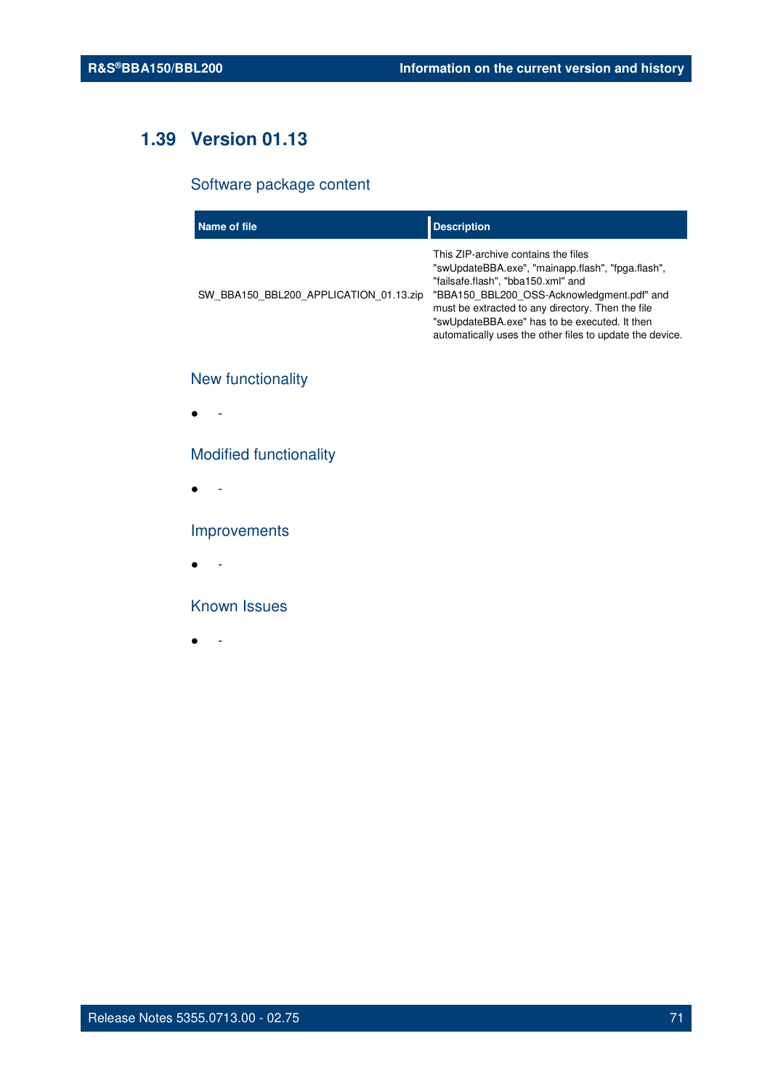# **1.39 Version 01.13**

## Software package content

| Name of file                           | <b>Description</b>                                                                                                                                                                                                                                                                                                                             |
|----------------------------------------|------------------------------------------------------------------------------------------------------------------------------------------------------------------------------------------------------------------------------------------------------------------------------------------------------------------------------------------------|
| SW BBA150 BBL200 APPLICATION 01.13.zip | This ZIP-archive contains the files<br>"swUpdateBBA.exe", "mainapp.flash", "fpga.flash",<br>"failsafe.flash", "bba150.xml" and<br>"BBA150_BBL200_OSS-Acknowledgment.pdf" and<br>must be extracted to any directory. Then the file<br>"swUpdateBBA.exe" has to be executed. It then<br>automatically uses the other files to update the device. |

# New functionality

● -

## Modified functionality

● -

## Improvements

● -

### Known Issues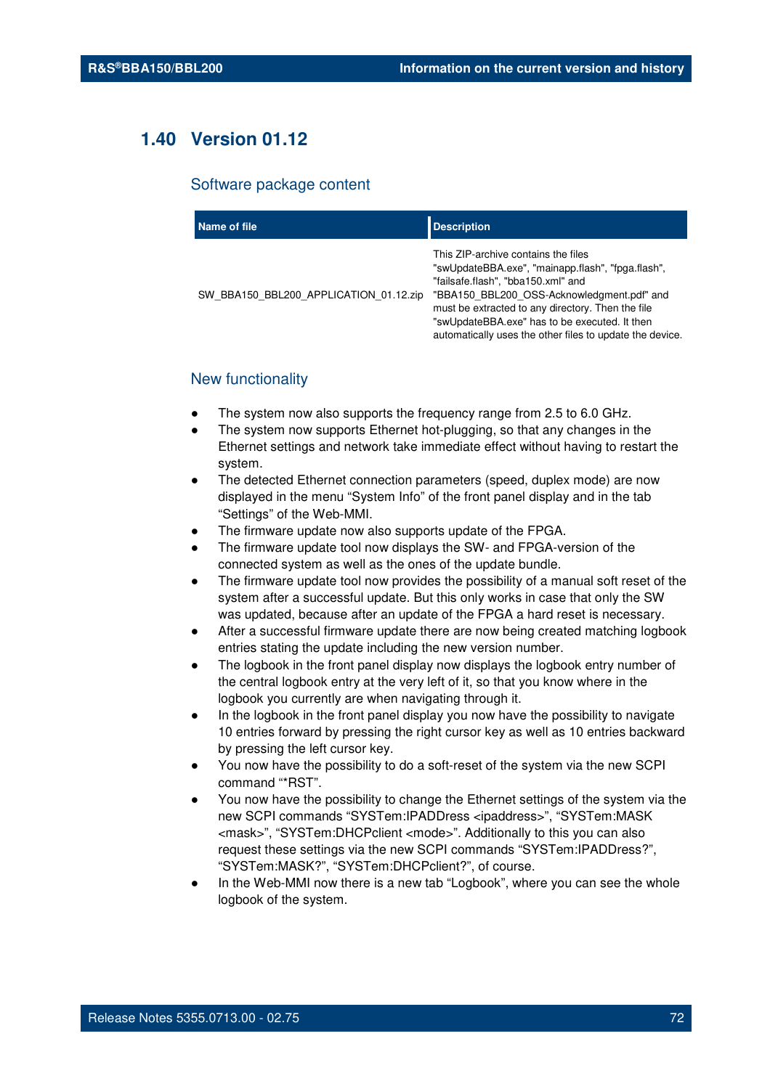# **1.40 Version 01.12**

#### Software package content

| Name of file                           | <b>Description</b>                                                                                                                                                                                                                                                                                                                             |
|----------------------------------------|------------------------------------------------------------------------------------------------------------------------------------------------------------------------------------------------------------------------------------------------------------------------------------------------------------------------------------------------|
| SW BBA150 BBL200 APPLICATION 01.12.zip | This ZIP-archive contains the files<br>"swUpdateBBA.exe", "mainapp.flash", "fpga.flash",<br>"failsafe.flash", "bba150.xml" and<br>"BBA150 BBL200 OSS-Acknowledgment.pdf" and<br>must be extracted to any directory. Then the file<br>"swUpdateBBA.exe" has to be executed. It then<br>automatically uses the other files to update the device. |

## New functionality

- The system now also supports the frequency range from 2.5 to 6.0 GHz.
- The system now supports Ethernet hot-plugging, so that any changes in the Ethernet settings and network take immediate effect without having to restart the system.
- The detected Ethernet connection parameters (speed, duplex mode) are now displayed in the menu "System Info" of the front panel display and in the tab "Settings" of the Web-MMI.
- The firmware update now also supports update of the FPGA.
- The firmware update tool now displays the SW- and FPGA-version of the connected system as well as the ones of the update bundle.
- The firmware update tool now provides the possibility of a manual soft reset of the system after a successful update. But this only works in case that only the SW was updated, because after an update of the FPGA a hard reset is necessary.
- After a successful firmware update there are now being created matching logbook entries stating the update including the new version number.
- The logbook in the front panel display now displays the logbook entry number of the central logbook entry at the very left of it, so that you know where in the logbook you currently are when navigating through it.
- In the logbook in the front panel display you now have the possibility to navigate 10 entries forward by pressing the right cursor key as well as 10 entries backward by pressing the left cursor key.
- You now have the possibility to do a soft-reset of the system via the new SCPI command "\*RST".
- You now have the possibility to change the Ethernet settings of the system via the new SCPI commands "SYSTem:IPADDress <ipaddress>", "SYSTem:MASK <mask>", "SYSTem:DHCPclient <mode>". Additionally to this you can also request these settings via the new SCPI commands "SYSTem:IPADDress?", "SYSTem:MASK?", "SYSTem:DHCPclient?", of course.
- In the Web-MMI now there is a new tab "Logbook", where you can see the whole logbook of the system.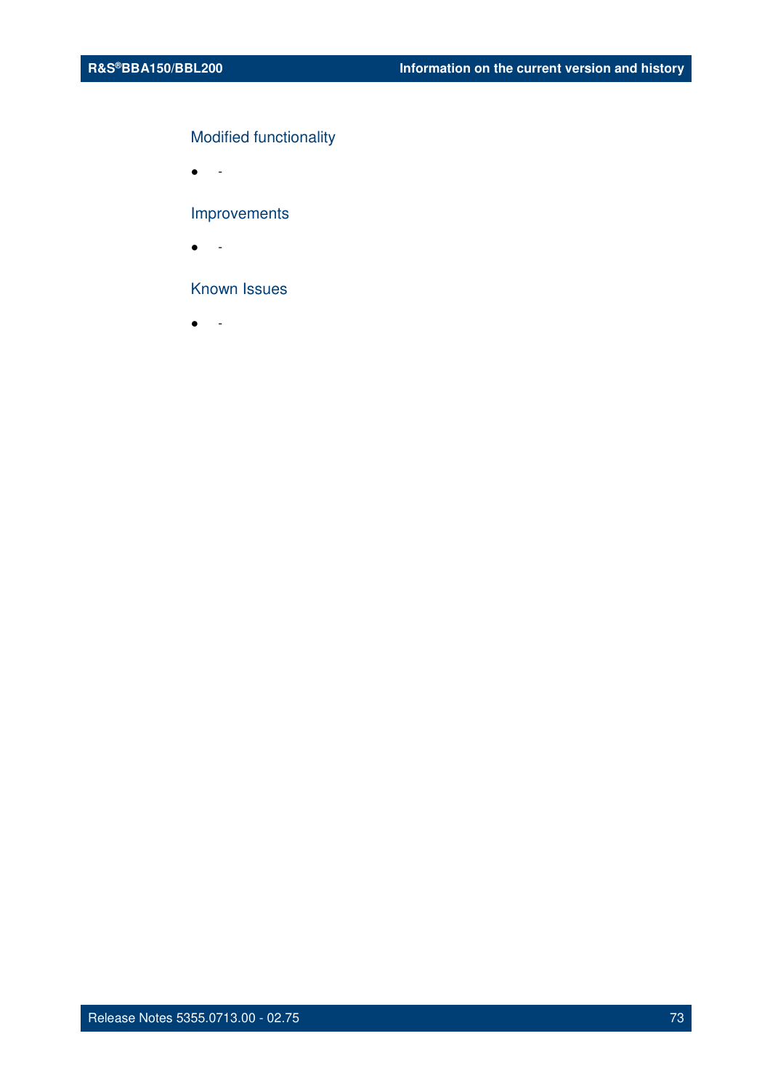### Modified functionality

 $\bullet$  -

### Improvements

● -

### Known Issues

● -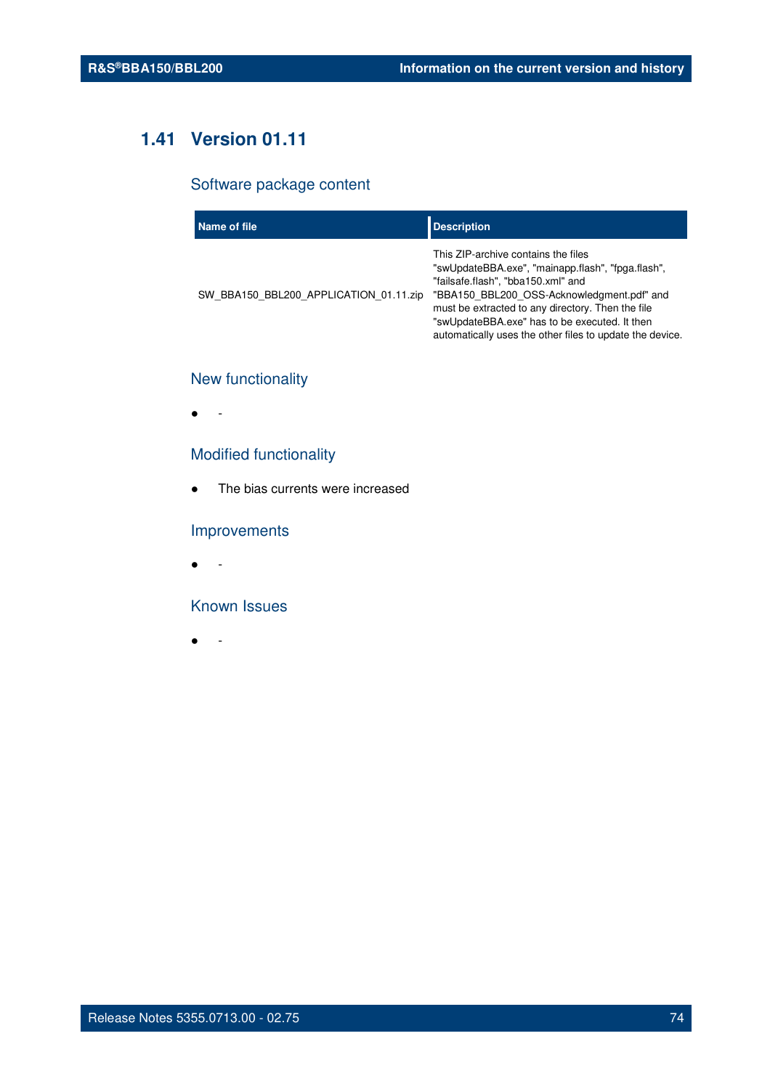## **1.41 Version 01.11**

### Software package content

| Name of file                           | <b>Description</b>                                                                                                                                                                                                                                                                                                                             |
|----------------------------------------|------------------------------------------------------------------------------------------------------------------------------------------------------------------------------------------------------------------------------------------------------------------------------------------------------------------------------------------------|
| SW BBA150 BBL200 APPLICATION 01.11.zip | This ZIP-archive contains the files<br>"swUpdateBBA.exe", "mainapp.flash", "fpga.flash",<br>"failsafe.flash", "bba150.xml" and<br>"BBA150 BBL200 OSS-Acknowledgment.pdf" and<br>must be extracted to any directory. Then the file<br>"swUpdateBBA.exe" has to be executed. It then<br>automatically uses the other files to update the device. |

### New functionality

● -

### Modified functionality

● The bias currents were increased

### Improvements

 $\bullet$  -

### Known Issues

● -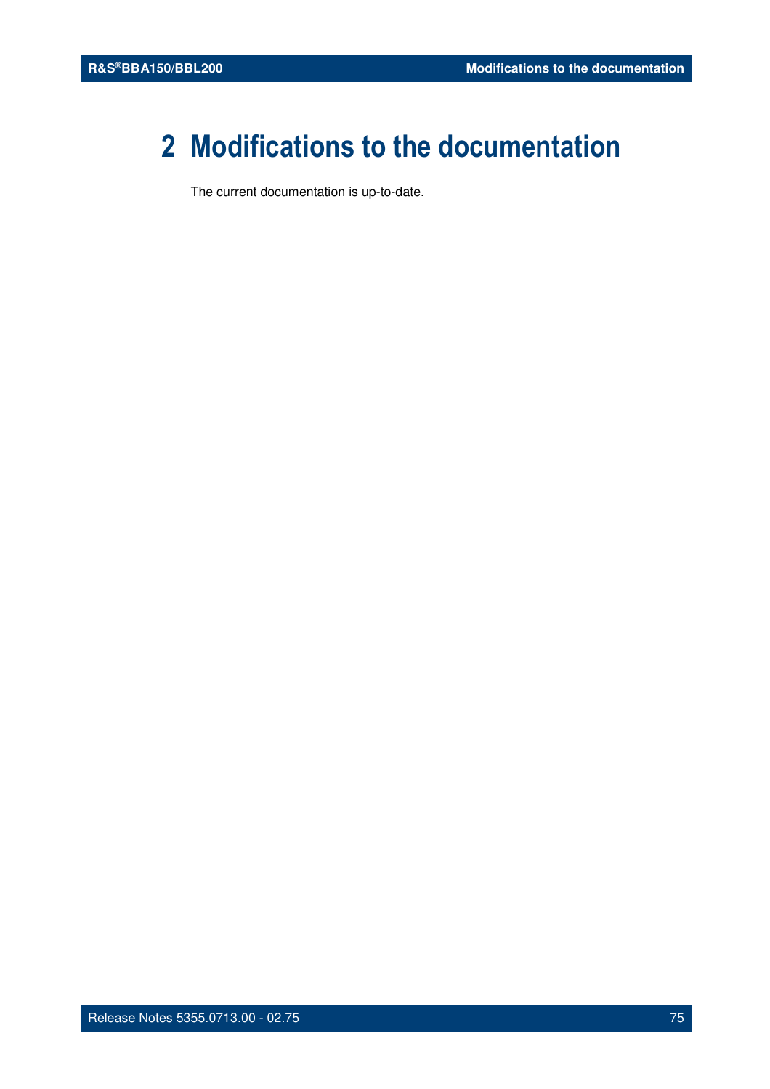# **2 Modifications to the documentation**

The current documentation is up-to-date.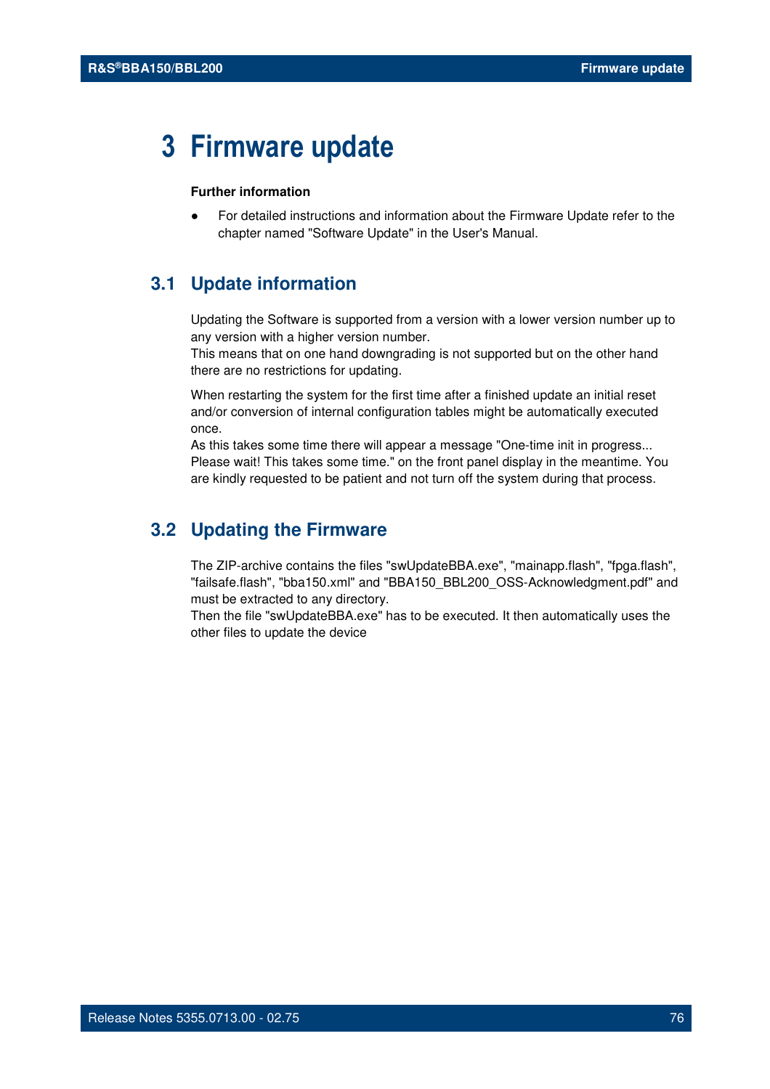## **3 Firmware update**

### **Further information**

For detailed instructions and information about the Firmware Update refer to the chapter named "Software Update" in the User's Manual.

### **3.1 Update information**

Updating the Software is supported from a version with a lower version number up to any version with a higher version number.

This means that on one hand downgrading is not supported but on the other hand there are no restrictions for updating.

When restarting the system for the first time after a finished update an initial reset and/or conversion of internal configuration tables might be automatically executed once.

As this takes some time there will appear a message "One-time init in progress... Please wait! This takes some time." on the front panel display in the meantime. You are kindly requested to be patient and not turn off the system during that process.

### **3.2 Updating the Firmware**

The ZIP-archive contains the files "swUpdateBBA.exe", "mainapp.flash", "fpga.flash", "failsafe.flash", "bba150.xml" and "BBA150\_BBL200\_OSS-Acknowledgment.pdf" and must be extracted to any directory.

Then the file "swUpdateBBA.exe" has to be executed. It then automatically uses the other files to update the device